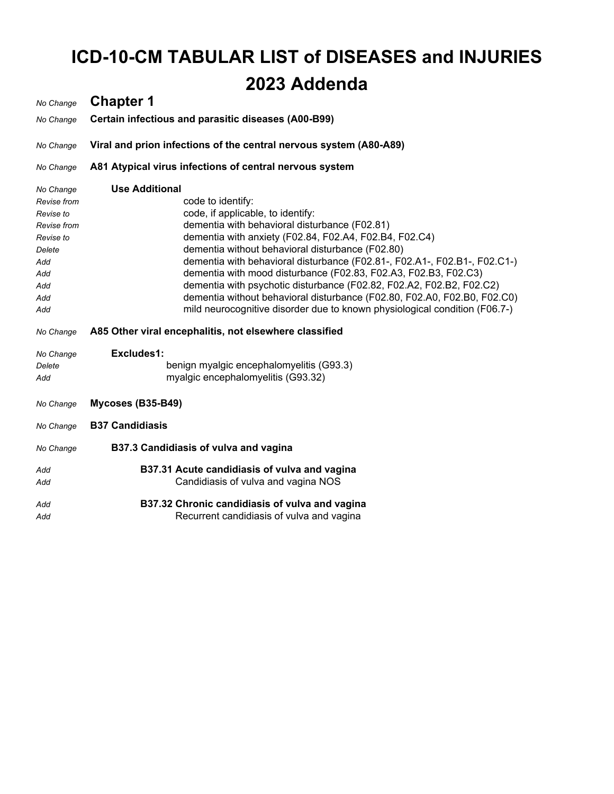# **ICD-10-CM TABULAR LIST of DISEASES and INJURIES 2023 Addenda**

### *No Change* **Chapter 1** *No Change* **Certain infectious and parasitic diseases (A00-B99)** *No Change* **Viral and prion infections of the central nervous system (A80-A89)** *No Change* **A81 Atypical virus infections of central nervous system** *No Change* **Use Additional**  *Revise from* code to identify: *Revise to* code, if applicable, to identify: *Revise from* dementia with behavioral disturbance (F02.81) *Revise to* dementia with anxiety (F02.84, F02.A4, F02.B4, F02.C4) *Delete* dementia without behavioral disturbance (F02.80) *Add* dementia with behavioral disturbance (F02.81-, F02.A1-, F02.B1-, F02.C1-) *Add* dementia with mood disturbance (F02.83, F02.A3, F02.B3, F02.C3) *Add* dementia with psychotic disturbance (F02.82, F02.A2, F02.B2, F02.C2) *Add* dementia without behavioral disturbance (F02.80, F02.A0, F02.B0, F02.C0) *Add* mild neurocognitive disorder due to known physiological condition (F06.7-) *No Change* **A85 Other viral encephalitis, not elsewhere classified** *No Change* **Excludes1:**  *Delete* benign myalgic encephalomyelitis (G93.3) *Add* myalgic encephalomyelitis (G93.32) *No Change* **Mycoses (B35-B49)** *No Change* **B37 Candidiasis** *No Change* **B37.3 Candidiasis of vulva and vagina** *Add* **B37.31 Acute candidiasis of vulva and vagina** *Add* Candidiasis of vulva and vagina NOS *Add* **B37.32 Chronic candidiasis of vulva and vagina** Add **Recurrent candidiasis of vulva and vagina**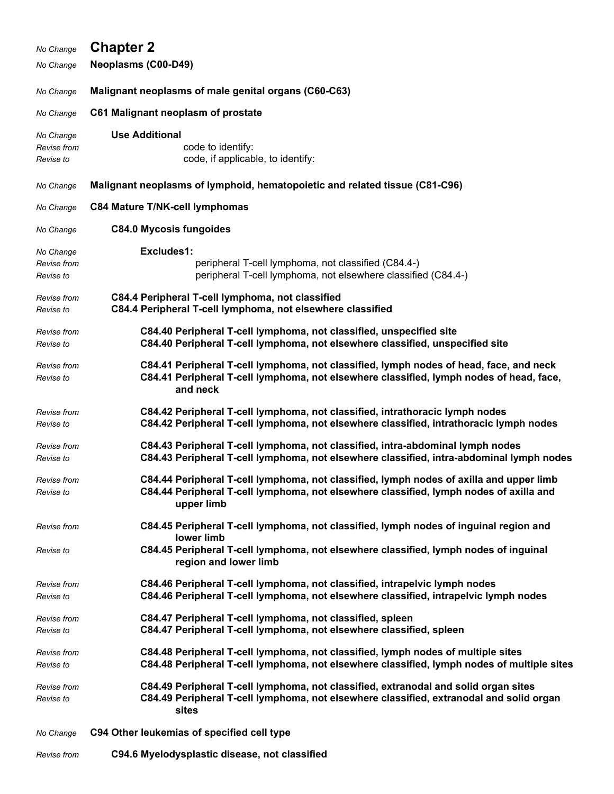| No Change                             | <b>Chapter 2</b>                                                                                                                                                                                |
|---------------------------------------|-------------------------------------------------------------------------------------------------------------------------------------------------------------------------------------------------|
| No Change                             | <b>Neoplasms (C00-D49)</b>                                                                                                                                                                      |
| No Change                             | Malignant neoplasms of male genital organs (C60-C63)                                                                                                                                            |
| No Change                             | C61 Malignant neoplasm of prostate                                                                                                                                                              |
| No Change<br>Revise from<br>Revise to | <b>Use Additional</b><br>code to identify:<br>code, if applicable, to identify:                                                                                                                 |
| No Change                             | Malignant neoplasms of lymphoid, hematopoietic and related tissue (C81-C96)                                                                                                                     |
| No Change                             | C84 Mature T/NK-cell lymphomas                                                                                                                                                                  |
| No Change                             | <b>C84.0 Mycosis fungoides</b>                                                                                                                                                                  |
| No Change<br>Revise from<br>Revise to | Excludes1:<br>peripheral T-cell lymphoma, not classified (C84.4-)<br>peripheral T-cell lymphoma, not elsewhere classified (C84.4-)                                                              |
| Revise from<br>Revise to              | C84.4 Peripheral T-cell lymphoma, not classified<br>C84.4 Peripheral T-cell lymphoma, not elsewhere classified                                                                                  |
| Revise from<br>Revise to              | C84.40 Peripheral T-cell lymphoma, not classified, unspecified site<br>C84.40 Peripheral T-cell lymphoma, not elsewhere classified, unspecified site                                            |
| Revise from<br>Revise to              | C84.41 Peripheral T-cell lymphoma, not classified, lymph nodes of head, face, and neck<br>C84.41 Peripheral T-cell lymphoma, not elsewhere classified, lymph nodes of head, face,<br>and neck   |
| Revise from<br>Revise to              | C84.42 Peripheral T-cell lymphoma, not classified, intrathoracic lymph nodes<br>C84.42 Peripheral T-cell lymphoma, not elsewhere classified, intrathoracic lymph nodes                          |
| Revise from<br>Revise to              | C84.43 Peripheral T-cell lymphoma, not classified, intra-abdominal lymph nodes<br>C84.43 Peripheral T-cell lymphoma, not elsewhere classified, intra-abdominal lymph nodes                      |
| Revise from<br>Revise to              | C84.44 Peripheral T-cell lymphoma, not classified, lymph nodes of axilla and upper limb<br>C84.44 Peripheral T-cell lymphoma, not elsewhere classified, lymph nodes of axilla and<br>upper limb |
| Revise from                           | C84.45 Peripheral T-cell lymphoma, not classified, lymph nodes of inguinal region and<br>lower limb                                                                                             |
| Revise to                             | C84.45 Peripheral T-cell lymphoma, not elsewhere classified, lymph nodes of inguinal<br>region and lower limb                                                                                   |
| Revise from<br>Revise to              | C84.46 Peripheral T-cell lymphoma, not classified, intrapelvic lymph nodes<br>C84.46 Peripheral T-cell lymphoma, not elsewhere classified, intrapelvic lymph nodes                              |
| Revise from<br>Revise to              | C84.47 Peripheral T-cell lymphoma, not classified, spleen<br>C84.47 Peripheral T-cell lymphoma, not elsewhere classified, spleen                                                                |
| Revise from<br>Revise to              | C84.48 Peripheral T-cell lymphoma, not classified, lymph nodes of multiple sites<br>C84.48 Peripheral T-cell lymphoma, not elsewhere classified, lymph nodes of multiple sites                  |
| Revise from<br>Revise to              | C84.49 Peripheral T-cell lymphoma, not classified, extranodal and solid organ sites<br>C84.49 Peripheral T-cell lymphoma, not elsewhere classified, extranodal and solid organ<br>sites         |
| No Change                             | C94 Other leukemias of specified cell type                                                                                                                                                      |

*Revise from* **C94.6 Myelodysplastic disease, not classified**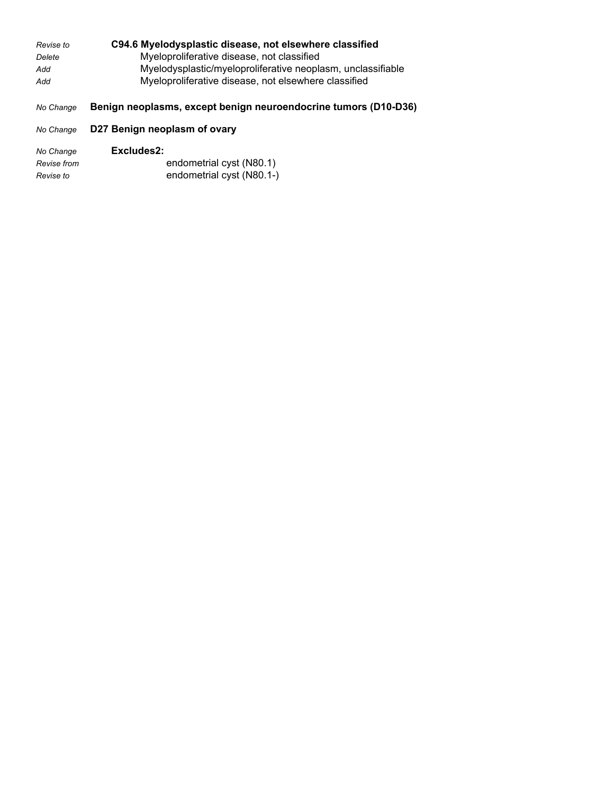| Revise to | C94.6 Myelodysplastic disease, not elsewhere classified         |
|-----------|-----------------------------------------------------------------|
| Delete    | Myeloproliferative disease, not classified                      |
| Add       | Myelodysplastic/myeloproliferative neoplasm, unclassifiable     |
| Add       | Myeloproliferative disease, not elsewhere classified            |
|           |                                                                 |
| No Change | Benign neoplasms, except benign neuroendocrine tumors (D10-D36) |
| No Change | D27 Benign neoplasm of ovary                                    |

| No Change   | Excludes2:                |
|-------------|---------------------------|
| Revise from | endometrial cyst (N80.1)  |
| Revise to   | endometrial cyst (N80.1-) |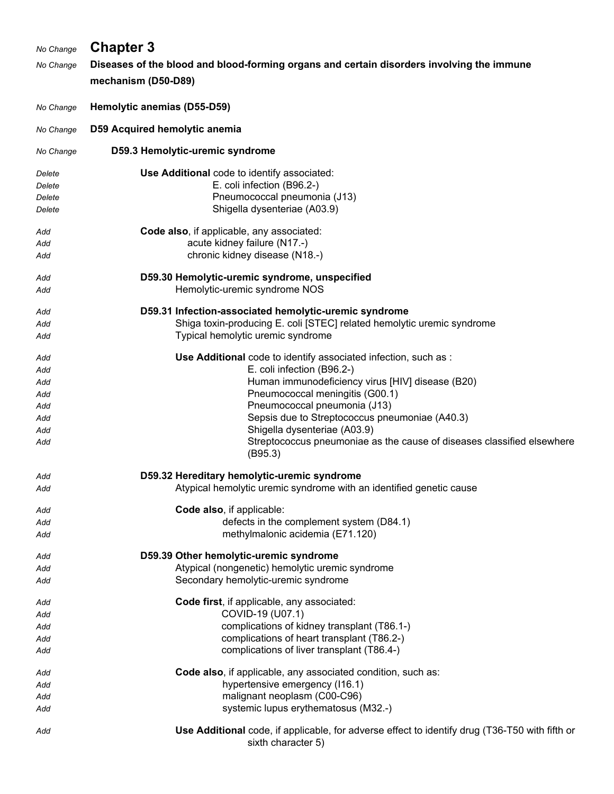| No Change | <b>Chapter 3</b>                                                                          |
|-----------|-------------------------------------------------------------------------------------------|
|           |                                                                                           |
| No Change | Diseases of the blood and blood-forming organs and certain disorders involving the immune |
|           | mechanism (D50-D89)                                                                       |
| No Change | Hemolytic anemias (D55-D59)                                                               |
| No Change | D59 Acquired hemolytic anemia                                                             |
| No Change | D59.3 Hemolytic-uremic syndrome                                                           |
| Delete    | Use Additional code to identify associated:                                               |
| Delete    | E. coli infection (B96.2-)                                                                |
| Delete    | Pneumococcal pneumonia (J13)                                                              |
| Delete    | Shigella dysenteriae (A03.9)                                                              |
| Add       | Code also, if applicable, any associated:                                                 |
| Add       | acute kidney failure (N17.-)                                                              |
| Add       | chronic kidney disease (N18 .- )                                                          |
| Add       | D59.30 Hemolytic-uremic syndrome, unspecified                                             |
| Add       | Hemolytic-uremic syndrome NOS                                                             |
| Add       | D59.31 Infection-associated hemolytic-uremic syndrome                                     |
| Add       | Shiga toxin-producing E. coli [STEC] related hemolytic uremic syndrome                    |
| Add       | Typical hemolytic uremic syndrome                                                         |
| Add       | Use Additional code to identify associated infection, such as :                           |
| Add       | E. coli infection (B96.2-)                                                                |
| Add       | Human immunodeficiency virus [HIV] disease (B20)                                          |
| Add       | Pneumococcal meningitis (G00.1)                                                           |
| Add       | Pneumococcal pneumonia (J13)                                                              |
| Add       | Sepsis due to Streptococcus pneumoniae (A40.3)                                            |
| Add       | Shigella dysenteriae (A03.9)                                                              |
| Add       | Streptococcus pneumoniae as the cause of diseases classified elsewhere<br>(B95.3)         |
| Add       | D59.32 Hereditary hemolytic-uremic syndrome                                               |
| Add       | Atypical hemolytic uremic syndrome with an identified genetic cause                       |
| Add       | Code also, if applicable:                                                                 |
| Add       | defects in the complement system (D84.1)                                                  |
| Add       | methylmalonic acidemia (E71.120)                                                          |
| Add       | D59.39 Other hemolytic-uremic syndrome                                                    |
| Add       | Atypical (nongenetic) hemolytic uremic syndrome                                           |
| Add       | Secondary hemolytic-uremic syndrome                                                       |

- *Add* **Code first**, if applicable, any associated: *Add* COVID-19 (U07.1) *Add* complications of kidney transplant (T86.1-) *Add* complications of heart transplant (T86.2-) *Add* complications of liver transplant (T86.4-)
- *Add* **Code also**, if applicable, any associated condition, such as: Add Add **hypertensive emergency (116.1)** *Add* malignant neoplasm (C00-C96) Add Add **Add** systemic lupus erythematosus (M32.-)
- *Add* **Use Additional** code, if applicable, for adverse effect to identify drug (T36-T50 with fifth or sixth character 5)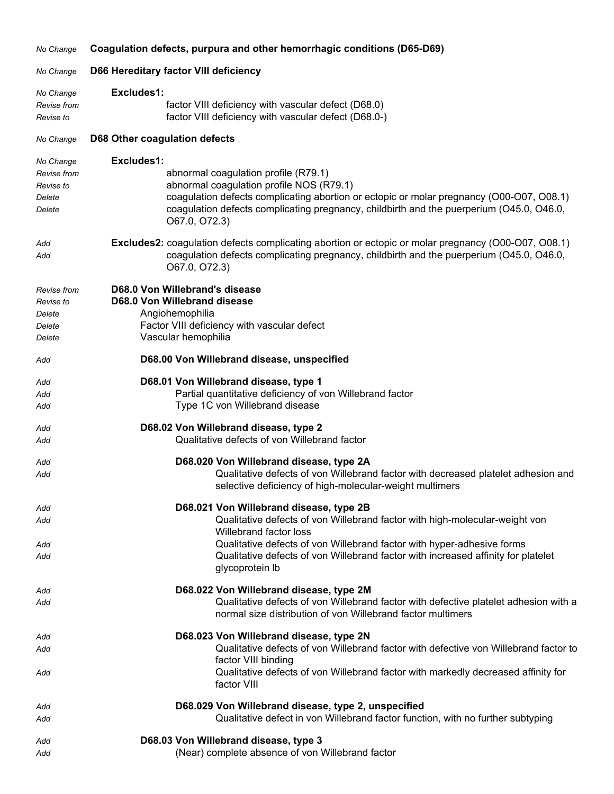| No Change                       | Coagulation defects, purpura and other hemorrhagic conditions (D65-D69)                                                                                     |
|---------------------------------|-------------------------------------------------------------------------------------------------------------------------------------------------------------|
| No Change                       | D66 Hereditary factor VIII deficiency                                                                                                                       |
| No Change                       | Excludes1:                                                                                                                                                  |
| <b>Revise</b> from<br>Revise to | factor VIII deficiency with vascular defect (D68.0)<br>factor VIII deficiency with vascular defect (D68.0-)                                                 |
| No Change                       | D68 Other coagulation defects                                                                                                                               |
| No Change                       | Excludes1:                                                                                                                                                  |
| Revise from                     | abnormal coagulation profile (R79.1)                                                                                                                        |
| Revise to                       | abnormal coagulation profile NOS (R79.1)                                                                                                                    |
| Delete                          | coagulation defects complicating abortion or ectopic or molar pregnancy (O00-O07, O08.1)                                                                    |
| Delete                          | coagulation defects complicating pregnancy, childbirth and the puerperium (O45.0, O46.0,<br>O67.0, O72.3)                                                   |
| Add                             | <b>Excludes2:</b> coagulation defects complicating abortion or ectopic or molar pregnancy (O00-O07, O08.1)                                                  |
| Add                             | coagulation defects complicating pregnancy, childbirth and the puerperium (O45.0, O46.0,<br>O67.0, O72.3)                                                   |
| Revise from                     | D68.0 Von Willebrand's disease                                                                                                                              |
| Revise to                       | D68.0 Von Willebrand disease                                                                                                                                |
| Delete                          | Angiohemophilia                                                                                                                                             |
| Delete                          | Factor VIII deficiency with vascular defect<br>Vascular hemophilia                                                                                          |
| Delete                          |                                                                                                                                                             |
| Add                             | D68.00 Von Willebrand disease, unspecified                                                                                                                  |
| Add                             | D68.01 Von Willebrand disease, type 1                                                                                                                       |
| Add                             | Partial quantitative deficiency of von Willebrand factor                                                                                                    |
| Add                             | Type 1C von Willebrand disease                                                                                                                              |
| Add                             | D68.02 Von Willebrand disease, type 2                                                                                                                       |
| Add                             | Qualitative defects of von Willebrand factor                                                                                                                |
| Add                             | D68.020 Von Willebrand disease, type 2A                                                                                                                     |
| Add                             | Qualitative defects of von Willebrand factor with decreased platelet adhesion and<br>selective deficiency of high-molecular-weight multimers                |
| Add                             | D68.021 Von Willebrand disease, type 2B                                                                                                                     |
| Add                             | Qualitative defects of von Willebrand factor with high-molecular-weight von                                                                                 |
|                                 | Willebrand factor loss                                                                                                                                      |
| Add<br>Add                      | Qualitative defects of von Willebrand factor with hyper-adhesive forms<br>Qualitative defects of von Willebrand factor with increased affinity for platelet |
|                                 | glycoprotein lb                                                                                                                                             |
| Add                             | D68.022 Von Willebrand disease, type 2M                                                                                                                     |
| Add                             | Qualitative defects of von Willebrand factor with defective platelet adhesion with a<br>normal size distribution of von Willebrand factor multimers         |
| Add                             | D68.023 Von Willebrand disease, type 2N                                                                                                                     |
| Add                             | Qualitative defects of von Willebrand factor with defective von Willebrand factor to<br>factor VIII binding                                                 |
| Add                             | Qualitative defects of von Willebrand factor with markedly decreased affinity for<br>factor VIII                                                            |
| Add                             | D68.029 Von Willebrand disease, type 2, unspecified                                                                                                         |
| Add                             | Qualitative defect in von Willebrand factor function, with no further subtyping                                                                             |
| Add                             | D68.03 Von Willebrand disease, type 3                                                                                                                       |
| Add                             | (Near) complete absence of von Willebrand factor                                                                                                            |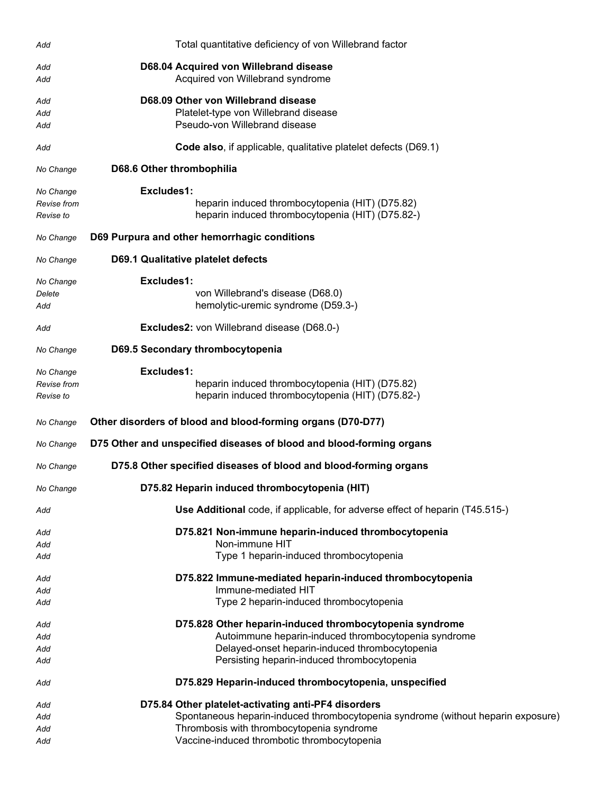| Add                                   | Total quantitative deficiency of von Willebrand factor                                                                                                                                                                              |
|---------------------------------------|-------------------------------------------------------------------------------------------------------------------------------------------------------------------------------------------------------------------------------------|
| Add<br>Add                            | D68.04 Acquired von Willebrand disease<br>Acquired von Willebrand syndrome                                                                                                                                                          |
| Add<br>Add<br>Add                     | D68.09 Other von Willebrand disease<br>Platelet-type von Willebrand disease<br>Pseudo-von Willebrand disease                                                                                                                        |
| Add                                   | Code also, if applicable, qualitative platelet defects (D69.1)                                                                                                                                                                      |
| No Change                             | D68.6 Other thrombophilia                                                                                                                                                                                                           |
| No Change<br>Revise from<br>Revise to | Excludes1:<br>heparin induced thrombocytopenia (HIT) (D75.82)<br>heparin induced thrombocytopenia (HIT) (D75.82-)                                                                                                                   |
| No Change                             | D69 Purpura and other hemorrhagic conditions                                                                                                                                                                                        |
| No Change                             | <b>D69.1 Qualitative platelet defects</b>                                                                                                                                                                                           |
| No Change<br>Delete<br>Add            | Excludes1:<br>von Willebrand's disease (D68.0)<br>hemolytic-uremic syndrome (D59.3-)                                                                                                                                                |
| Add                                   | <b>Excludes2:</b> von Willebrand disease (D68.0-)                                                                                                                                                                                   |
| No Change                             | D69.5 Secondary thrombocytopenia                                                                                                                                                                                                    |
| No Change<br>Revise from<br>Revise to | Excludes1:<br>heparin induced thrombocytopenia (HIT) (D75.82)<br>heparin induced thrombocytopenia (HIT) (D75.82-)                                                                                                                   |
| No Change                             | Other disorders of blood and blood-forming organs (D70-D77)                                                                                                                                                                         |
| No Change                             | D75 Other and unspecified diseases of blood and blood-forming organs                                                                                                                                                                |
| No Change                             | D75.8 Other specified diseases of blood and blood-forming organs                                                                                                                                                                    |
| No Change                             | D75.82 Heparin induced thrombocytopenia (HIT)                                                                                                                                                                                       |
| Add                                   | Use Additional code, if applicable, for adverse effect of heparin (T45.515-)                                                                                                                                                        |
| Add<br>Add<br>Add                     | D75.821 Non-immune heparin-induced thrombocytopenia<br>Non-immune HIT<br>Type 1 heparin-induced thrombocytopenia                                                                                                                    |
| Add<br>Add<br>Add                     | D75.822 Immune-mediated heparin-induced thrombocytopenia<br>Immune-mediated HIT<br>Type 2 heparin-induced thrombocytopenia                                                                                                          |
| Add<br>Add<br>Add<br>Add              | D75.828 Other heparin-induced thrombocytopenia syndrome<br>Autoimmune heparin-induced thrombocytopenia syndrome<br>Delayed-onset heparin-induced thrombocytopenia<br>Persisting heparin-induced thrombocytopenia                    |
| Add                                   | D75.829 Heparin-induced thrombocytopenia, unspecified                                                                                                                                                                               |
| Add<br>Add<br>Add<br>Add              | D75.84 Other platelet-activating anti-PF4 disorders<br>Spontaneous heparin-induced thrombocytopenia syndrome (without heparin exposure)<br>Thrombosis with thrombocytopenia syndrome<br>Vaccine-induced thrombotic thrombocytopenia |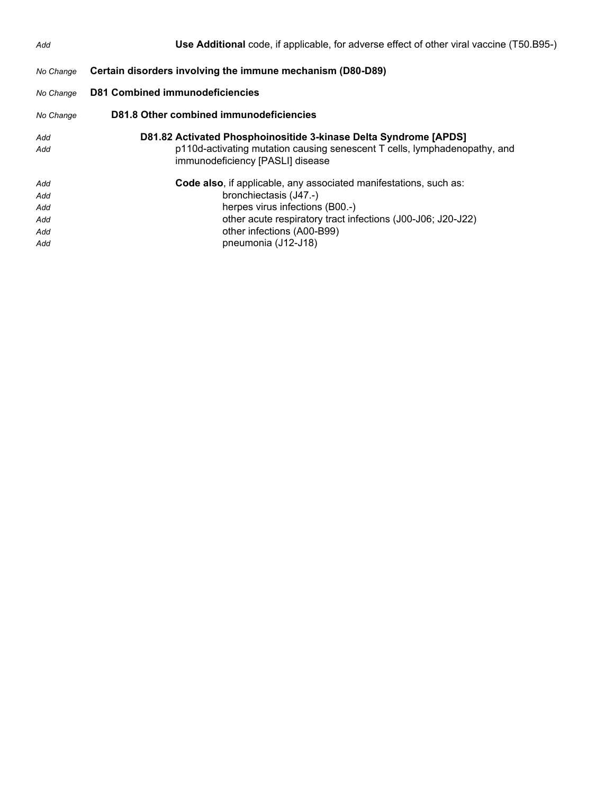| Add                                    | Use Additional code, if applicable, for adverse effect of other viral vaccine (T50.B95-)                                                                                                                                                           |
|----------------------------------------|----------------------------------------------------------------------------------------------------------------------------------------------------------------------------------------------------------------------------------------------------|
| No Change                              | Certain disorders involving the immune mechanism (D80-D89)                                                                                                                                                                                         |
| No Change                              | <b>D81 Combined immunodeficiencies</b>                                                                                                                                                                                                             |
| No Change                              | D81.8 Other combined immunodeficiencies                                                                                                                                                                                                            |
| Add<br>Add                             | D81.82 Activated Phosphoinositide 3-kinase Delta Syndrome [APDS]<br>p110d-activating mutation causing senescent T cells, lymphadenopathy, and<br>immunodeficiency [PASLI] disease                                                                  |
| Add<br>Add<br>Add<br>Add<br>Add<br>Add | Code also, if applicable, any associated manifestations, such as:<br>bronchiectasis (J47.-)<br>herpes virus infections (B00.-)<br>other acute respiratory tract infections (J00-J06; J20-J22)<br>other infections (A00-B99)<br>pneumonia (J12-J18) |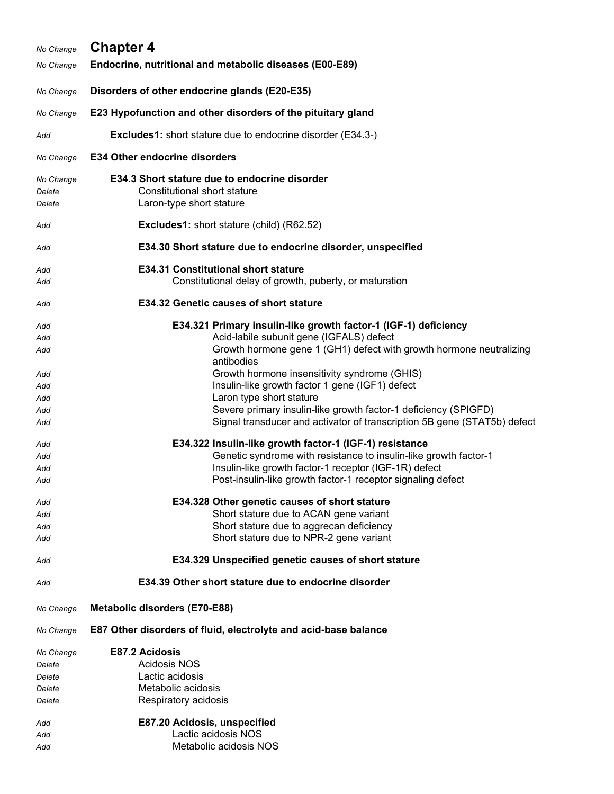| No Change                     | <b>Chapter 4</b>                                                                                                                            |
|-------------------------------|---------------------------------------------------------------------------------------------------------------------------------------------|
| No Change                     | Endocrine, nutritional and metabolic diseases (E00-E89)                                                                                     |
| No Change                     | Disorders of other endocrine glands (E20-E35)                                                                                               |
| No Change                     | E23 Hypofunction and other disorders of the pituitary gland                                                                                 |
| Add                           | <b>Excludes1:</b> short stature due to endocrine disorder (E34.3-)                                                                          |
| No Change                     | <b>E34 Other endocrine disorders</b>                                                                                                        |
| No Change<br>Delete<br>Delete | E34.3 Short stature due to endocrine disorder<br>Constitutional short stature<br>Laron-type short stature                                   |
| Add                           | <b>Excludes1:</b> short stature (child) (R62.52)                                                                                            |
| Add                           | E34.30 Short stature due to endocrine disorder, unspecified                                                                                 |
| Add<br>Add                    | <b>E34.31 Constitutional short stature</b><br>Constitutional delay of growth, puberty, or maturation                                        |
|                               |                                                                                                                                             |
| Add                           | E34.32 Genetic causes of short stature                                                                                                      |
| Add                           | E34.321 Primary insulin-like growth factor-1 (IGF-1) deficiency                                                                             |
| Add                           | Acid-labile subunit gene (IGFALS) defect                                                                                                    |
| Add                           | Growth hormone gene 1 (GH1) defect with growth hormone neutralizing<br>antibodies                                                           |
| Add                           | Growth hormone insensitivity syndrome (GHIS)                                                                                                |
| Add                           | Insulin-like growth factor 1 gene (IGF1) defect                                                                                             |
| Add                           | Laron type short stature                                                                                                                    |
| Add<br>Add                    | Severe primary insulin-like growth factor-1 deficiency (SPIGFD)<br>Signal transducer and activator of transcription 5B gene (STAT5b) defect |
| Add                           | E34.322 Insulin-like growth factor-1 (IGF-1) resistance                                                                                     |
| Add                           | Genetic syndrome with resistance to insulin-like growth factor-1                                                                            |
| Add                           | Insulin-like growth factor-1 receptor (IGF-1R) defect                                                                                       |
| Add                           | Post-insulin-like growth factor-1 receptor signaling defect                                                                                 |
| Add                           | E34.328 Other genetic causes of short stature                                                                                               |
| Add                           | Short stature due to ACAN gene variant                                                                                                      |
| Add                           | Short stature due to aggrecan deficiency<br>Short stature due to NPR-2 gene variant                                                         |
| Add                           |                                                                                                                                             |
| Add                           | E34.329 Unspecified genetic causes of short stature                                                                                         |
| Add                           | E34.39 Other short stature due to endocrine disorder                                                                                        |
| No Change                     | <b>Metabolic disorders (E70-E88)</b>                                                                                                        |
| No Change                     | E87 Other disorders of fluid, electrolyte and acid-base balance                                                                             |
| No Change                     | E87.2 Acidosis                                                                                                                              |
| Delete                        | Acidosis NOS                                                                                                                                |
| Delete                        | Lactic acidosis                                                                                                                             |
| Delete<br>Delete              | Metabolic acidosis<br>Respiratory acidosis                                                                                                  |
|                               |                                                                                                                                             |
| Add                           | E87.20 Acidosis, unspecified                                                                                                                |
| Add                           | Lactic acidosis NOS                                                                                                                         |
| Add                           | Metabolic acidosis NOS                                                                                                                      |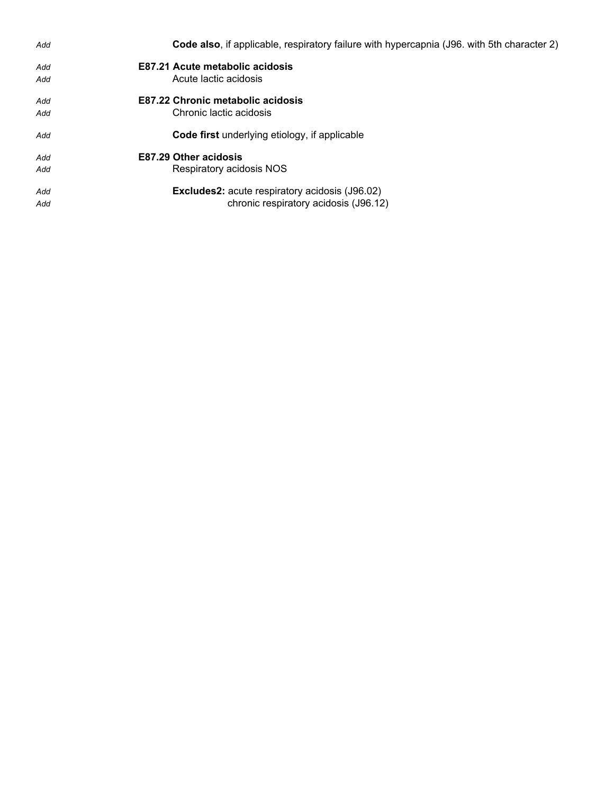| Add | <b>Code also, if applicable, respiratory failure with hypercapnia (J96. with 5th character 2)</b> |
|-----|---------------------------------------------------------------------------------------------------|
| Add | E87.21 Acute metabolic acidosis                                                                   |
| Add | Acute lactic acidosis                                                                             |
| Add | <b>E87.22 Chronic metabolic acidosis</b>                                                          |
| Add | Chronic lactic acidosis                                                                           |
| Add | <b>Code first</b> underlying etiology, if applicable                                              |
| Add | <b>E87.29 Other acidosis</b>                                                                      |
| Add | Respiratory acidosis NOS                                                                          |
| Add | <b>Excludes2:</b> acute respiratory acidosis (J96.02)                                             |
| Add | chronic respiratory acidosis (J96.12)                                                             |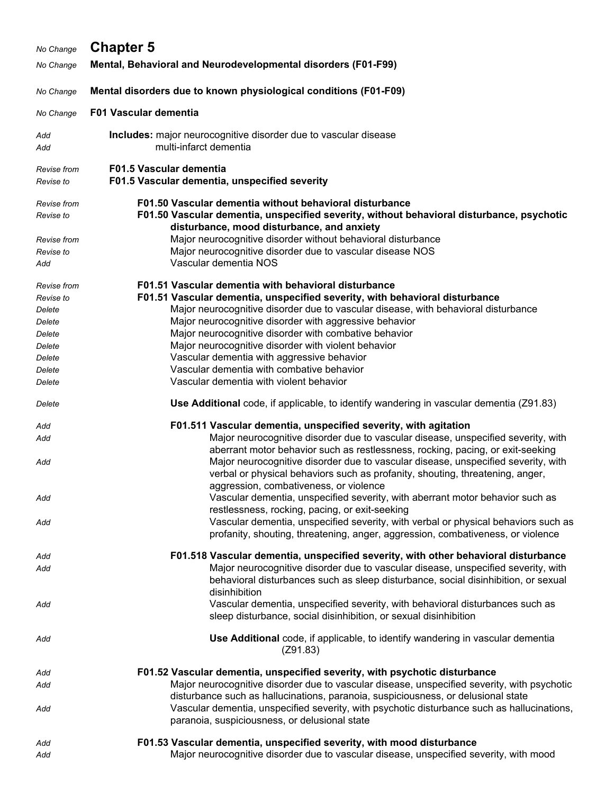| No Change                                                                                      | <b>Chapter 5</b>                                                                                                                                                                                                                                                                                                                                                                                                                                                                                                                          |
|------------------------------------------------------------------------------------------------|-------------------------------------------------------------------------------------------------------------------------------------------------------------------------------------------------------------------------------------------------------------------------------------------------------------------------------------------------------------------------------------------------------------------------------------------------------------------------------------------------------------------------------------------|
| No Change                                                                                      | Mental, Behavioral and Neurodevelopmental disorders (F01-F99)                                                                                                                                                                                                                                                                                                                                                                                                                                                                             |
| No Change                                                                                      | Mental disorders due to known physiological conditions (F01-F09)                                                                                                                                                                                                                                                                                                                                                                                                                                                                          |
| No Change                                                                                      | <b>F01 Vascular dementia</b>                                                                                                                                                                                                                                                                                                                                                                                                                                                                                                              |
| Add<br>Add                                                                                     | Includes: major neurocognitive disorder due to vascular disease<br>multi-infarct dementia                                                                                                                                                                                                                                                                                                                                                                                                                                                 |
| Revise from<br>Revise to                                                                       | <b>F01.5 Vascular dementia</b><br>F01.5 Vascular dementia, unspecified severity                                                                                                                                                                                                                                                                                                                                                                                                                                                           |
| Revise from<br>Revise to                                                                       | F01.50 Vascular dementia without behavioral disturbance<br>F01.50 Vascular dementia, unspecified severity, without behavioral disturbance, psychotic<br>disturbance, mood disturbance, and anxiety                                                                                                                                                                                                                                                                                                                                        |
| Revise from<br>Revise to<br>Add                                                                | Major neurocognitive disorder without behavioral disturbance<br>Major neurocognitive disorder due to vascular disease NOS<br>Vascular dementia NOS                                                                                                                                                                                                                                                                                                                                                                                        |
| Revise from<br>Revise to<br>Delete<br>Delete<br>Delete<br>Delete<br>Delete<br>Delete<br>Delete | F01.51 Vascular dementia with behavioral disturbance<br>F01.51 Vascular dementia, unspecified severity, with behavioral disturbance<br>Major neurocognitive disorder due to vascular disease, with behavioral disturbance<br>Major neurocognitive disorder with aggressive behavior<br>Major neurocognitive disorder with combative behavior<br>Major neurocognitive disorder with violent behavior<br>Vascular dementia with aggressive behavior<br>Vascular dementia with combative behavior<br>Vascular dementia with violent behavior |
| Delete                                                                                         | Use Additional code, if applicable, to identify wandering in vascular dementia (Z91.83)                                                                                                                                                                                                                                                                                                                                                                                                                                                   |
| Add<br>Add                                                                                     | F01.511 Vascular dementia, unspecified severity, with agitation<br>Major neurocognitive disorder due to vascular disease, unspecified severity, with                                                                                                                                                                                                                                                                                                                                                                                      |
| Add                                                                                            | aberrant motor behavior such as restlessness, rocking, pacing, or exit-seeking<br>Major neurocognitive disorder due to vascular disease, unspecified severity, with<br>verbal or physical behaviors such as profanity, shouting, threatening, anger,<br>aggression, combativeness, or violence                                                                                                                                                                                                                                            |
| Add                                                                                            | Vascular dementia, unspecified severity, with aberrant motor behavior such as<br>restlessness, rocking, pacing, or exit-seeking                                                                                                                                                                                                                                                                                                                                                                                                           |
| Add                                                                                            | Vascular dementia, unspecified severity, with verbal or physical behaviors such as<br>profanity, shouting, threatening, anger, aggression, combativeness, or violence                                                                                                                                                                                                                                                                                                                                                                     |
| Add<br>Add                                                                                     | F01.518 Vascular dementia, unspecified severity, with other behavioral disturbance<br>Major neurocognitive disorder due to vascular disease, unspecified severity, with<br>behavioral disturbances such as sleep disturbance, social disinhibition, or sexual<br>disinhibition                                                                                                                                                                                                                                                            |
| Add                                                                                            | Vascular dementia, unspecified severity, with behavioral disturbances such as<br>sleep disturbance, social disinhibition, or sexual disinhibition                                                                                                                                                                                                                                                                                                                                                                                         |
| Add                                                                                            | Use Additional code, if applicable, to identify wandering in vascular dementia<br>(Z91.83)                                                                                                                                                                                                                                                                                                                                                                                                                                                |
| Add                                                                                            | F01.52 Vascular dementia, unspecified severity, with psychotic disturbance                                                                                                                                                                                                                                                                                                                                                                                                                                                                |
| Add                                                                                            | Major neurocognitive disorder due to vascular disease, unspecified severity, with psychotic<br>disturbance such as hallucinations, paranoia, suspiciousness, or delusional state                                                                                                                                                                                                                                                                                                                                                          |
| Add                                                                                            | Vascular dementia, unspecified severity, with psychotic disturbance such as hallucinations,<br>paranoia, suspiciousness, or delusional state                                                                                                                                                                                                                                                                                                                                                                                              |
| Add                                                                                            | F01.53 Vascular dementia, unspecified severity, with mood disturbance                                                                                                                                                                                                                                                                                                                                                                                                                                                                     |
| Add                                                                                            | Major neurocognitive disorder due to vascular disease, unspecified severity, with mood                                                                                                                                                                                                                                                                                                                                                                                                                                                    |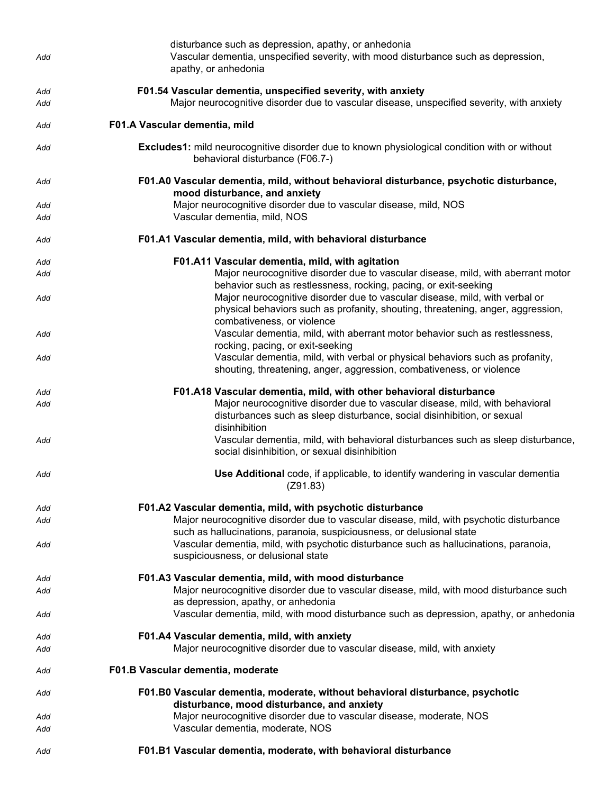| Add        | disturbance such as depression, apathy, or anhedonia<br>Vascular dementia, unspecified severity, with mood disturbance such as depression,<br>apathy, or anhedonia                                                                |
|------------|-----------------------------------------------------------------------------------------------------------------------------------------------------------------------------------------------------------------------------------|
| Add<br>Add | F01.54 Vascular dementia, unspecified severity, with anxiety<br>Major neurocognitive disorder due to vascular disease, unspecified severity, with anxiety                                                                         |
| Add        | F01.A Vascular dementia, mild                                                                                                                                                                                                     |
| Add        | Excludes1: mild neurocognitive disorder due to known physiological condition with or without<br>behavioral disturbance (F06.7-)                                                                                                   |
| Add        | F01.A0 Vascular dementia, mild, without behavioral disturbance, psychotic disturbance,<br>mood disturbance, and anxiety                                                                                                           |
| Add<br>Add | Major neurocognitive disorder due to vascular disease, mild, NOS<br>Vascular dementia, mild, NOS                                                                                                                                  |
| Add        | F01.A1 Vascular dementia, mild, with behavioral disturbance                                                                                                                                                                       |
| Add        | F01.A11 Vascular dementia, mild, with agitation                                                                                                                                                                                   |
| Add        | Major neurocognitive disorder due to vascular disease, mild, with aberrant motor                                                                                                                                                  |
| Add        | behavior such as restlessness, rocking, pacing, or exit-seeking<br>Major neurocognitive disorder due to vascular disease, mild, with verbal or<br>physical behaviors such as profanity, shouting, threatening, anger, aggression, |
| Add        | combativeness, or violence<br>Vascular dementia, mild, with aberrant motor behavior such as restlessness,<br>rocking, pacing, or exit-seeking                                                                                     |
| Add        | Vascular dementia, mild, with verbal or physical behaviors such as profanity,<br>shouting, threatening, anger, aggression, combativeness, or violence                                                                             |
| Add        | F01.A18 Vascular dementia, mild, with other behavioral disturbance                                                                                                                                                                |
| Add        | Major neurocognitive disorder due to vascular disease, mild, with behavioral<br>disturbances such as sleep disturbance, social disinhibition, or sexual<br>disinhibition                                                          |
| Add        | Vascular dementia, mild, with behavioral disturbances such as sleep disturbance,<br>social disinhibition, or sexual disinhibition                                                                                                 |
| Add        | Use Additional code, if applicable, to identify wandering in vascular dementia<br>(Z91.83)                                                                                                                                        |
| Add        | F01.A2 Vascular dementia, mild, with psychotic disturbance                                                                                                                                                                        |
| Add        | Major neurocognitive disorder due to vascular disease, mild, with psychotic disturbance<br>such as hallucinations, paranoia, suspiciousness, or delusional state                                                                  |
| Add        | Vascular dementia, mild, with psychotic disturbance such as hallucinations, paranoia,<br>suspiciousness, or delusional state                                                                                                      |
| Add        | F01.A3 Vascular dementia, mild, with mood disturbance                                                                                                                                                                             |
| Add        | Major neurocognitive disorder due to vascular disease, mild, with mood disturbance such<br>as depression, apathy, or anhedonia                                                                                                    |
| Add        | Vascular dementia, mild, with mood disturbance such as depression, apathy, or anhedonia                                                                                                                                           |
| Add        | F01.A4 Vascular dementia, mild, with anxiety                                                                                                                                                                                      |
| Add        | Major neurocognitive disorder due to vascular disease, mild, with anxiety                                                                                                                                                         |
| Add        | F01.B Vascular dementia, moderate                                                                                                                                                                                                 |
| Add        | F01.B0 Vascular dementia, moderate, without behavioral disturbance, psychotic<br>disturbance, mood disturbance, and anxiety                                                                                                       |
| Add        | Major neurocognitive disorder due to vascular disease, moderate, NOS                                                                                                                                                              |
| Add        | Vascular dementia, moderate, NOS                                                                                                                                                                                                  |
| Add        | F01.B1 Vascular dementia, moderate, with behavioral disturbance                                                                                                                                                                   |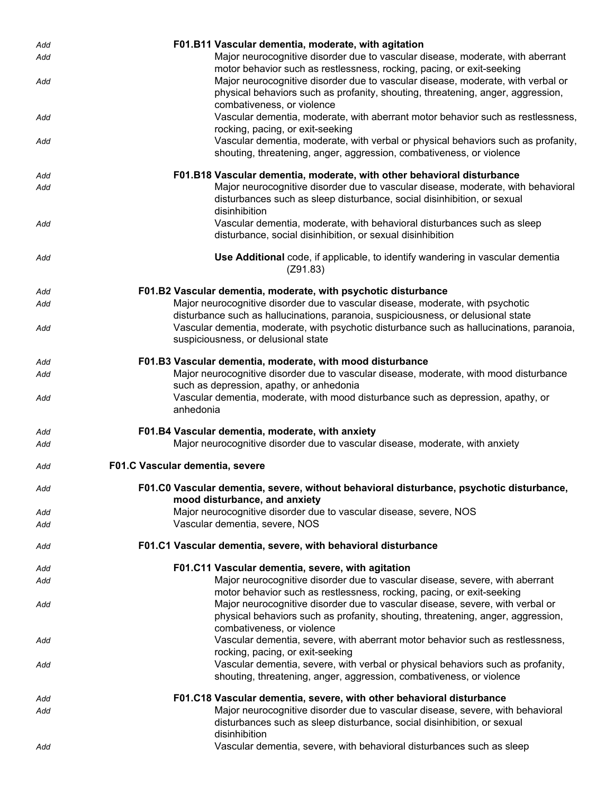| Add | F01.B11 Vascular dementia, moderate, with agitation                                                                                                                                              |
|-----|--------------------------------------------------------------------------------------------------------------------------------------------------------------------------------------------------|
| Add | Major neurocognitive disorder due to vascular disease, moderate, with aberrant<br>motor behavior such as restlessness, rocking, pacing, or exit-seeking                                          |
| Add | Major neurocognitive disorder due to vascular disease, moderate, with verbal or<br>physical behaviors such as profanity, shouting, threatening, anger, aggression,<br>combativeness, or violence |
| Add | Vascular dementia, moderate, with aberrant motor behavior such as restlessness,<br>rocking, pacing, or exit-seeking                                                                              |
| Add | Vascular dementia, moderate, with verbal or physical behaviors such as profanity,<br>shouting, threatening, anger, aggression, combativeness, or violence                                        |
| Add | F01.B18 Vascular dementia, moderate, with other behavioral disturbance                                                                                                                           |
| Add | Major neurocognitive disorder due to vascular disease, moderate, with behavioral<br>disturbances such as sleep disturbance, social disinhibition, or sexual<br>disinhibition                     |
| Add | Vascular dementia, moderate, with behavioral disturbances such as sleep<br>disturbance, social disinhibition, or sexual disinhibition                                                            |
| Add | Use Additional code, if applicable, to identify wandering in vascular dementia<br>(Z91.83)                                                                                                       |
| Add | F01.B2 Vascular dementia, moderate, with psychotic disturbance                                                                                                                                   |
| Add | Major neurocognitive disorder due to vascular disease, moderate, with psychotic<br>disturbance such as hallucinations, paranoia, suspiciousness, or delusional state                             |
| Add | Vascular dementia, moderate, with psychotic disturbance such as hallucinations, paranoia,<br>suspiciousness, or delusional state                                                                 |
| Add | F01.B3 Vascular dementia, moderate, with mood disturbance                                                                                                                                        |
| Add | Major neurocognitive disorder due to vascular disease, moderate, with mood disturbance<br>such as depression, apathy, or anhedonia                                                               |
| Add | Vascular dementia, moderate, with mood disturbance such as depression, apathy, or<br>anhedonia                                                                                                   |
| Add | F01.B4 Vascular dementia, moderate, with anxiety                                                                                                                                                 |
| Add | Major neurocognitive disorder due to vascular disease, moderate, with anxiety                                                                                                                    |
| Add | F01.C Vascular dementia, severe                                                                                                                                                                  |
| Add | F01.C0 Vascular dementia, severe, without behavioral disturbance, psychotic disturbance,<br>mood disturbance, and anxiety                                                                        |
| Add | Major neurocognitive disorder due to vascular disease, severe, NOS                                                                                                                               |
| Add | Vascular dementia, severe, NOS                                                                                                                                                                   |
| Add | F01.C1 Vascular dementia, severe, with behavioral disturbance                                                                                                                                    |
| Add | F01.C11 Vascular dementia, severe, with agitation                                                                                                                                                |
| Add | Major neurocognitive disorder due to vascular disease, severe, with aberrant<br>motor behavior such as restlessness, rocking, pacing, or exit-seeking                                            |
| Add | Major neurocognitive disorder due to vascular disease, severe, with verbal or<br>physical behaviors such as profanity, shouting, threatening, anger, aggression,                                 |
|     | combativeness, or violence                                                                                                                                                                       |
| Add | Vascular dementia, severe, with aberrant motor behavior such as restlessness,<br>rocking, pacing, or exit-seeking                                                                                |
| Add | Vascular dementia, severe, with verbal or physical behaviors such as profanity,<br>shouting, threatening, anger, aggression, combativeness, or violence                                          |
| Add | F01.C18 Vascular dementia, severe, with other behavioral disturbance                                                                                                                             |
| Add | Major neurocognitive disorder due to vascular disease, severe, with behavioral<br>disturbances such as sleep disturbance, social disinhibition, or sexual<br>disinhibition                       |
| Add | Vascular dementia, severe, with behavioral disturbances such as sleep                                                                                                                            |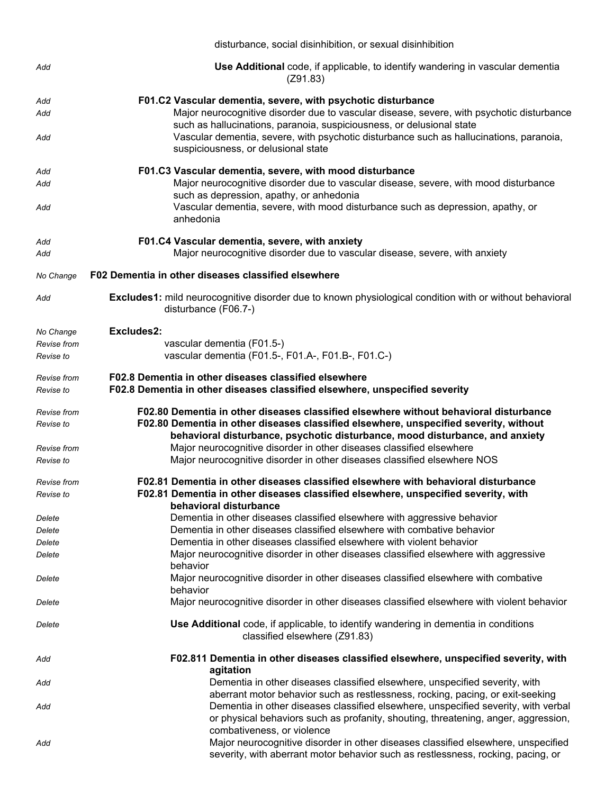|                          | disturbance, social disinhibition, or sexual disinhibition                                                                                                                                                                                                                               |  |  |
|--------------------------|------------------------------------------------------------------------------------------------------------------------------------------------------------------------------------------------------------------------------------------------------------------------------------------|--|--|
| Add                      | <b>Use Additional</b> code, if applicable, to identify wandering in vascular dementia<br>(Z91.83)                                                                                                                                                                                        |  |  |
| Add                      | F01.C2 Vascular dementia, severe, with psychotic disturbance                                                                                                                                                                                                                             |  |  |
| Add                      | Major neurocognitive disorder due to vascular disease, severe, with psychotic disturbance<br>such as hallucinations, paranoia, suspiciousness, or delusional state                                                                                                                       |  |  |
| Add                      | Vascular dementia, severe, with psychotic disturbance such as hallucinations, paranoia,<br>suspiciousness, or delusional state                                                                                                                                                           |  |  |
| Add                      | F01.C3 Vascular dementia, severe, with mood disturbance                                                                                                                                                                                                                                  |  |  |
| Add<br>Add               | Major neurocognitive disorder due to vascular disease, severe, with mood disturbance<br>such as depression, apathy, or anhedonia<br>Vascular dementia, severe, with mood disturbance such as depression, apathy, or                                                                      |  |  |
|                          | anhedonia                                                                                                                                                                                                                                                                                |  |  |
| Add                      | F01.C4 Vascular dementia, severe, with anxiety                                                                                                                                                                                                                                           |  |  |
| Add                      | Major neurocognitive disorder due to vascular disease, severe, with anxiety                                                                                                                                                                                                              |  |  |
| No Change                | F02 Dementia in other diseases classified elsewhere                                                                                                                                                                                                                                      |  |  |
| Add                      | <b>Excludes1:</b> mild neurocognitive disorder due to known physiological condition with or without behavioral<br>disturbance (F06.7-)                                                                                                                                                   |  |  |
| No Change                | Excludes2:                                                                                                                                                                                                                                                                               |  |  |
| Revise from              | vascular dementia (F01.5-)                                                                                                                                                                                                                                                               |  |  |
| Revise to                | vascular dementia (F01.5-, F01.A-, F01.B-, F01.C-)                                                                                                                                                                                                                                       |  |  |
| Revise from<br>Revise to | F02.8 Dementia in other diseases classified elsewhere<br>F02.8 Dementia in other diseases classified elsewhere, unspecified severity                                                                                                                                                     |  |  |
| Revise from              | F02.80 Dementia in other diseases classified elsewhere without behavioral disturbance                                                                                                                                                                                                    |  |  |
| Revise to                | F02.80 Dementia in other diseases classified elsewhere, unspecified severity, without<br>behavioral disturbance, psychotic disturbance, mood disturbance, and anxiety                                                                                                                    |  |  |
| Revise from              | Major neurocognitive disorder in other diseases classified elsewhere                                                                                                                                                                                                                     |  |  |
| Revise to                | Major neurocognitive disorder in other diseases classified elsewhere NOS                                                                                                                                                                                                                 |  |  |
| Revise from              | F02.81 Dementia in other diseases classified elsewhere with behavioral disturbance                                                                                                                                                                                                       |  |  |
| Revise to                | F02.81 Dementia in other diseases classified elsewhere, unspecified severity, with<br>behavioral disturbance                                                                                                                                                                             |  |  |
| Delete                   | Dementia in other diseases classified elsewhere with aggressive behavior                                                                                                                                                                                                                 |  |  |
| Delete                   |                                                                                                                                                                                                                                                                                          |  |  |
| Delete                   | Dementia in other diseases classified elsewhere with combative behavior                                                                                                                                                                                                                  |  |  |
|                          | Dementia in other diseases classified elsewhere with violent behavior                                                                                                                                                                                                                    |  |  |
| Delete                   | Major neurocognitive disorder in other diseases classified elsewhere with aggressive<br>behavior                                                                                                                                                                                         |  |  |
| Delete                   | Major neurocognitive disorder in other diseases classified elsewhere with combative<br>behavior                                                                                                                                                                                          |  |  |
| Delete                   | Major neurocognitive disorder in other diseases classified elsewhere with violent behavior                                                                                                                                                                                               |  |  |
| Delete                   | Use Additional code, if applicable, to identify wandering in dementia in conditions<br>classified elsewhere (Z91.83)                                                                                                                                                                     |  |  |
| Add                      | F02.811 Dementia in other diseases classified elsewhere, unspecified severity, with<br>agitation                                                                                                                                                                                         |  |  |
| Add                      | Dementia in other diseases classified elsewhere, unspecified severity, with                                                                                                                                                                                                              |  |  |
| Add                      | aberrant motor behavior such as restlessness, rocking, pacing, or exit-seeking<br>Dementia in other diseases classified elsewhere, unspecified severity, with verbal<br>or physical behaviors such as profanity, shouting, threatening, anger, aggression,<br>combativeness, or violence |  |  |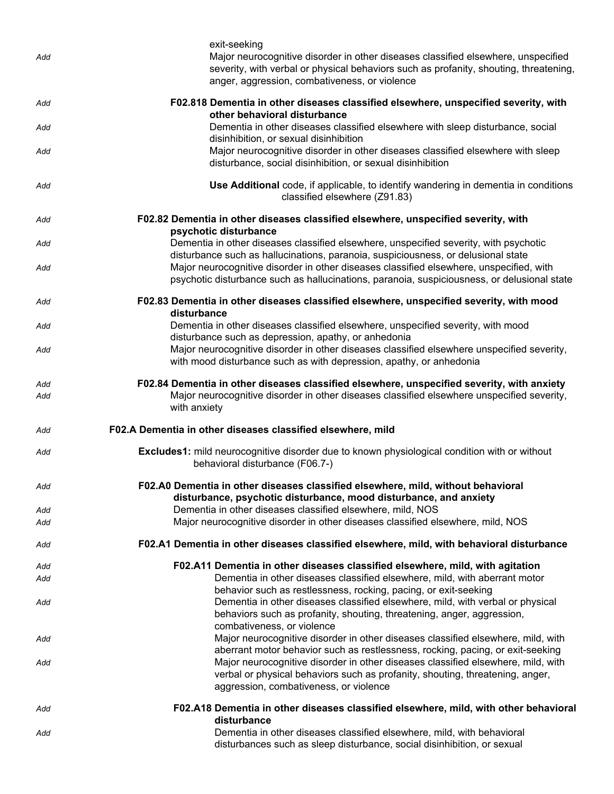| Add        | exit-seeking<br>Major neurocognitive disorder in other diseases classified elsewhere, unspecified<br>severity, with verbal or physical behaviors such as profanity, shouting, threatening,<br>anger, aggression, combativeness, or violence                                                   |
|------------|-----------------------------------------------------------------------------------------------------------------------------------------------------------------------------------------------------------------------------------------------------------------------------------------------|
| Add        | F02.818 Dementia in other diseases classified elsewhere, unspecified severity, with<br>other behavioral disturbance                                                                                                                                                                           |
| Add        | Dementia in other diseases classified elsewhere with sleep disturbance, social<br>disinhibition, or sexual disinhibition                                                                                                                                                                      |
| Add        | Major neurocognitive disorder in other diseases classified elsewhere with sleep<br>disturbance, social disinhibition, or sexual disinhibition                                                                                                                                                 |
| Add        | Use Additional code, if applicable, to identify wandering in dementia in conditions<br>classified elsewhere (Z91.83)                                                                                                                                                                          |
| Add        | F02.82 Dementia in other diseases classified elsewhere, unspecified severity, with<br>psychotic disturbance                                                                                                                                                                                   |
| Add        | Dementia in other diseases classified elsewhere, unspecified severity, with psychotic<br>disturbance such as hallucinations, paranoia, suspiciousness, or delusional state                                                                                                                    |
| Add        | Major neurocognitive disorder in other diseases classified elsewhere, unspecified, with<br>psychotic disturbance such as hallucinations, paranoia, suspiciousness, or delusional state                                                                                                        |
| Add        | F02.83 Dementia in other diseases classified elsewhere, unspecified severity, with mood<br>disturbance                                                                                                                                                                                        |
| Add        | Dementia in other diseases classified elsewhere, unspecified severity, with mood<br>disturbance such as depression, apathy, or anhedonia                                                                                                                                                      |
| Add        | Major neurocognitive disorder in other diseases classified elsewhere unspecified severity,<br>with mood disturbance such as with depression, apathy, or anhedonia                                                                                                                             |
| Add        | F02.84 Dementia in other diseases classified elsewhere, unspecified severity, with anxiety                                                                                                                                                                                                    |
| Add        | Major neurocognitive disorder in other diseases classified elsewhere unspecified severity,<br>with anxiety                                                                                                                                                                                    |
| Add        | F02.A Dementia in other diseases classified elsewhere, mild                                                                                                                                                                                                                                   |
| Add        | <b>Excludes1:</b> mild neurocognitive disorder due to known physiological condition with or without<br>behavioral disturbance (F06.7-)                                                                                                                                                        |
| Add        | F02.A0 Dementia in other diseases classified elsewhere, mild, without behavioral<br>disturbance, psychotic disturbance, mood disturbance, and anxiety                                                                                                                                         |
| Add<br>Add | Dementia in other diseases classified elsewhere, mild, NOS<br>Major neurocognitive disorder in other diseases classified elsewhere, mild, NOS                                                                                                                                                 |
| Add        | F02.A1 Dementia in other diseases classified elsewhere, mild, with behavioral disturbance                                                                                                                                                                                                     |
|            |                                                                                                                                                                                                                                                                                               |
| Add<br>Add | F02.A11 Dementia in other diseases classified elsewhere, mild, with agitation<br>Dementia in other diseases classified elsewhere, mild, with aberrant motor<br>behavior such as restlessness, rocking, pacing, or exit-seeking                                                                |
| Add        | Dementia in other diseases classified elsewhere, mild, with verbal or physical<br>behaviors such as profanity, shouting, threatening, anger, aggression,                                                                                                                                      |
| Add        | combativeness, or violence<br>Major neurocognitive disorder in other diseases classified elsewhere, mild, with                                                                                                                                                                                |
| Add        | aberrant motor behavior such as restlessness, rocking, pacing, or exit-seeking<br>Major neurocognitive disorder in other diseases classified elsewhere, mild, with<br>verbal or physical behaviors such as profanity, shouting, threatening, anger,<br>aggression, combativeness, or violence |
| Add        | F02.A18 Dementia in other diseases classified elsewhere, mild, with other behavioral<br>disturbance                                                                                                                                                                                           |
| Add        | Dementia in other diseases classified elsewhere, mild, with behavioral<br>disturbances such as sleep disturbance, social disinhibition, or sexual                                                                                                                                             |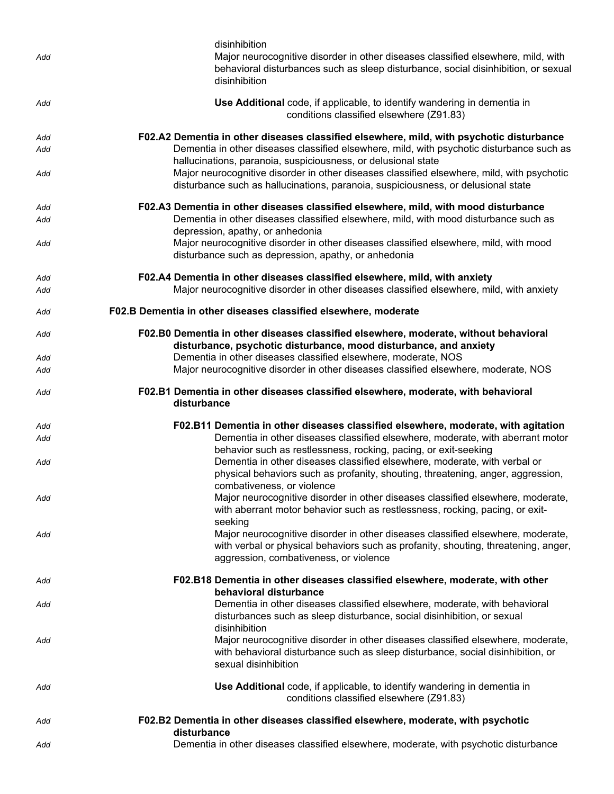| Add | disinhibition<br>Major neurocognitive disorder in other diseases classified elsewhere, mild, with<br>behavioral disturbances such as sleep disturbance, social disinhibition, or sexual<br>disinhibition        |  |  |
|-----|-----------------------------------------------------------------------------------------------------------------------------------------------------------------------------------------------------------------|--|--|
| Add | Use Additional code, if applicable, to identify wandering in dementia in<br>conditions classified elsewhere (Z91.83)                                                                                            |  |  |
| Add | F02.A2 Dementia in other diseases classified elsewhere, mild, with psychotic disturbance                                                                                                                        |  |  |
| Add | Dementia in other diseases classified elsewhere, mild, with psychotic disturbance such as<br>hallucinations, paranoia, suspiciousness, or delusional state                                                      |  |  |
| Add | Major neurocognitive disorder in other diseases classified elsewhere, mild, with psychotic<br>disturbance such as hallucinations, paranoia, suspiciousness, or delusional state                                 |  |  |
| Add | F02.A3 Dementia in other diseases classified elsewhere, mild, with mood disturbance                                                                                                                             |  |  |
| Add | Dementia in other diseases classified elsewhere, mild, with mood disturbance such as<br>depression, apathy, or anhedonia                                                                                        |  |  |
| Add | Major neurocognitive disorder in other diseases classified elsewhere, mild, with mood<br>disturbance such as depression, apathy, or anhedonia                                                                   |  |  |
| Add | F02.A4 Dementia in other diseases classified elsewhere, mild, with anxiety                                                                                                                                      |  |  |
| Add | Major neurocognitive disorder in other diseases classified elsewhere, mild, with anxiety                                                                                                                        |  |  |
| Add | F02.B Dementia in other diseases classified elsewhere, moderate                                                                                                                                                 |  |  |
| Add | F02.B0 Dementia in other diseases classified elsewhere, moderate, without behavioral<br>disturbance, psychotic disturbance, mood disturbance, and anxiety                                                       |  |  |
| Add | Dementia in other diseases classified elsewhere, moderate, NOS                                                                                                                                                  |  |  |
| Add | Major neurocognitive disorder in other diseases classified elsewhere, moderate, NOS                                                                                                                             |  |  |
| Add | F02.B1 Dementia in other diseases classified elsewhere, moderate, with behavioral<br>disturbance                                                                                                                |  |  |
| Add | F02.B11 Dementia in other diseases classified elsewhere, moderate, with agitation                                                                                                                               |  |  |
| Add | Dementia in other diseases classified elsewhere, moderate, with aberrant motor<br>behavior such as restlessness, rocking, pacing, or exit-seeking                                                               |  |  |
| Add | Dementia in other diseases classified elsewhere, moderate, with verbal or<br>physical behaviors such as profanity, shouting, threatening, anger, aggression,<br>combativeness, or violence                      |  |  |
| Add | Major neurocognitive disorder in other diseases classified elsewhere, moderate,<br>with aberrant motor behavior such as restlessness, rocking, pacing, or exit-<br>seeking                                      |  |  |
| Add | Major neurocognitive disorder in other diseases classified elsewhere, moderate,<br>with verbal or physical behaviors such as profanity, shouting, threatening, anger,<br>aggression, combativeness, or violence |  |  |
| Add | F02.B18 Dementia in other diseases classified elsewhere, moderate, with other<br>behavioral disturbance                                                                                                         |  |  |
| Add | Dementia in other diseases classified elsewhere, moderate, with behavioral<br>disturbances such as sleep disturbance, social disinhibition, or sexual<br>disinhibition                                          |  |  |
| Add | Major neurocognitive disorder in other diseases classified elsewhere, moderate,<br>with behavioral disturbance such as sleep disturbance, social disinhibition, or<br>sexual disinhibition                      |  |  |
| Add | Use Additional code, if applicable, to identify wandering in dementia in<br>conditions classified elsewhere (Z91.83)                                                                                            |  |  |
| Add | F02.B2 Dementia in other diseases classified elsewhere, moderate, with psychotic<br>disturbance                                                                                                                 |  |  |
| Add | Dementia in other diseases classified elsewhere, moderate, with psychotic disturbance                                                                                                                           |  |  |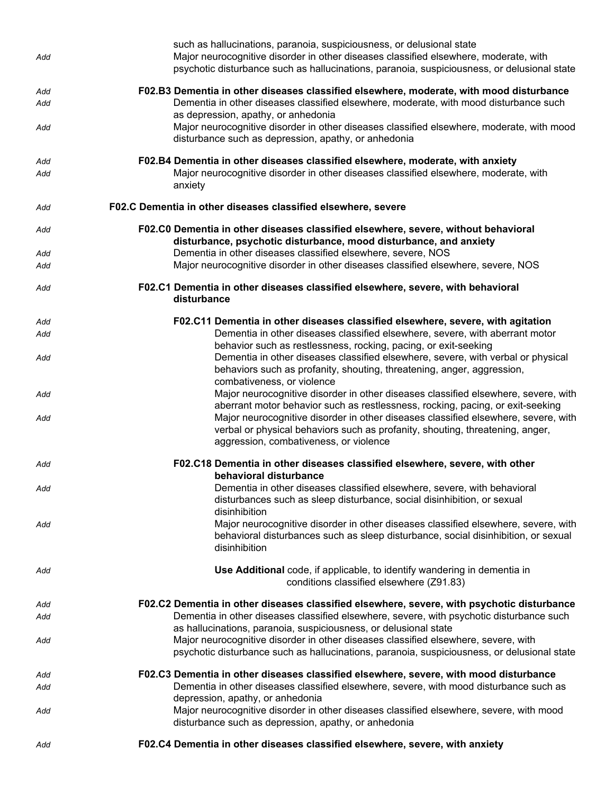| Add | such as hallucinations, paranoia, suspiciousness, or delusional state<br>Major neurocognitive disorder in other diseases classified elsewhere, moderate, with<br>psychotic disturbance such as hallucinations, paranoia, suspiciousness, or delusional state |  |
|-----|--------------------------------------------------------------------------------------------------------------------------------------------------------------------------------------------------------------------------------------------------------------|--|
| Add | F02.B3 Dementia in other diseases classified elsewhere, moderate, with mood disturbance                                                                                                                                                                      |  |
| Add | Dementia in other diseases classified elsewhere, moderate, with mood disturbance such                                                                                                                                                                        |  |
| Add | as depression, apathy, or anhedonia<br>Major neurocognitive disorder in other diseases classified elsewhere, moderate, with mood<br>disturbance such as depression, apathy, or anhedonia                                                                     |  |
| Add | F02.B4 Dementia in other diseases classified elsewhere, moderate, with anxiety                                                                                                                                                                               |  |
| Add | Major neurocognitive disorder in other diseases classified elsewhere, moderate, with<br>anxiety                                                                                                                                                              |  |
| Add | F02.C Dementia in other diseases classified elsewhere, severe                                                                                                                                                                                                |  |
| Add | F02.C0 Dementia in other diseases classified elsewhere, severe, without behavioral<br>disturbance, psychotic disturbance, mood disturbance, and anxiety                                                                                                      |  |
| Add | Dementia in other diseases classified elsewhere, severe, NOS<br>Major neurocognitive disorder in other diseases classified elsewhere, severe, NOS                                                                                                            |  |
| Add |                                                                                                                                                                                                                                                              |  |
| Add | F02.C1 Dementia in other diseases classified elsewhere, severe, with behavioral<br>disturbance                                                                                                                                                               |  |
| Add | F02.C11 Dementia in other diseases classified elsewhere, severe, with agitation                                                                                                                                                                              |  |
| Add | Dementia in other diseases classified elsewhere, severe, with aberrant motor<br>behavior such as restlessness, rocking, pacing, or exit-seeking                                                                                                              |  |
| Add | Dementia in other diseases classified elsewhere, severe, with verbal or physical<br>behaviors such as profanity, shouting, threatening, anger, aggression,<br>combativeness, or violence                                                                     |  |
| Add | Major neurocognitive disorder in other diseases classified elsewhere, severe, with<br>aberrant motor behavior such as restlessness, rocking, pacing, or exit-seeking                                                                                         |  |
| Add | Major neurocognitive disorder in other diseases classified elsewhere, severe, with<br>verbal or physical behaviors such as profanity, shouting, threatening, anger,<br>aggression, combativeness, or violence                                                |  |
| Add | F02.C18 Dementia in other diseases classified elsewhere, severe, with other<br>behavioral disturbance                                                                                                                                                        |  |
| Add | Dementia in other diseases classified elsewhere, severe, with behavioral<br>disturbances such as sleep disturbance, social disinhibition, or sexual                                                                                                          |  |
| Add | disinhibition<br>Major neurocognitive disorder in other diseases classified elsewhere, severe, with<br>behavioral disturbances such as sleep disturbance, social disinhibition, or sexual<br>disinhibition                                                   |  |
| Add | Use Additional code, if applicable, to identify wandering in dementia in<br>conditions classified elsewhere (Z91.83)                                                                                                                                         |  |
| Add | F02.C2 Dementia in other diseases classified elsewhere, severe, with psychotic disturbance                                                                                                                                                                   |  |
| Add | Dementia in other diseases classified elsewhere, severe, with psychotic disturbance such<br>as hallucinations, paranoia, suspiciousness, or delusional state                                                                                                 |  |
| Add | Major neurocognitive disorder in other diseases classified elsewhere, severe, with<br>psychotic disturbance such as hallucinations, paranoia, suspiciousness, or delusional state                                                                            |  |
| Add | F02.C3 Dementia in other diseases classified elsewhere, severe, with mood disturbance                                                                                                                                                                        |  |
| Add | Dementia in other diseases classified elsewhere, severe, with mood disturbance such as<br>depression, apathy, or anhedonia                                                                                                                                   |  |
| Add | Major neurocognitive disorder in other diseases classified elsewhere, severe, with mood<br>disturbance such as depression, apathy, or anhedonia                                                                                                              |  |
| Add | F02.C4 Dementia in other diseases classified elsewhere, severe, with anxiety                                                                                                                                                                                 |  |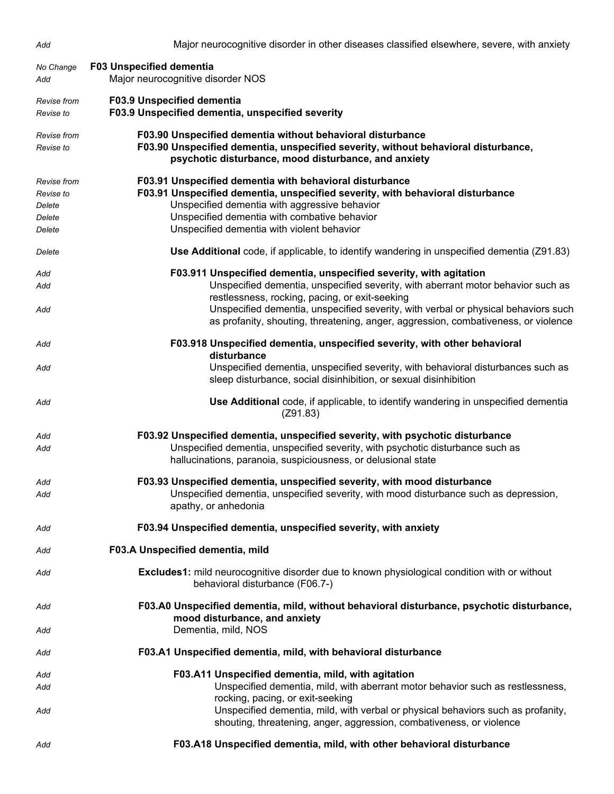| Add                                                    | Major neurocognitive disorder in other diseases classified elsewhere, severe, with anxiety                                                                                                                                                                                               |  |  |
|--------------------------------------------------------|------------------------------------------------------------------------------------------------------------------------------------------------------------------------------------------------------------------------------------------------------------------------------------------|--|--|
| No Change<br>Add                                       | <b>F03 Unspecified dementia</b><br>Major neurocognitive disorder NOS                                                                                                                                                                                                                     |  |  |
| Revise from<br>Revise to                               | F03.9 Unspecified dementia<br>F03.9 Unspecified dementia, unspecified severity                                                                                                                                                                                                           |  |  |
| Revise from<br>Revise to                               | F03.90 Unspecified dementia without behavioral disturbance<br>F03.90 Unspecified dementia, unspecified severity, without behavioral disturbance,<br>psychotic disturbance, mood disturbance, and anxiety                                                                                 |  |  |
| Revise from<br>Revise to<br>Delete<br>Delete<br>Delete | F03.91 Unspecified dementia with behavioral disturbance<br>F03.91 Unspecified dementia, unspecified severity, with behavioral disturbance<br>Unspecified dementia with aggressive behavior<br>Unspecified dementia with combative behavior<br>Unspecified dementia with violent behavior |  |  |
| Delete                                                 | Use Additional code, if applicable, to identify wandering in unspecified dementia (Z91.83)                                                                                                                                                                                               |  |  |
| Add<br>Add                                             | F03.911 Unspecified dementia, unspecified severity, with agitation<br>Unspecified dementia, unspecified severity, with aberrant motor behavior such as<br>restlessness, rocking, pacing, or exit-seeking                                                                                 |  |  |
| Add                                                    | Unspecified dementia, unspecified severity, with verbal or physical behaviors such<br>as profanity, shouting, threatening, anger, aggression, combativeness, or violence                                                                                                                 |  |  |
| Add                                                    | F03.918 Unspecified dementia, unspecified severity, with other behavioral<br>disturbance                                                                                                                                                                                                 |  |  |
| Add                                                    | Unspecified dementia, unspecified severity, with behavioral disturbances such as<br>sleep disturbance, social disinhibition, or sexual disinhibition                                                                                                                                     |  |  |
| Add                                                    | <b>Use Additional</b> code, if applicable, to identify wandering in unspecified dementia<br>(Z91.83)                                                                                                                                                                                     |  |  |
| Add<br>Add                                             | F03.92 Unspecified dementia, unspecified severity, with psychotic disturbance<br>Unspecified dementia, unspecified severity, with psychotic disturbance such as<br>hallucinations, paranoia, suspiciousness, or delusional state                                                         |  |  |
| Add<br>Add                                             | F03.93 Unspecified dementia, unspecified severity, with mood disturbance<br>Unspecified dementia, unspecified severity, with mood disturbance such as depression,<br>apathy, or anhedonia                                                                                                |  |  |
| Add                                                    | F03.94 Unspecified dementia, unspecified severity, with anxiety                                                                                                                                                                                                                          |  |  |
| Add                                                    | F03.A Unspecified dementia, mild                                                                                                                                                                                                                                                         |  |  |
| Add                                                    | <b>Excludes1:</b> mild neurocognitive disorder due to known physiological condition with or without<br>behavioral disturbance (F06.7-)                                                                                                                                                   |  |  |
| Add                                                    | F03.A0 Unspecified dementia, mild, without behavioral disturbance, psychotic disturbance,<br>mood disturbance, and anxiety                                                                                                                                                               |  |  |
| Add                                                    | Dementia, mild, NOS                                                                                                                                                                                                                                                                      |  |  |
| Add                                                    | F03.A1 Unspecified dementia, mild, with behavioral disturbance                                                                                                                                                                                                                           |  |  |
| Add                                                    | F03.A11 Unspecified dementia, mild, with agitation                                                                                                                                                                                                                                       |  |  |
| Add                                                    | Unspecified dementia, mild, with aberrant motor behavior such as restlessness,<br>rocking, pacing, or exit-seeking                                                                                                                                                                       |  |  |
| Add                                                    | Unspecified dementia, mild, with verbal or physical behaviors such as profanity,<br>shouting, threatening, anger, aggression, combativeness, or violence                                                                                                                                 |  |  |
| Add                                                    | F03.A18 Unspecified dementia, mild, with other behavioral disturbance                                                                                                                                                                                                                    |  |  |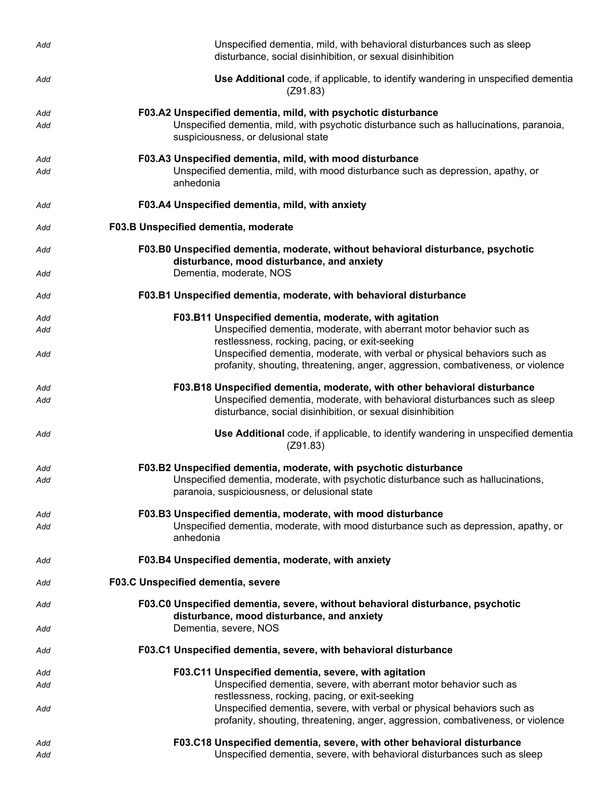| Add        | Unspecified dementia, mild, with behavioral disturbances such as sleep<br>disturbance, social disinhibition, or sexual disinhibition                                                                                                                                               |  |  |
|------------|------------------------------------------------------------------------------------------------------------------------------------------------------------------------------------------------------------------------------------------------------------------------------------|--|--|
| Add        | Use Additional code, if applicable, to identify wandering in unspecified dementia<br>(Z91.83)                                                                                                                                                                                      |  |  |
| Add<br>Add | F03.A2 Unspecified dementia, mild, with psychotic disturbance<br>Unspecified dementia, mild, with psychotic disturbance such as hallucinations, paranoia,<br>suspiciousness, or delusional state                                                                                   |  |  |
| Add<br>Add | F03.A3 Unspecified dementia, mild, with mood disturbance<br>Unspecified dementia, mild, with mood disturbance such as depression, apathy, or<br>anhedonia                                                                                                                          |  |  |
| Add        | F03.A4 Unspecified dementia, mild, with anxiety                                                                                                                                                                                                                                    |  |  |
| Add        | F03.B Unspecified dementia, moderate                                                                                                                                                                                                                                               |  |  |
| Add<br>Add | F03.B0 Unspecified dementia, moderate, without behavioral disturbance, psychotic<br>disturbance, mood disturbance, and anxiety<br>Dementia, moderate, NOS                                                                                                                          |  |  |
| Add        | F03.B1 Unspecified dementia, moderate, with behavioral disturbance                                                                                                                                                                                                                 |  |  |
|            |                                                                                                                                                                                                                                                                                    |  |  |
| Add<br>Add | F03.B11 Unspecified dementia, moderate, with agitation<br>Unspecified dementia, moderate, with aberrant motor behavior such as                                                                                                                                                     |  |  |
| Add        | restlessness, rocking, pacing, or exit-seeking<br>Unspecified dementia, moderate, with verbal or physical behaviors such as<br>profanity, shouting, threatening, anger, aggression, combativeness, or violence                                                                     |  |  |
| Add        | F03.B18 Unspecified dementia, moderate, with other behavioral disturbance                                                                                                                                                                                                          |  |  |
| Add        | Unspecified dementia, moderate, with behavioral disturbances such as sleep<br>disturbance, social disinhibition, or sexual disinhibition                                                                                                                                           |  |  |
| Add        | Use Additional code, if applicable, to identify wandering in unspecified dementia<br>(Z91.83)                                                                                                                                                                                      |  |  |
| Add<br>Add | F03.B2 Unspecified dementia, moderate, with psychotic disturbance<br>Unspecified dementia, moderate, with psychotic disturbance such as hallucinations,<br>paranoia, suspiciousness, or delusional state                                                                           |  |  |
| Add<br>Add | F03.B3 Unspecified dementia, moderate, with mood disturbance<br>Unspecified dementia, moderate, with mood disturbance such as depression, apathy, or<br>anhedonia                                                                                                                  |  |  |
| Add        | F03.B4 Unspecified dementia, moderate, with anxiety                                                                                                                                                                                                                                |  |  |
| Add        | F03.C Unspecified dementia, severe                                                                                                                                                                                                                                                 |  |  |
| Add        | F03.C0 Unspecified dementia, severe, without behavioral disturbance, psychotic<br>disturbance, mood disturbance, and anxiety                                                                                                                                                       |  |  |
| Add        | Dementia, severe, NOS                                                                                                                                                                                                                                                              |  |  |
| Add        | F03.C1 Unspecified dementia, severe, with behavioral disturbance                                                                                                                                                                                                                   |  |  |
| Add        | F03.C11 Unspecified dementia, severe, with agitation                                                                                                                                                                                                                               |  |  |
| Add<br>Add | Unspecified dementia, severe, with aberrant motor behavior such as<br>restlessness, rocking, pacing, or exit-seeking<br>Unspecified dementia, severe, with verbal or physical behaviors such as<br>profanity, shouting, threatening, anger, aggression, combativeness, or violence |  |  |
| Add        | F03.C18 Unspecified dementia, severe, with other behavioral disturbance                                                                                                                                                                                                            |  |  |
| Add        | Unspecified dementia, severe, with behavioral disturbances such as sleep                                                                                                                                                                                                           |  |  |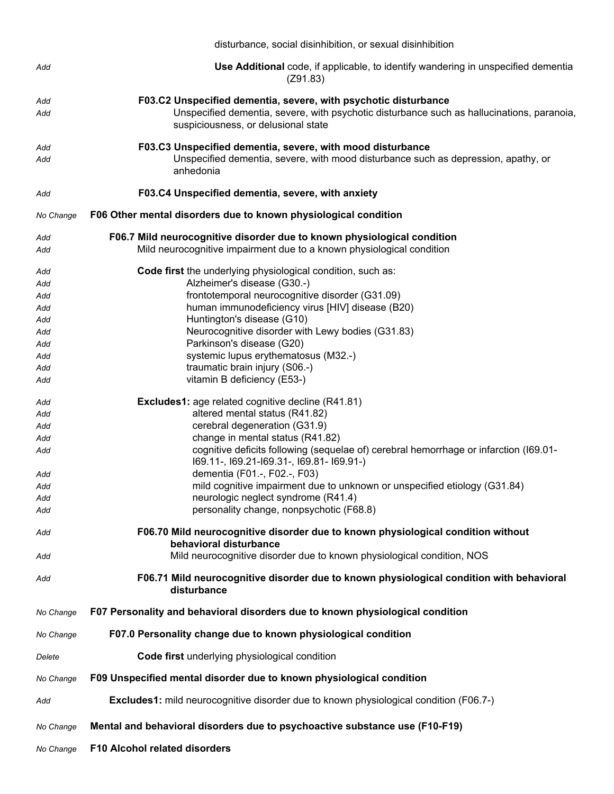|           | disturbance, social disinhibition, or sexual disinhibition                                                                        |  |
|-----------|-----------------------------------------------------------------------------------------------------------------------------------|--|
| Add       | Use Additional code, if applicable, to identify wandering in unspecified dementia<br>(Z91.83)                                     |  |
| Add       | F03.C2 Unspecified dementia, severe, with psychotic disturbance                                                                   |  |
| Add       | Unspecified dementia, severe, with psychotic disturbance such as hallucinations, paranoia,<br>suspiciousness, or delusional state |  |
| Add       | F03.C3 Unspecified dementia, severe, with mood disturbance                                                                        |  |
| Add       | Unspecified dementia, severe, with mood disturbance such as depression, apathy, or<br>anhedonia                                   |  |
| Add       | F03.C4 Unspecified dementia, severe, with anxiety                                                                                 |  |
| No Change | F06 Other mental disorders due to known physiological condition                                                                   |  |
| Add       | F06.7 Mild neurocognitive disorder due to known physiological condition                                                           |  |
| Add       | Mild neurocognitive impairment due to a known physiological condition                                                             |  |
| Add       | Code first the underlying physiological condition, such as:                                                                       |  |
| Add       | Alzheimer's disease (G30.-)                                                                                                       |  |
| Add       | frontotemporal neurocognitive disorder (G31.09)                                                                                   |  |
| Add       | human immunodeficiency virus [HIV] disease (B20)                                                                                  |  |
| Add       | Huntington's disease (G10)                                                                                                        |  |
| Add       | Neurocognitive disorder with Lewy bodies (G31.83)                                                                                 |  |
| Add       | Parkinson's disease (G20)                                                                                                         |  |
| Add       | systemic lupus erythematosus (M32.-)                                                                                              |  |
| Add       | traumatic brain injury (S06.-)                                                                                                    |  |
| Add       | vitamin B deficiency (E53-)                                                                                                       |  |
| Add       | <b>Excludes1:</b> age related cognitive decline (R41.81)                                                                          |  |
| Add       | altered mental status (R41.82)                                                                                                    |  |
| Add       | cerebral degeneration (G31.9)                                                                                                     |  |
| Add       | change in mental status (R41.82)                                                                                                  |  |
| Add       | cognitive deficits following (sequelae of) cerebral hemorrhage or infarction (I69.01-<br>169.11-, 169.21-169.31-, 169.81-169.91-) |  |
| Add       | dementia (F01.-, F02.-, F03)                                                                                                      |  |
| Add       | mild cognitive impairment due to unknown or unspecified etiology (G31.84)                                                         |  |
| Add       | neurologic neglect syndrome (R41.4)                                                                                               |  |
| Add       | personality change, nonpsychotic (F68.8)                                                                                          |  |
| Add       | F06.70 Mild neurocognitive disorder due to known physiological condition without<br>behavioral disturbance                        |  |
| Add       | Mild neurocognitive disorder due to known physiological condition, NOS                                                            |  |
| Add       | F06.71 Mild neurocognitive disorder due to known physiological condition with behavioral<br>disturbance                           |  |
| No Change | F07 Personality and behavioral disorders due to known physiological condition                                                     |  |
| No Change | F07.0 Personality change due to known physiological condition                                                                     |  |
| Delete    | Code first underlying physiological condition                                                                                     |  |
| No Change | F09 Unspecified mental disorder due to known physiological condition                                                              |  |
| Add       | <b>Excludes1:</b> mild neurocognitive disorder due to known physiological condition (F06.7-)                                      |  |
| No Change | Mental and behavioral disorders due to psychoactive substance use (F10-F19)                                                       |  |
| No Change | F10 Alcohol related disorders                                                                                                     |  |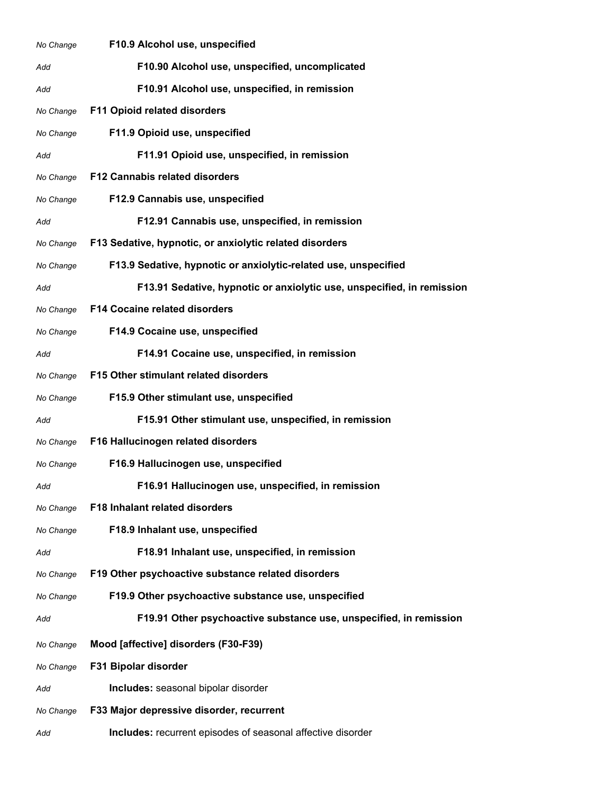| No Change | F10.9 Alcohol use, unspecified                                         |  |
|-----------|------------------------------------------------------------------------|--|
| Add       | F10.90 Alcohol use, unspecified, uncomplicated                         |  |
| Add       | F10.91 Alcohol use, unspecified, in remission                          |  |
| No Change | <b>F11 Opioid related disorders</b>                                    |  |
| No Change | F11.9 Opioid use, unspecified                                          |  |
| Add       | F11.91 Opioid use, unspecified, in remission                           |  |
| No Change | <b>F12 Cannabis related disorders</b>                                  |  |
| No Change | F12.9 Cannabis use, unspecified                                        |  |
| Add       | F12.91 Cannabis use, unspecified, in remission                         |  |
| No Change | F13 Sedative, hypnotic, or anxiolytic related disorders                |  |
| No Change | F13.9 Sedative, hypnotic or anxiolytic-related use, unspecified        |  |
| Add       | F13.91 Sedative, hypnotic or anxiolytic use, unspecified, in remission |  |
| No Change | <b>F14 Cocaine related disorders</b>                                   |  |
| No Change | F14.9 Cocaine use, unspecified                                         |  |
| Add       | F14.91 Cocaine use, unspecified, in remission                          |  |
| No Change | F15 Other stimulant related disorders                                  |  |
| No Change | F15.9 Other stimulant use, unspecified                                 |  |
| Add       | F15.91 Other stimulant use, unspecified, in remission                  |  |
| No Change | F16 Hallucinogen related disorders                                     |  |
| No Change | F16.9 Hallucinogen use, unspecified                                    |  |
| Add       | F16.91 Hallucinogen use, unspecified, in remission                     |  |
| No Change | F18 Inhalant related disorders                                         |  |
| No Change | F18.9 Inhalant use, unspecified                                        |  |
| Add       | F18.91 Inhalant use, unspecified, in remission                         |  |
| No Change | F19 Other psychoactive substance related disorders                     |  |
| No Change | F19.9 Other psychoactive substance use, unspecified                    |  |
| Add       | F19.91 Other psychoactive substance use, unspecified, in remission     |  |
| No Change | Mood [affective] disorders (F30-F39)                                   |  |
| No Change | F31 Bipolar disorder                                                   |  |
| Add       | Includes: seasonal bipolar disorder                                    |  |
| No Change | F33 Major depressive disorder, recurrent                               |  |
| Add       | Includes: recurrent episodes of seasonal affective disorder            |  |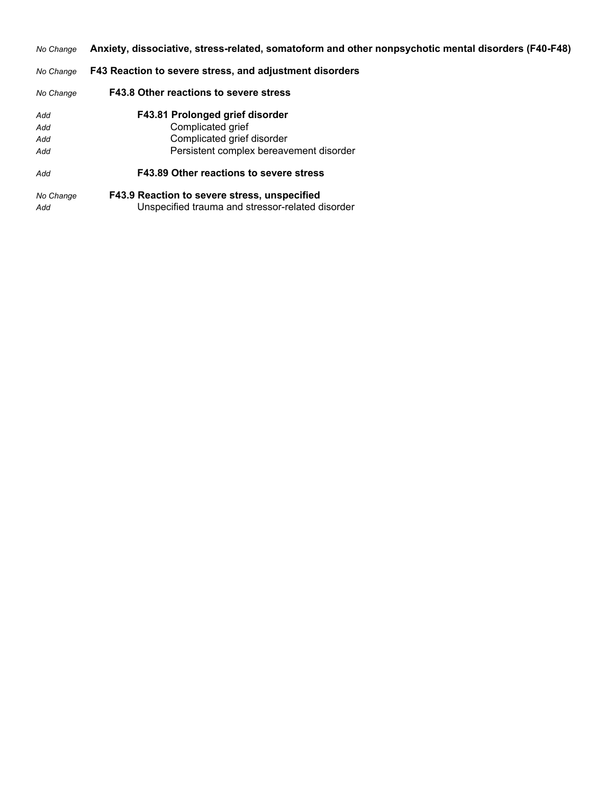*No Change* **Anxiety, dissociative, stress-related, somatoform and other nonpsychotic mental disorders (F40-F48)**

#### *No Change* **F43 Reaction to severe stress, and adjustment disorders**

| No Change        | F43.8 Other reactions to severe stress                                                           |
|------------------|--------------------------------------------------------------------------------------------------|
| Add              | F43.81 Prolonged grief disorder                                                                  |
| Add              | Complicated grief                                                                                |
| Add              | Complicated grief disorder                                                                       |
| Add              | Persistent complex bereavement disorder                                                          |
| Add              | F43.89 Other reactions to severe stress                                                          |
| No Change<br>Add | F43.9 Reaction to severe stress, unspecified<br>Unspecified trauma and stressor-related disorder |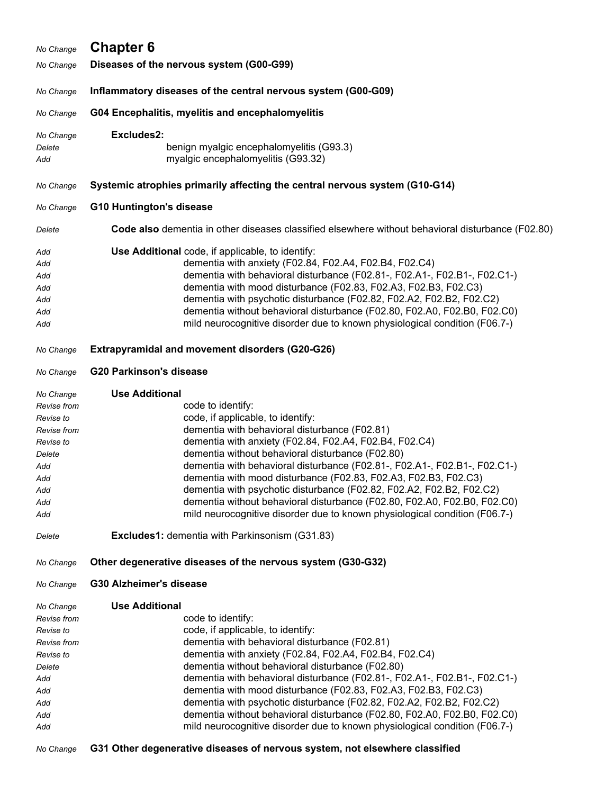| No Change                                                                                                      | <b>Chapter 6</b>                                                                                                                                                                                                                                                                                                                                                                                                                                                                                                                                                                                                                 |  |  |
|----------------------------------------------------------------------------------------------------------------|----------------------------------------------------------------------------------------------------------------------------------------------------------------------------------------------------------------------------------------------------------------------------------------------------------------------------------------------------------------------------------------------------------------------------------------------------------------------------------------------------------------------------------------------------------------------------------------------------------------------------------|--|--|
| No Change                                                                                                      | Diseases of the nervous system (G00-G99)                                                                                                                                                                                                                                                                                                                                                                                                                                                                                                                                                                                         |  |  |
| No Change                                                                                                      | Inflammatory diseases of the central nervous system (G00-G09)                                                                                                                                                                                                                                                                                                                                                                                                                                                                                                                                                                    |  |  |
| No Change                                                                                                      | G04 Encephalitis, myelitis and encephalomyelitis                                                                                                                                                                                                                                                                                                                                                                                                                                                                                                                                                                                 |  |  |
| No Change<br>Delete<br>Add                                                                                     | Excludes2:<br>benign myalgic encephalomyelitis (G93.3)<br>myalgic encephalomyelitis (G93.32)                                                                                                                                                                                                                                                                                                                                                                                                                                                                                                                                     |  |  |
| No Change                                                                                                      | Systemic atrophies primarily affecting the central nervous system (G10-G14)                                                                                                                                                                                                                                                                                                                                                                                                                                                                                                                                                      |  |  |
| No Change                                                                                                      | <b>G10 Huntington's disease</b>                                                                                                                                                                                                                                                                                                                                                                                                                                                                                                                                                                                                  |  |  |
| Delete                                                                                                         | Code also dementia in other diseases classified elsewhere without behavioral disturbance (F02.80)                                                                                                                                                                                                                                                                                                                                                                                                                                                                                                                                |  |  |
| Add<br>Add<br>Add<br>Add<br>Add<br>Add<br>Add                                                                  | Use Additional code, if applicable, to identify:<br>dementia with anxiety (F02.84, F02.A4, F02.B4, F02.C4)<br>dementia with behavioral disturbance (F02.81-, F02.A1-, F02.B1-, F02.C1-)<br>dementia with mood disturbance (F02.83, F02.A3, F02.B3, F02.C3)<br>dementia with psychotic disturbance (F02.82, F02.A2, F02.B2, F02.C2)<br>dementia without behavioral disturbance (F02.80, F02.A0, F02.B0, F02.C0)<br>mild neurocognitive disorder due to known physiological condition (F06.7-)                                                                                                                                     |  |  |
| No Change                                                                                                      | <b>Extrapyramidal and movement disorders (G20-G26)</b>                                                                                                                                                                                                                                                                                                                                                                                                                                                                                                                                                                           |  |  |
| No Change                                                                                                      | <b>G20 Parkinson's disease</b>                                                                                                                                                                                                                                                                                                                                                                                                                                                                                                                                                                                                   |  |  |
| No Change<br>Revise from<br>Revise to<br>Revise from<br>Revise to<br>Delete<br>Add<br>Add<br>Add<br>Add<br>Add | <b>Use Additional</b><br>code to identify:<br>code, if applicable, to identify:<br>dementia with behavioral disturbance (F02.81)<br>dementia with anxiety (F02.84, F02.A4, F02.B4, F02.C4)<br>dementia without behavioral disturbance (F02.80)<br>dementia with behavioral disturbance (F02.81-, F02.A1-, F02.B1-, F02.C1-)<br>dementia with mood disturbance (F02.83, F02.A3, F02.B3, F02.C3)<br>dementia with psychotic disturbance (F02.82, F02.A2, F02.B2, F02.C2)<br>dementia without behavioral disturbance (F02.80, F02.A0, F02.B0, F02.C0)<br>mild neurocognitive disorder due to known physiological condition (F06.7-) |  |  |
| Delete                                                                                                         | <b>Excludes1:</b> dementia with Parkinsonism (G31.83)                                                                                                                                                                                                                                                                                                                                                                                                                                                                                                                                                                            |  |  |
| No Change                                                                                                      | Other degenerative diseases of the nervous system (G30-G32)                                                                                                                                                                                                                                                                                                                                                                                                                                                                                                                                                                      |  |  |
| No Change                                                                                                      | <b>G30 Alzheimer's disease</b>                                                                                                                                                                                                                                                                                                                                                                                                                                                                                                                                                                                                   |  |  |
| No Change<br>Revise from<br>Revise to<br>Revise from<br>Revise to<br>Delete<br>Add<br>Add<br>Add<br>Add<br>Add | <b>Use Additional</b><br>code to identify:<br>code, if applicable, to identify:<br>dementia with behavioral disturbance (F02.81)<br>dementia with anxiety (F02.84, F02.A4, F02.B4, F02.C4)<br>dementia without behavioral disturbance (F02.80)<br>dementia with behavioral disturbance (F02.81-, F02.A1-, F02.B1-, F02.C1-)<br>dementia with mood disturbance (F02.83, F02.A3, F02.B3, F02.C3)<br>dementia with psychotic disturbance (F02.82, F02.A2, F02.B2, F02.C2)<br>dementia without behavioral disturbance (F02.80, F02.A0, F02.B0, F02.C0)<br>mild neurocognitive disorder due to known physiological condition (F06.7-) |  |  |

*No Change* **G31 Other degenerative diseases of nervous system, not elsewhere classified**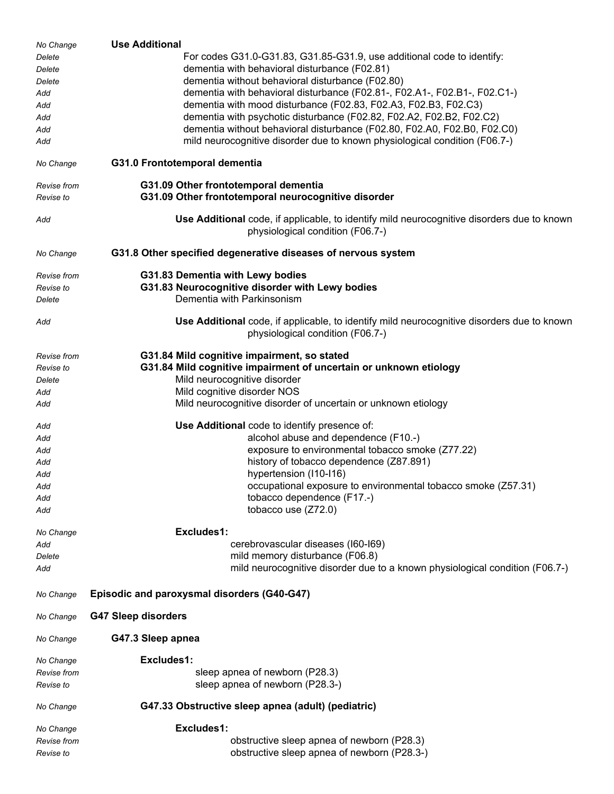| No Change   | <b>Use Additional</b>                                                                                                          |  |  |
|-------------|--------------------------------------------------------------------------------------------------------------------------------|--|--|
| Delete      | For codes G31.0-G31.83, G31.85-G31.9, use additional code to identify:                                                         |  |  |
| Delete      | dementia with behavioral disturbance (F02.81)                                                                                  |  |  |
| Delete      | dementia without behavioral disturbance (F02.80)                                                                               |  |  |
| Add         | dementia with behavioral disturbance (F02.81-, F02.A1-, F02.B1-, F02.C1-)                                                      |  |  |
| Add         | dementia with mood disturbance (F02.83, F02.A3, F02.B3, F02.C3)                                                                |  |  |
| Add         | dementia with psychotic disturbance (F02.82, F02.A2, F02.B2, F02.C2)                                                           |  |  |
| Add         | dementia without behavioral disturbance (F02.80, F02.A0, F02.B0, F02.C0)                                                       |  |  |
| Add         | mild neurocognitive disorder due to known physiological condition (F06.7-)                                                     |  |  |
| No Change   | G31.0 Frontotemporal dementia                                                                                                  |  |  |
| Revise from | G31.09 Other frontotemporal dementia                                                                                           |  |  |
| Revise to   | G31.09 Other frontotemporal neurocognitive disorder                                                                            |  |  |
| Add         | Use Additional code, if applicable, to identify mild neurocognitive disorders due to known<br>physiological condition (F06.7-) |  |  |
| No Change   | G31.8 Other specified degenerative diseases of nervous system                                                                  |  |  |
| Revise from | G31.83 Dementia with Lewy bodies                                                                                               |  |  |
| Revise to   | G31.83 Neurocognitive disorder with Lewy bodies                                                                                |  |  |
| Delete      | Dementia with Parkinsonism                                                                                                     |  |  |
| Add         | Use Additional code, if applicable, to identify mild neurocognitive disorders due to known<br>physiological condition (F06.7-) |  |  |
| Revise from | G31.84 Mild cognitive impairment, so stated                                                                                    |  |  |
| Revise to   | G31.84 Mild cognitive impairment of uncertain or unknown etiology                                                              |  |  |
| Delete      | Mild neurocognitive disorder                                                                                                   |  |  |
| Add         | Mild cognitive disorder NOS                                                                                                    |  |  |
| Add         | Mild neurocognitive disorder of uncertain or unknown etiology                                                                  |  |  |
|             |                                                                                                                                |  |  |
| Add         | Use Additional code to identify presence of:                                                                                   |  |  |
| Add         | alcohol abuse and dependence (F10.-)                                                                                           |  |  |
| Add         | exposure to environmental tobacco smoke (Z77.22)                                                                               |  |  |
| Add         | history of tobacco dependence (Z87.891)                                                                                        |  |  |
| Add         | hypertension (I10-I16)                                                                                                         |  |  |
| Add         | occupational exposure to environmental tobacco smoke (Z57.31)                                                                  |  |  |
| Add         | tobacco dependence (F17.-)                                                                                                     |  |  |
| Add         | tobacco use (Z72.0)                                                                                                            |  |  |
| No Change   | Excludes1:                                                                                                                     |  |  |
| Add         | cerebrovascular diseases (I60-I69)                                                                                             |  |  |
| Delete      | mild memory disturbance (F06.8)                                                                                                |  |  |
| Add         | mild neurocognitive disorder due to a known physiological condition (F06.7-)                                                   |  |  |
| No Change   | Episodic and paroxysmal disorders (G40-G47)                                                                                    |  |  |
| No Change   | <b>G47 Sleep disorders</b>                                                                                                     |  |  |
| No Change   | G47.3 Sleep apnea                                                                                                              |  |  |
| No Change   | Excludes1:                                                                                                                     |  |  |
| Revise from | sleep apnea of newborn (P28.3)                                                                                                 |  |  |
| Revise to   | sleep apnea of newborn (P28.3-)                                                                                                |  |  |
| No Change   | G47.33 Obstructive sleep apnea (adult) (pediatric)                                                                             |  |  |
| No Change   | Excludes1:                                                                                                                     |  |  |
| Revise from | obstructive sleep apnea of newborn (P28.3)                                                                                     |  |  |
| Revise to   | obstructive sleep apnea of newborn (P28.3-)                                                                                    |  |  |
|             |                                                                                                                                |  |  |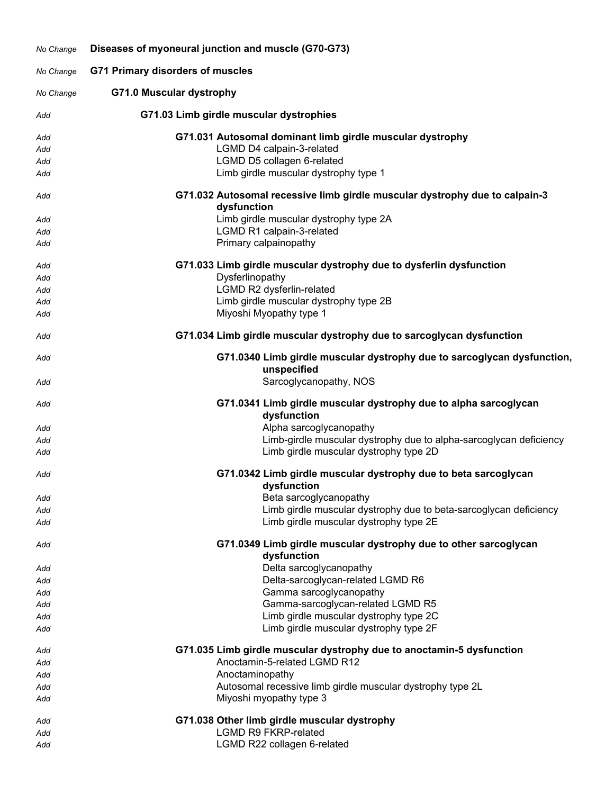| No Change  | Diseases of myoneural junction and muscle (G70-G73) |                                                                                            |
|------------|-----------------------------------------------------|--------------------------------------------------------------------------------------------|
| No Change  | <b>G71 Primary disorders of muscles</b>             |                                                                                            |
| No Change  | <b>G71.0 Muscular dystrophy</b>                     |                                                                                            |
| Add        | G71.03 Limb girdle muscular dystrophies             |                                                                                            |
| Add        |                                                     | G71.031 Autosomal dominant limb girdle muscular dystrophy                                  |
| Add        |                                                     | LGMD D4 calpain-3-related                                                                  |
| Add        |                                                     | LGMD D5 collagen 6-related                                                                 |
| Add        |                                                     | Limb girdle muscular dystrophy type 1                                                      |
| Add        |                                                     | G71.032 Autosomal recessive limb girdle muscular dystrophy due to calpain-3<br>dysfunction |
| Add        |                                                     | Limb girdle muscular dystrophy type 2A                                                     |
| Add        |                                                     | LGMD R1 calpain-3-related                                                                  |
| Add        |                                                     | Primary calpainopathy                                                                      |
| Add<br>Add |                                                     | G71.033 Limb girdle muscular dystrophy due to dysferlin dysfunction<br>Dysferlinopathy     |
| Add        |                                                     | LGMD R2 dysferlin-related                                                                  |
| Add        |                                                     | Limb girdle muscular dystrophy type 2B                                                     |
| Add        |                                                     | Miyoshi Myopathy type 1                                                                    |
| Add        |                                                     | G71.034 Limb girdle muscular dystrophy due to sarcoglycan dysfunction                      |
| Add        |                                                     | G71.0340 Limb girdle muscular dystrophy due to sarcoglycan dysfunction,<br>unspecified     |
| Add        |                                                     | Sarcoglycanopathy, NOS                                                                     |
| Add        |                                                     | G71.0341 Limb girdle muscular dystrophy due to alpha sarcoglycan<br>dysfunction            |
| Add        |                                                     | Alpha sarcoglycanopathy                                                                    |
| Add        |                                                     | Limb-girdle muscular dystrophy due to alpha-sarcoglycan deficiency                         |
| Add        |                                                     | Limb girdle muscular dystrophy type 2D                                                     |
| Add        |                                                     | G71.0342 Limb girdle muscular dystrophy due to beta sarcoglycan<br>dysfunction             |
| Add        |                                                     | Beta sarcoglycanopathy                                                                     |
| Add        |                                                     | Limb girdle muscular dystrophy due to beta-sarcoglycan deficiency                          |
| Add        |                                                     | Limb girdle muscular dystrophy type 2E                                                     |
| Add        |                                                     | G71.0349 Limb girdle muscular dystrophy due to other sarcoglycan<br>dysfunction            |
| Add        |                                                     | Delta sarcoglycanopathy                                                                    |
| Add        |                                                     | Delta-sarcoglycan-related LGMD R6                                                          |
| Add        |                                                     | Gamma sarcoglycanopathy                                                                    |
| Add        |                                                     | Gamma-sarcoglycan-related LGMD R5                                                          |
| Add        |                                                     | Limb girdle muscular dystrophy type 2C                                                     |
| Add        |                                                     | Limb girdle muscular dystrophy type 2F                                                     |
| Add        |                                                     | G71.035 Limb girdle muscular dystrophy due to anoctamin-5 dysfunction                      |
| Add        |                                                     | Anoctamin-5-related LGMD R12                                                               |
| Add        |                                                     | Anoctaminopathy                                                                            |
| Add        |                                                     | Autosomal recessive limb girdle muscular dystrophy type 2L                                 |
| Add        |                                                     | Miyoshi myopathy type 3                                                                    |
| Add        |                                                     | G71.038 Other limb girdle muscular dystrophy                                               |
| Add        |                                                     | <b>LGMD R9 FKRP-related</b>                                                                |
| Add        |                                                     | LGMD R22 collagen 6-related                                                                |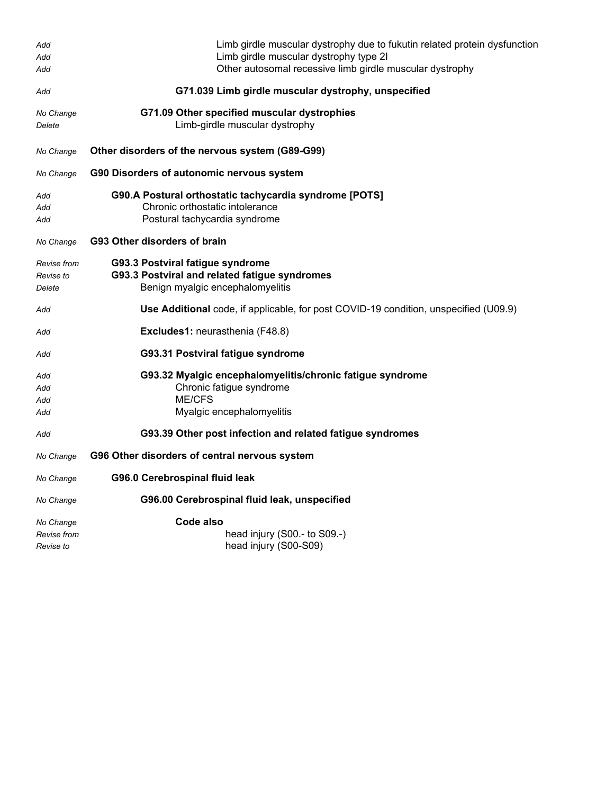| Add         | Limb girdle muscular dystrophy due to fukutin related protein dysfunction            |
|-------------|--------------------------------------------------------------------------------------|
| Add         | Limb girdle muscular dystrophy type 2I                                               |
| Add         | Other autosomal recessive limb girdle muscular dystrophy                             |
| Add         | G71.039 Limb girdle muscular dystrophy, unspecified                                  |
| No Change   | G71.09 Other specified muscular dystrophies                                          |
| Delete      | Limb-girdle muscular dystrophy                                                       |
| No Change   | Other disorders of the nervous system (G89-G99)                                      |
| No Change   | G90 Disorders of autonomic nervous system                                            |
| Add         | G90.A Postural orthostatic tachycardia syndrome [POTS]                               |
| Add         | Chronic orthostatic intolerance                                                      |
| Add         | Postural tachycardia syndrome                                                        |
| No Change   | G93 Other disorders of brain                                                         |
| Revise from | G93.3 Postviral fatigue syndrome                                                     |
| Revise to   | G93.3 Postviral and related fatigue syndromes                                        |
| Delete      | Benign myalgic encephalomyelitis                                                     |
| Add         | Use Additional code, if applicable, for post COVID-19 condition, unspecified (U09.9) |
| Add         | Excludes1: neurasthenia (F48.8)                                                      |
| Add         | G93.31 Postviral fatigue syndrome                                                    |
| Add         | G93.32 Myalgic encephalomyelitis/chronic fatigue syndrome                            |
| Add         | Chronic fatigue syndrome                                                             |
| Add         | <b>ME/CFS</b>                                                                        |
| Add         | Myalgic encephalomyelitis                                                            |
| Add         | G93.39 Other post infection and related fatigue syndromes                            |
| No Change   | G96 Other disorders of central nervous system                                        |
| No Change   | G96.0 Cerebrospinal fluid leak                                                       |
| No Change   | G96.00 Cerebrospinal fluid leak, unspecified                                         |
| No Change   | Code also                                                                            |
| Revise from | head injury (S00.- to S09.-)                                                         |
| Revise to   | head injury (S00-S09)                                                                |
|             |                                                                                      |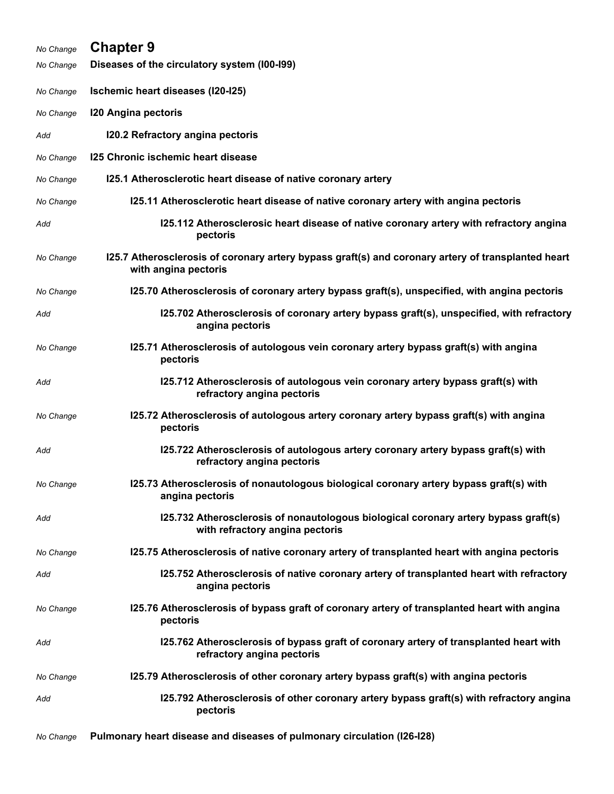| No Change | <b>Chapter 9</b>                                                                                                           |
|-----------|----------------------------------------------------------------------------------------------------------------------------|
| No Change | Diseases of the circulatory system (I00-I99)                                                                               |
| No Change | Ischemic heart diseases (I20-I25)                                                                                          |
| No Change | <b>120 Angina pectoris</b>                                                                                                 |
| Add       | 120.2 Refractory angina pectoris                                                                                           |
| No Change | 125 Chronic ischemic heart disease                                                                                         |
| No Change | 125.1 Atherosclerotic heart disease of native coronary artery                                                              |
| No Change | 125.11 Atherosclerotic heart disease of native coronary artery with angina pectoris                                        |
| Add       | 125.112 Atherosclerosic heart disease of native coronary artery with refractory angina<br>pectoris                         |
| No Change | 125.7 Atherosclerosis of coronary artery bypass graft(s) and coronary artery of transplanted heart<br>with angina pectoris |
| No Change | 125.70 Atherosclerosis of coronary artery bypass graft(s), unspecified, with angina pectoris                               |
| Add       | 125.702 Atherosclerosis of coronary artery bypass graft(s), unspecified, with refractory<br>angina pectoris                |
| No Change | 125.71 Atherosclerosis of autologous vein coronary artery bypass graft(s) with angina<br>pectoris                          |
| Add       | 125.712 Atherosclerosis of autologous vein coronary artery bypass graft(s) with<br>refractory angina pectoris              |
| No Change | 125.72 Atherosclerosis of autologous artery coronary artery bypass graft(s) with angina<br>pectoris                        |
| Add       | 125.722 Atherosclerosis of autologous artery coronary artery bypass graft(s) with<br>refractory angina pectoris            |
| No Change | 125.73 Atherosclerosis of nonautologous biological coronary artery bypass graft(s) with<br>angina pectoris                 |
| Add       | 125.732 Atherosclerosis of nonautologous biological coronary artery bypass graft(s)<br>with refractory angina pectoris     |
| No Change | 125.75 Atherosclerosis of native coronary artery of transplanted heart with angina pectoris                                |
| Add       | 125.752 Atherosclerosis of native coronary artery of transplanted heart with refractory<br>angina pectoris                 |
| No Change | 125.76 Atherosclerosis of bypass graft of coronary artery of transplanted heart with angina<br>pectoris                    |
| Add       | 125.762 Atherosclerosis of bypass graft of coronary artery of transplanted heart with<br>refractory angina pectoris        |
| No Change | 125.79 Atherosclerosis of other coronary artery bypass graft(s) with angina pectoris                                       |
| Add       | 125.792 Atherosclerosis of other coronary artery bypass graft(s) with refractory angina<br>pectoris                        |
| No Change | Pulmonary heart disease and diseases of pulmonary circulation (I26-I28)                                                    |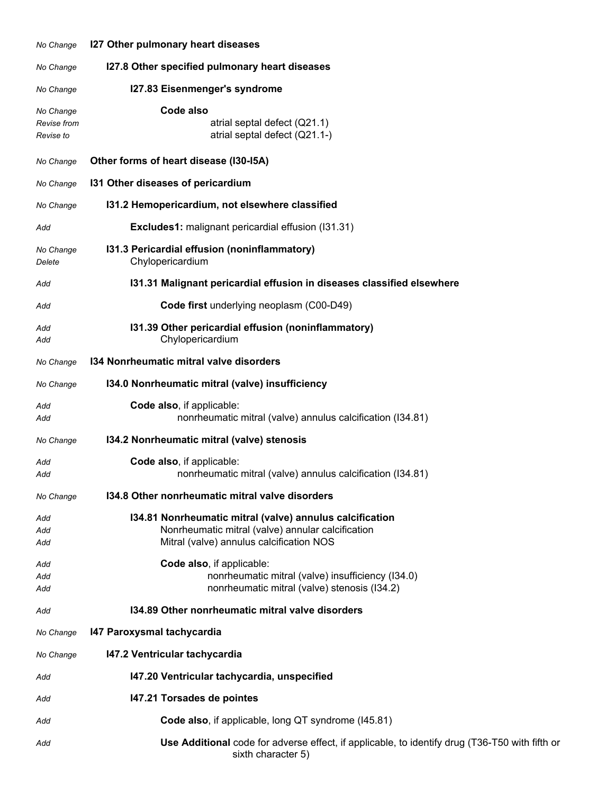| No Change                             | 127 Other pulmonary heart diseases                                                                                                                        |
|---------------------------------------|-----------------------------------------------------------------------------------------------------------------------------------------------------------|
| No Change                             | I27.8 Other specified pulmonary heart diseases                                                                                                            |
| No Change                             | 127.83 Eisenmenger's syndrome                                                                                                                             |
| No Change<br>Revise from<br>Revise to | Code also<br>atrial septal defect (Q21.1)<br>atrial septal defect (Q21.1-)                                                                                |
| No Change                             | Other forms of heart disease (I30-I5A)                                                                                                                    |
| No Change                             | 131 Other diseases of pericardium                                                                                                                         |
| No Change                             | 131.2 Hemopericardium, not elsewhere classified                                                                                                           |
| Add                                   | Excludes1: malignant pericardial effusion (I31.31)                                                                                                        |
| No Change<br>Delete                   | 131.3 Pericardial effusion (noninflammatory)<br>Chylopericardium                                                                                          |
| Add                                   | 131.31 Malignant pericardial effusion in diseases classified elsewhere                                                                                    |
| Add                                   | Code first underlying neoplasm (C00-D49)                                                                                                                  |
| Add<br>Add                            | 131.39 Other pericardial effusion (noninflammatory)<br>Chylopericardium                                                                                   |
| No Change                             | 134 Nonrheumatic mitral valve disorders                                                                                                                   |
| No Change                             | 134.0 Nonrheumatic mitral (valve) insufficiency                                                                                                           |
| Add<br>Add                            | Code also, if applicable:<br>nonrheumatic mitral (valve) annulus calcification (134.81)                                                                   |
| No Change                             | 134.2 Nonrheumatic mitral (valve) stenosis                                                                                                                |
| Add<br>Add                            | Code also, if applicable:<br>nonrheumatic mitral (valve) annulus calcification (I34.81)                                                                   |
| No Change                             | 134.8 Other nonrheumatic mitral valve disorders                                                                                                           |
| Add<br>Add<br>Add                     | 134.81 Nonrheumatic mitral (valve) annulus calcification<br>Nonrheumatic mitral (valve) annular calcification<br>Mitral (valve) annulus calcification NOS |
| Add<br>Add<br>Add                     | Code also, if applicable:<br>nonrheumatic mitral (valve) insufficiency (I34.0)<br>nonrheumatic mitral (valve) stenosis (I34.2)                            |
| Add                                   | 134.89 Other nonrheumatic mitral valve disorders                                                                                                          |
| No Change                             | 147 Paroxysmal tachycardia                                                                                                                                |
| No Change                             | 147.2 Ventricular tachycardia                                                                                                                             |
| Add                                   | 147.20 Ventricular tachycardia, unspecified                                                                                                               |
| Add                                   | 147.21 Torsades de pointes                                                                                                                                |
| Add                                   | Code also, if applicable, long QT syndrome (I45.81)                                                                                                       |
| Add                                   | Use Additional code for adverse effect, if applicable, to identify drug (T36-T50 with fifth or<br>sixth character 5)                                      |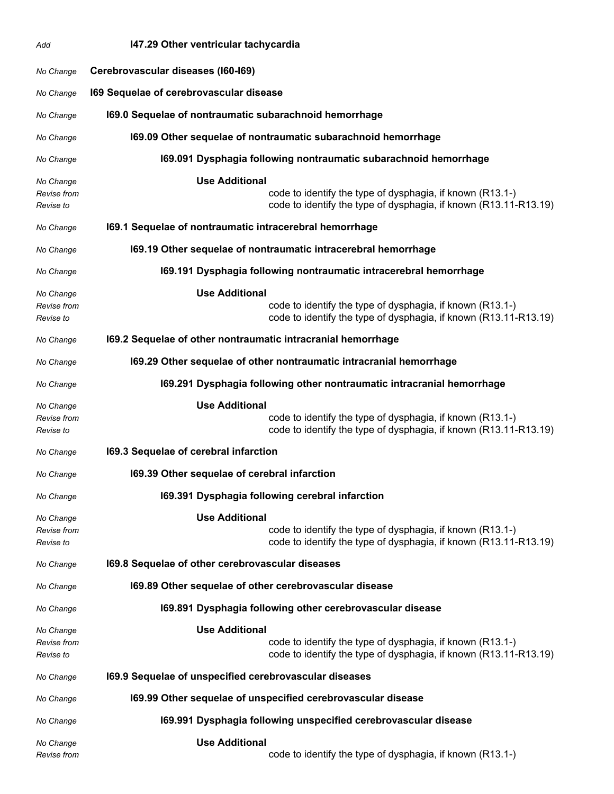| Add                                   | 147.29 Other ventricular tachycardia                                                                                                                   |
|---------------------------------------|--------------------------------------------------------------------------------------------------------------------------------------------------------|
| No Change                             | Cerebrovascular diseases (I60-I69)                                                                                                                     |
| No Change                             | 169 Sequelae of cerebrovascular disease                                                                                                                |
| No Change                             | 169.0 Sequelae of nontraumatic subarachnoid hemorrhage                                                                                                 |
| No Change                             | 169.09 Other sequelae of nontraumatic subarachnoid hemorrhage                                                                                          |
| No Change                             | 169.091 Dysphagia following nontraumatic subarachnoid hemorrhage                                                                                       |
| No Change<br>Revise from<br>Revise to | <b>Use Additional</b><br>code to identify the type of dysphagia, if known (R13.1-)<br>code to identify the type of dysphagia, if known (R13.11-R13.19) |
| No Change                             | 169.1 Sequelae of nontraumatic intracerebral hemorrhage                                                                                                |
| No Change                             | 169.19 Other sequelae of nontraumatic intracerebral hemorrhage                                                                                         |
| No Change                             | 169.191 Dysphagia following nontraumatic intracerebral hemorrhage                                                                                      |
| No Change                             | <b>Use Additional</b>                                                                                                                                  |
| Revise from<br>Revise to              | code to identify the type of dysphagia, if known (R13.1-)<br>code to identify the type of dysphagia, if known (R13.11-R13.19)                          |
| No Change                             | 169.2 Sequelae of other nontraumatic intracranial hemorrhage                                                                                           |
| No Change                             | 169.29 Other sequelae of other nontraumatic intracranial hemorrhage                                                                                    |
| No Change                             | 169.291 Dysphagia following other nontraumatic intracranial hemorrhage                                                                                 |
| No Change<br>Revise from<br>Revise to | <b>Use Additional</b><br>code to identify the type of dysphagia, if known (R13.1-)<br>code to identify the type of dysphagia, if known (R13.11-R13.19) |
| No Change                             | 169.3 Sequelae of cerebral infarction                                                                                                                  |
| No Change                             | 169.39 Other sequelae of cerebral infarction                                                                                                           |
| No Change                             | 169.391 Dysphagia following cerebral infarction                                                                                                        |
| No Change<br>Revise from<br>Revise to | <b>Use Additional</b><br>code to identify the type of dysphagia, if known (R13.1-)<br>code to identify the type of dysphagia, if known (R13.11-R13.19) |
| No Change                             | 169.8 Sequelae of other cerebrovascular diseases                                                                                                       |
| No Change                             | 169.89 Other sequelae of other cerebrovascular disease                                                                                                 |
| No Change                             | 169.891 Dysphagia following other cerebrovascular disease                                                                                              |
| No Change<br>Revise from<br>Revise to | <b>Use Additional</b><br>code to identify the type of dysphagia, if known (R13.1-)<br>code to identify the type of dysphagia, if known (R13.11-R13.19) |
| No Change                             | 169.9 Sequelae of unspecified cerebrovascular diseases                                                                                                 |
| No Change                             | 169.99 Other sequelae of unspecified cerebrovascular disease                                                                                           |
| No Change                             | 169.991 Dysphagia following unspecified cerebrovascular disease                                                                                        |
| No Change<br>Revise from              | <b>Use Additional</b><br>code to identify the type of dysphagia, if known (R13.1-)                                                                     |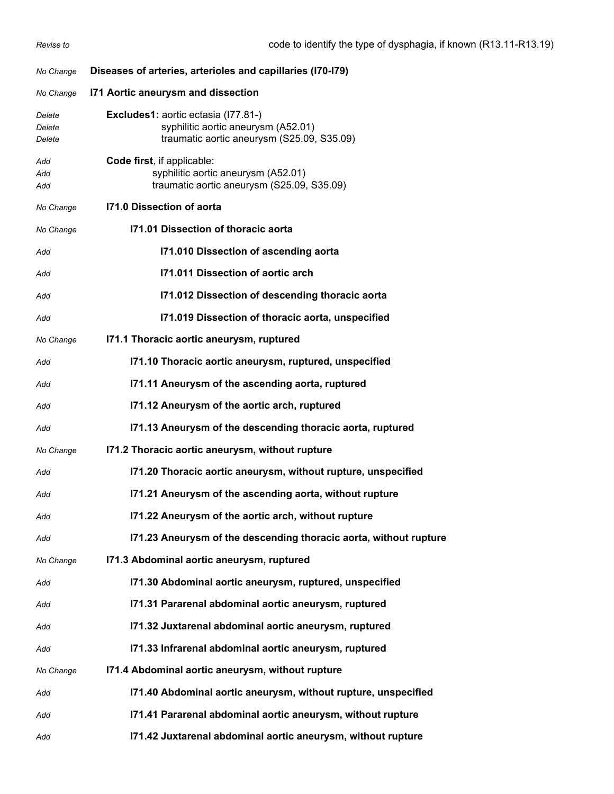| No Change                  | Diseases of arteries, arterioles and capillaries (I70-I79)                                                                      |
|----------------------------|---------------------------------------------------------------------------------------------------------------------------------|
| No Change                  | 171 Aortic aneurysm and dissection                                                                                              |
| Delete<br>Delete<br>Delete | <b>Excludes1:</b> aortic ectasia (177.81-)<br>syphilitic aortic aneurysm (A52.01)<br>traumatic aortic aneurysm (S25.09, S35.09) |
| Add<br>Add<br>Add          | Code first, if applicable:<br>syphilitic aortic aneurysm (A52.01)<br>traumatic aortic aneurysm (S25.09, S35.09)                 |
| No Change                  | 171.0 Dissection of aorta                                                                                                       |
| No Change                  | 171.01 Dissection of thoracic aorta                                                                                             |
| Add                        | I71.010 Dissection of ascending aorta                                                                                           |
| Add                        | 171.011 Dissection of aortic arch                                                                                               |
| Add                        | 171.012 Dissection of descending thoracic aorta                                                                                 |
| Add                        | 171.019 Dissection of thoracic aorta, unspecified                                                                               |
| No Change                  | 171.1 Thoracic aortic aneurysm, ruptured                                                                                        |
| Add                        | 171.10 Thoracic aortic aneurysm, ruptured, unspecified                                                                          |
| Add                        | 171.11 Aneurysm of the ascending aorta, ruptured                                                                                |
| Add                        | 171.12 Aneurysm of the aortic arch, ruptured                                                                                    |
| Add                        | 171.13 Aneurysm of the descending thoracic aorta, ruptured                                                                      |
| No Change                  | 171.2 Thoracic aortic aneurysm, without rupture                                                                                 |
| Add                        | 171.20 Thoracic aortic aneurysm, without rupture, unspecified                                                                   |
| Add                        | 171.21 Aneurysm of the ascending aorta, without rupture                                                                         |
| Add                        | 171.22 Aneurysm of the aortic arch, without rupture                                                                             |
| Add                        | 171.23 Aneurysm of the descending thoracic aorta, without rupture                                                               |
| No Change                  | 171.3 Abdominal aortic aneurysm, ruptured                                                                                       |
| Add                        | 171.30 Abdominal aortic aneurysm, ruptured, unspecified                                                                         |
| Add                        | 171.31 Pararenal abdominal aortic aneurysm, ruptured                                                                            |
| Add                        | 171.32 Juxtarenal abdominal aortic aneurysm, ruptured                                                                           |
| Add                        | 171.33 Infrarenal abdominal aortic aneurysm, ruptured                                                                           |
| No Change                  | 171.4 Abdominal aortic aneurysm, without rupture                                                                                |
| Add                        | 171.40 Abdominal aortic aneurysm, without rupture, unspecified                                                                  |
| Add                        | 171.41 Pararenal abdominal aortic aneurysm, without rupture                                                                     |
| Add                        | 171.42 Juxtarenal abdominal aortic aneurysm, without rupture                                                                    |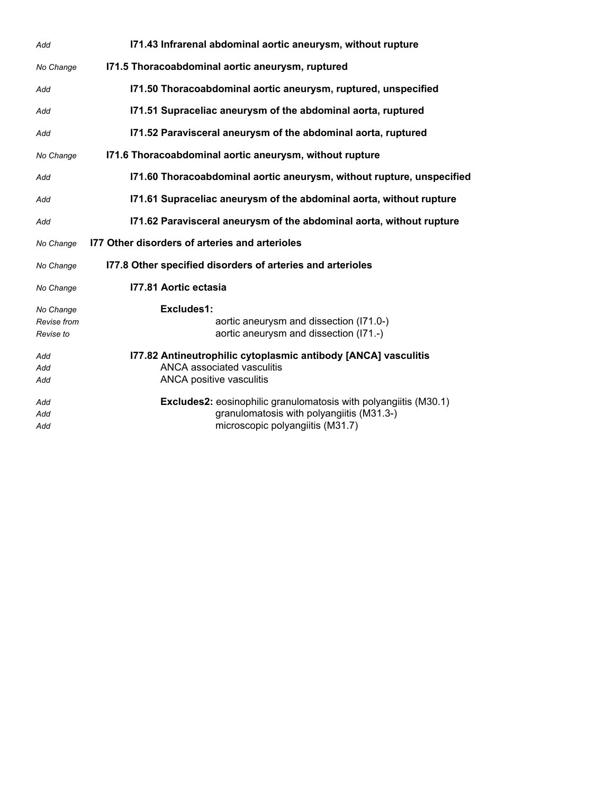| Add                                   | 171.43 Infrarenal abdominal aortic aneurysm, without rupture                                                                                             |
|---------------------------------------|----------------------------------------------------------------------------------------------------------------------------------------------------------|
| No Change                             | 171.5 Thoracoabdominal aortic aneurysm, ruptured                                                                                                         |
| Add                                   | 171.50 Thoracoabdominal aortic aneurysm, ruptured, unspecified                                                                                           |
| Add                                   | 171.51 Supraceliac aneurysm of the abdominal aorta, ruptured                                                                                             |
| Add                                   | 171.52 Paravisceral aneurysm of the abdominal aorta, ruptured                                                                                            |
| No Change                             | 171.6 Thoracoabdominal aortic aneurysm, without rupture                                                                                                  |
| Add                                   | 171.60 Thoracoabdominal aortic aneurysm, without rupture, unspecified                                                                                    |
| Add                                   | 171.61 Supraceliac aneurysm of the abdominal aorta, without rupture                                                                                      |
| Add                                   | 171.62 Paravisceral aneurysm of the abdominal aorta, without rupture                                                                                     |
| No Change                             | 177 Other disorders of arteries and arterioles                                                                                                           |
| No Change                             | 177.8 Other specified disorders of arteries and arterioles                                                                                               |
| No Change                             | 177.81 Aortic ectasia                                                                                                                                    |
| No Change<br>Revise from<br>Revise to | Excludes1:<br>aortic aneurysm and dissection (I71.0-)<br>aortic aneurysm and dissection (I71.-)                                                          |
| Add<br>Add<br>Add                     | 177.82 Antineutrophilic cytoplasmic antibody [ANCA] vasculitis<br>ANCA associated vasculitis<br>ANCA positive vasculitis                                 |
| Add<br>Add<br>Add                     | <b>Excludes2:</b> eosinophilic granulomatosis with polyangiitis (M30.1)<br>granulomatosis with polyangiitis (M31.3-)<br>microscopic polyangiitis (M31.7) |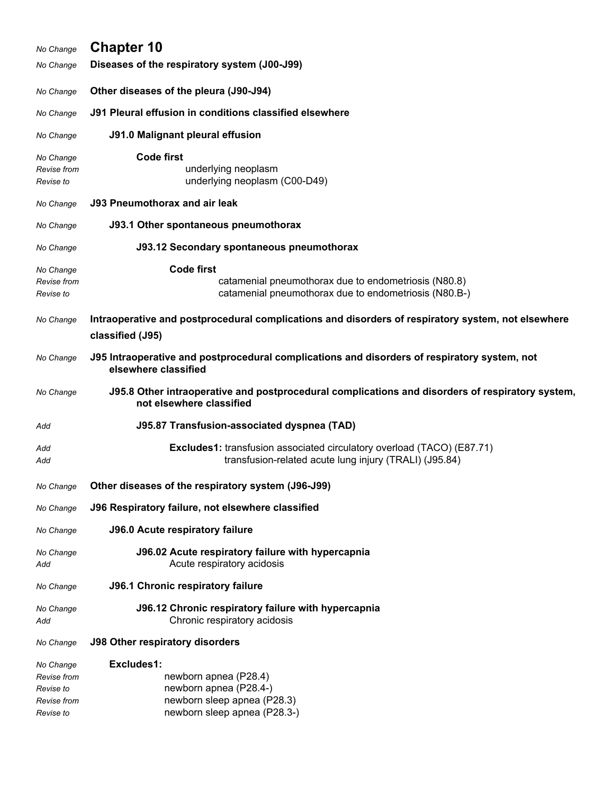| No Change                                                         | <b>Chapter 10</b>                                                                                                                       |
|-------------------------------------------------------------------|-----------------------------------------------------------------------------------------------------------------------------------------|
| No Change                                                         | Diseases of the respiratory system (J00-J99)                                                                                            |
| No Change                                                         | Other diseases of the pleura (J90-J94)                                                                                                  |
| No Change                                                         | J91 Pleural effusion in conditions classified elsewhere                                                                                 |
| No Change                                                         | <b>J91.0 Malignant pleural effusion</b>                                                                                                 |
| No Change<br>Revise from<br>Revise to                             | <b>Code first</b><br>underlying neoplasm<br>underlying neoplasm (C00-D49)                                                               |
| No Change                                                         | <b>J93 Pneumothorax and air leak</b>                                                                                                    |
| No Change                                                         | J93.1 Other spontaneous pneumothorax                                                                                                    |
| No Change                                                         | J93.12 Secondary spontaneous pneumothorax                                                                                               |
| No Change<br>Revise from<br>Revise to                             | <b>Code first</b><br>catamenial pneumothorax due to endometriosis (N80.8)<br>catamenial pneumothorax due to endometriosis (N80.B-)      |
| No Change                                                         | Intraoperative and postprocedural complications and disorders of respiratory system, not elsewhere<br>classified (J95)                  |
| No Change                                                         | J95 Intraoperative and postprocedural complications and disorders of respiratory system, not<br>elsewhere classified                    |
| No Change                                                         | J95.8 Other intraoperative and postprocedural complications and disorders of respiratory system,<br>not elsewhere classified            |
| Add                                                               | J95.87 Transfusion-associated dyspnea (TAD)                                                                                             |
| Add<br>Add                                                        | <b>Excludes1:</b> transfusion associated circulatory overload (TACO) (E87.71)<br>transfusion-related acute lung injury (TRALI) (J95.84) |
| No Change                                                         | Other diseases of the respiratory system (J96-J99)                                                                                      |
| No Change                                                         | J96 Respiratory failure, not elsewhere classified                                                                                       |
| No Change                                                         | <b>J96.0 Acute respiratory failure</b>                                                                                                  |
| No Change<br>Add                                                  | J96.02 Acute respiratory failure with hypercapnia<br>Acute respiratory acidosis                                                         |
| No Change                                                         | <b>J96.1 Chronic respiratory failure</b>                                                                                                |
| No Change<br>Add                                                  | J96.12 Chronic respiratory failure with hypercapnia<br>Chronic respiratory acidosis                                                     |
| No Change                                                         | <b>J98 Other respiratory disorders</b>                                                                                                  |
| No Change<br>Revise from<br>Revise to<br>Revise from<br>Revise to | Excludes1:<br>newborn apnea (P28.4)<br>newborn apnea (P28.4-)<br>newborn sleep apnea (P28.3)<br>newborn sleep apnea (P28.3-)            |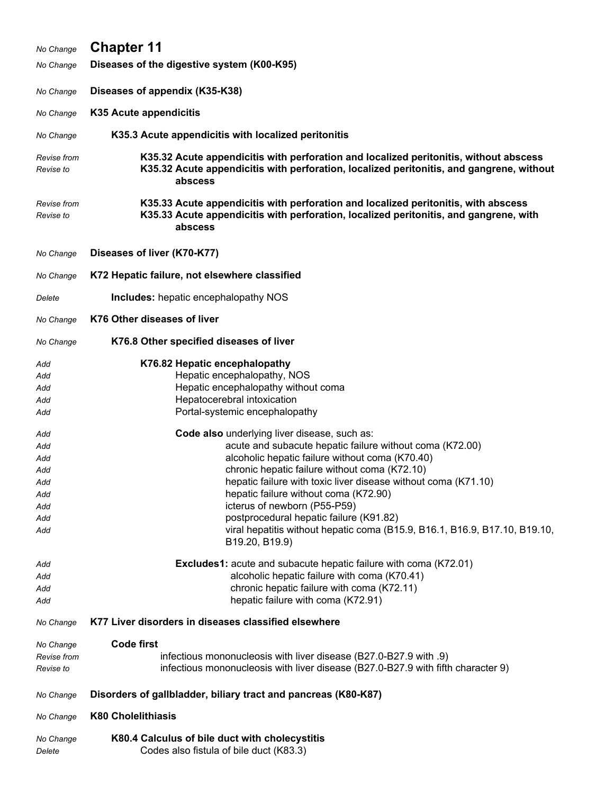| No Change                                                                                                    | <b>Chapter 11</b>                                                                                                                                                                                                                                                                                                                                                                                                                                                                                                                                                                                                                                                                                                                                                                                     |
|--------------------------------------------------------------------------------------------------------------|-------------------------------------------------------------------------------------------------------------------------------------------------------------------------------------------------------------------------------------------------------------------------------------------------------------------------------------------------------------------------------------------------------------------------------------------------------------------------------------------------------------------------------------------------------------------------------------------------------------------------------------------------------------------------------------------------------------------------------------------------------------------------------------------------------|
| No Change                                                                                                    | Diseases of the digestive system (K00-K95)                                                                                                                                                                                                                                                                                                                                                                                                                                                                                                                                                                                                                                                                                                                                                            |
| No Change                                                                                                    | Diseases of appendix (K35-K38)                                                                                                                                                                                                                                                                                                                                                                                                                                                                                                                                                                                                                                                                                                                                                                        |
| No Change                                                                                                    | K35 Acute appendicitis                                                                                                                                                                                                                                                                                                                                                                                                                                                                                                                                                                                                                                                                                                                                                                                |
| No Change                                                                                                    | K35.3 Acute appendicitis with localized peritonitis                                                                                                                                                                                                                                                                                                                                                                                                                                                                                                                                                                                                                                                                                                                                                   |
| Revise from<br>Revise to                                                                                     | K35.32 Acute appendicitis with perforation and localized peritonitis, without abscess<br>K35.32 Acute appendicitis with perforation, localized peritonitis, and gangrene, without<br>abscess                                                                                                                                                                                                                                                                                                                                                                                                                                                                                                                                                                                                          |
| Revise from<br>Revise to                                                                                     | K35.33 Acute appendicitis with perforation and localized peritonitis, with abscess<br>K35.33 Acute appendicitis with perforation, localized peritonitis, and gangrene, with<br>abscess                                                                                                                                                                                                                                                                                                                                                                                                                                                                                                                                                                                                                |
| No Change                                                                                                    | Diseases of liver (K70-K77)                                                                                                                                                                                                                                                                                                                                                                                                                                                                                                                                                                                                                                                                                                                                                                           |
| No Change                                                                                                    | K72 Hepatic failure, not elsewhere classified                                                                                                                                                                                                                                                                                                                                                                                                                                                                                                                                                                                                                                                                                                                                                         |
| Delete                                                                                                       | <b>Includes:</b> hepatic encephalopathy NOS                                                                                                                                                                                                                                                                                                                                                                                                                                                                                                                                                                                                                                                                                                                                                           |
| No Change                                                                                                    | K76 Other diseases of liver                                                                                                                                                                                                                                                                                                                                                                                                                                                                                                                                                                                                                                                                                                                                                                           |
| No Change                                                                                                    | K76.8 Other specified diseases of liver                                                                                                                                                                                                                                                                                                                                                                                                                                                                                                                                                                                                                                                                                                                                                               |
| Add<br>Add<br>Add<br>Add<br>Add<br>Add<br>Add<br>Add<br>Add<br>Add<br>Add<br>Add<br>Add<br>Add<br>Add<br>Add | K76.82 Hepatic encephalopathy<br>Hepatic encephalopathy, NOS<br>Hepatic encephalopathy without coma<br>Hepatocerebral intoxication<br>Portal-systemic encephalopathy<br>Code also underlying liver disease, such as:<br>acute and subacute hepatic failure without coma (K72.00)<br>alcoholic hepatic failure without coma (K70.40)<br>chronic hepatic failure without coma (K72.10)<br>hepatic failure with toxic liver disease without coma (K71.10)<br>hepatic failure without coma (K72.90)<br>icterus of newborn (P55-P59)<br>postprocedural hepatic failure (K91.82)<br>viral hepatitis without hepatic coma (B15.9, B16.1, B16.9, B17.10, B19.10,<br>B19.20, B19.9)<br><b>Excludes1:</b> acute and subacute hepatic failure with coma (K72.01)<br>alcoholic hepatic failure with coma (K70.41) |
| Add<br>Add                                                                                                   | chronic hepatic failure with coma (K72.11)<br>hepatic failure with coma (K72.91)                                                                                                                                                                                                                                                                                                                                                                                                                                                                                                                                                                                                                                                                                                                      |
| No Change                                                                                                    | K77 Liver disorders in diseases classified elsewhere                                                                                                                                                                                                                                                                                                                                                                                                                                                                                                                                                                                                                                                                                                                                                  |
| No Change<br>Revise from<br>Revise to                                                                        | <b>Code first</b><br>infectious mononucleosis with liver disease (B27.0-B27.9 with .9)<br>infectious mononucleosis with liver disease (B27.0-B27.9 with fifth character 9)                                                                                                                                                                                                                                                                                                                                                                                                                                                                                                                                                                                                                            |
| No Change                                                                                                    | Disorders of gallbladder, biliary tract and pancreas (K80-K87)                                                                                                                                                                                                                                                                                                                                                                                                                                                                                                                                                                                                                                                                                                                                        |
| No Change                                                                                                    | <b>K80 Cholelithiasis</b>                                                                                                                                                                                                                                                                                                                                                                                                                                                                                                                                                                                                                                                                                                                                                                             |
| No Change<br>Delete                                                                                          | K80.4 Calculus of bile duct with cholecystitis<br>Codes also fistula of bile duct (K83.3)                                                                                                                                                                                                                                                                                                                                                                                                                                                                                                                                                                                                                                                                                                             |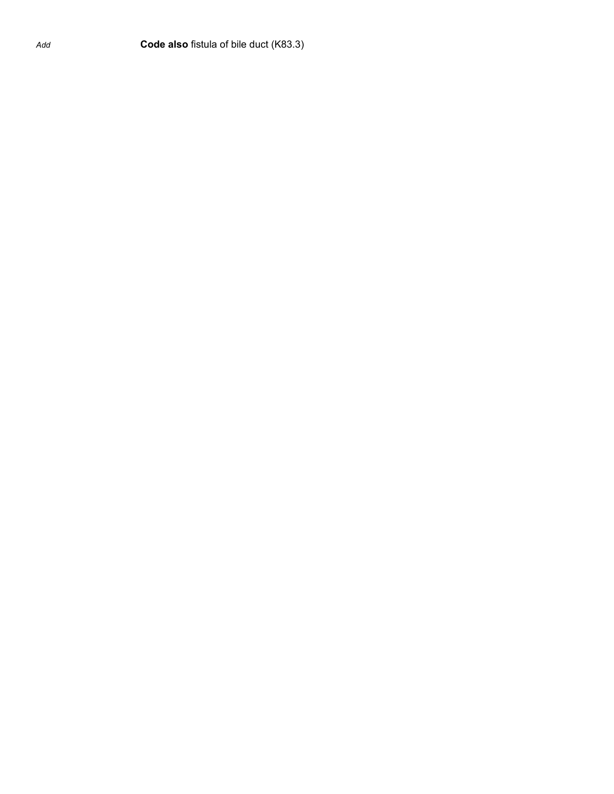*Add* **Code also** fistula of bile duct (K83.3)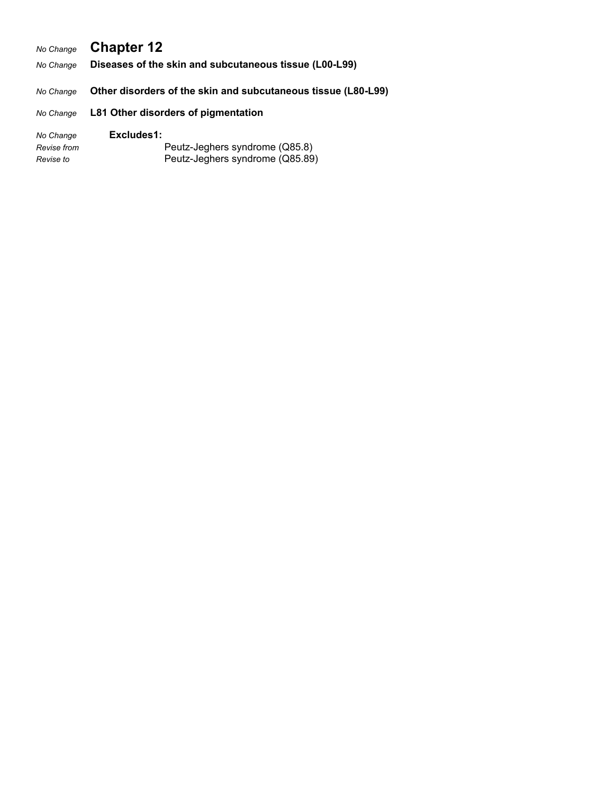## *No Change* **Chapter 12**

*No Change* **Diseases of the skin and subcutaneous tissue (L00-L99)**

*No Change* **Other disorders of the skin and subcutaneous tissue (L80-L99)**

#### *No Change* **L81 Other disorders of pigmentation**

| No Change   | Excludes1:                      |
|-------------|---------------------------------|
| Revise from | Peutz-Jeghers syndrome (Q85.8)  |
| Revise to   | Peutz-Jeghers syndrome (Q85.89) |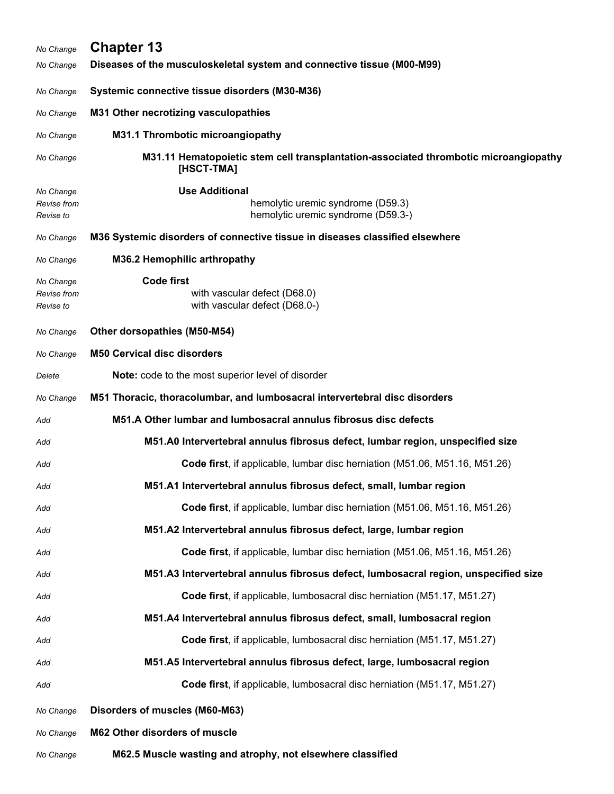| No Change                             | <b>Chapter 13</b>                                                                                  |
|---------------------------------------|----------------------------------------------------------------------------------------------------|
| No Change                             | Diseases of the musculoskeletal system and connective tissue (M00-M99)                             |
| No Change                             | Systemic connective tissue disorders (M30-M36)                                                     |
| No Change                             | M31 Other necrotizing vasculopathies                                                               |
| No Change                             | M31.1 Thrombotic microangiopathy                                                                   |
| No Change                             | M31.11 Hematopoietic stem cell transplantation-associated thrombotic microangiopathy<br>[HSCT-TMA] |
| No Change<br>Revise from<br>Revise to | <b>Use Additional</b><br>hemolytic uremic syndrome (D59.3)<br>hemolytic uremic syndrome (D59.3-)   |
| No Change                             | M36 Systemic disorders of connective tissue in diseases classified elsewhere                       |
| No Change                             | M36.2 Hemophilic arthropathy                                                                       |
| No Change<br>Revise from<br>Revise to | <b>Code first</b><br>with vascular defect (D68.0)<br>with vascular defect (D68.0-)                 |
| No Change                             | Other dorsopathies (M50-M54)                                                                       |
| No Change                             | <b>M50 Cervical disc disorders</b>                                                                 |
| Delete                                | Note: code to the most superior level of disorder                                                  |
| No Change                             | M51 Thoracic, thoracolumbar, and lumbosacral intervertebral disc disorders                         |
| Add                                   | M51.A Other lumbar and lumbosacral annulus fibrosus disc defects                                   |
| Add                                   | M51.A0 Intervertebral annulus fibrosus defect, lumbar region, unspecified size                     |
| Add                                   | Code first, if applicable, lumbar disc herniation (M51.06, M51.16, M51.26)                         |
| Add                                   | M51.A1 Intervertebral annulus fibrosus defect, small, lumbar region                                |
| Add                                   | Code first, if applicable, lumbar disc herniation (M51.06, M51.16, M51.26)                         |
| Add                                   | M51.A2 Intervertebral annulus fibrosus defect, large, lumbar region                                |
| Add                                   | Code first, if applicable, lumbar disc herniation (M51.06, M51.16, M51.26)                         |
| Add                                   | M51.A3 Intervertebral annulus fibrosus defect, lumbosacral region, unspecified size                |
| Add                                   | Code first, if applicable, lumbosacral disc herniation (M51.17, M51.27)                            |
| Add                                   | M51.A4 Intervertebral annulus fibrosus defect, small, lumbosacral region                           |
| Add                                   | Code first, if applicable, lumbosacral disc herniation (M51.17, M51.27)                            |
| Add                                   | M51.A5 Intervertebral annulus fibrosus defect, large, lumbosacral region                           |
| Add                                   | Code first, if applicable, lumbosacral disc herniation (M51.17, M51.27)                            |
| No Change                             | Disorders of muscles (M60-M63)                                                                     |
| No Change                             | M62 Other disorders of muscle                                                                      |
| No Change                             | M62.5 Muscle wasting and atrophy, not elsewhere classified                                         |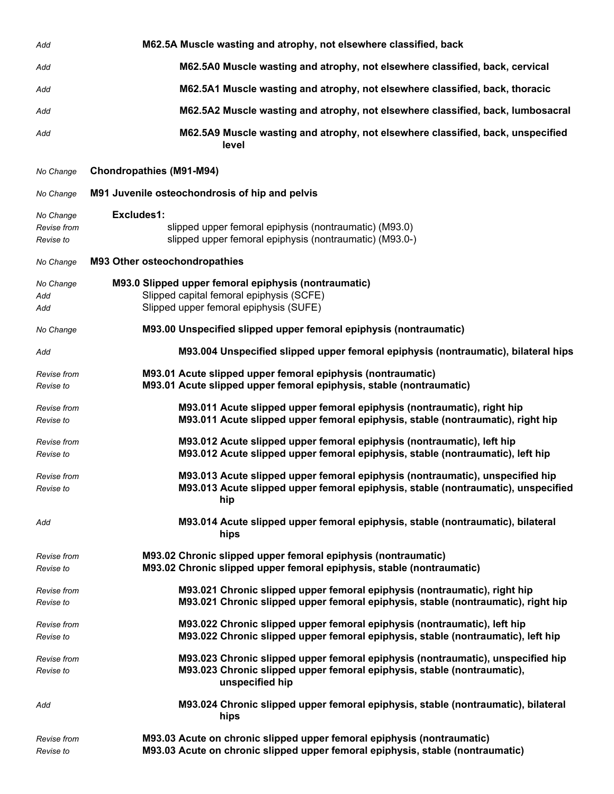| Add                                   | M62.5A Muscle wasting and atrophy, not elsewhere classified, back                                                                                                             |
|---------------------------------------|-------------------------------------------------------------------------------------------------------------------------------------------------------------------------------|
| Add                                   | M62.5A0 Muscle wasting and atrophy, not elsewhere classified, back, cervical                                                                                                  |
| Add                                   | M62.5A1 Muscle wasting and atrophy, not elsewhere classified, back, thoracic                                                                                                  |
| Add                                   | M62.5A2 Muscle wasting and atrophy, not elsewhere classified, back, lumbosacral                                                                                               |
| Add                                   | M62.5A9 Muscle wasting and atrophy, not elsewhere classified, back, unspecified<br>level                                                                                      |
| No Change                             | <b>Chondropathies (M91-M94)</b>                                                                                                                                               |
| No Change                             | M91 Juvenile osteochondrosis of hip and pelvis                                                                                                                                |
| No Change<br>Revise from<br>Revise to | Excludes1:<br>slipped upper femoral epiphysis (nontraumatic) (M93.0)<br>slipped upper femoral epiphysis (nontraumatic) (M93.0-)                                               |
| No Change                             | M93 Other osteochondropathies                                                                                                                                                 |
| No Change<br>Add<br>Add               | M93.0 Slipped upper femoral epiphysis (nontraumatic)<br>Slipped capital femoral epiphysis (SCFE)<br>Slipped upper femoral epiphysis (SUFE)                                    |
| No Change                             | M93.00 Unspecified slipped upper femoral epiphysis (nontraumatic)                                                                                                             |
| Add                                   | M93.004 Unspecified slipped upper femoral epiphysis (nontraumatic), bilateral hips                                                                                            |
| Revise from<br>Revise to              | M93.01 Acute slipped upper femoral epiphysis (nontraumatic)<br>M93.01 Acute slipped upper femoral epiphysis, stable (nontraumatic)                                            |
| Revise from<br>Revise to              | M93.011 Acute slipped upper femoral epiphysis (nontraumatic), right hip<br>M93.011 Acute slipped upper femoral epiphysis, stable (nontraumatic), right hip                    |
| Revise from<br>Revise to              | M93.012 Acute slipped upper femoral epiphysis (nontraumatic), left hip<br>M93.012 Acute slipped upper femoral epiphysis, stable (nontraumatic), left hip                      |
| Revise from<br>Revise to              | M93.013 Acute slipped upper femoral epiphysis (nontraumatic), unspecified hip<br>M93.013 Acute slipped upper femoral epiphysis, stable (nontraumatic), unspecified<br>hip     |
| Add                                   | M93.014 Acute slipped upper femoral epiphysis, stable (nontraumatic), bilateral<br>hips                                                                                       |
| Revise from<br>Revise to              | M93.02 Chronic slipped upper femoral epiphysis (nontraumatic)<br>M93.02 Chronic slipped upper femoral epiphysis, stable (nontraumatic)                                        |
| Revise from<br>Revise to              | M93.021 Chronic slipped upper femoral epiphysis (nontraumatic), right hip<br>M93.021 Chronic slipped upper femoral epiphysis, stable (nontraumatic), right hip                |
| Revise from<br>Revise to              | M93.022 Chronic slipped upper femoral epiphysis (nontraumatic), left hip<br>M93.022 Chronic slipped upper femoral epiphysis, stable (nontraumatic), left hip                  |
| Revise from<br>Revise to              | M93.023 Chronic slipped upper femoral epiphysis (nontraumatic), unspecified hip<br>M93.023 Chronic slipped upper femoral epiphysis, stable (nontraumatic),<br>unspecified hip |
| Add                                   | M93.024 Chronic slipped upper femoral epiphysis, stable (nontraumatic), bilateral<br>hips                                                                                     |
| Revise from<br>Revise to              | M93.03 Acute on chronic slipped upper femoral epiphysis (nontraumatic)<br>M93.03 Acute on chronic slipped upper femoral epiphysis, stable (nontraumatic)                      |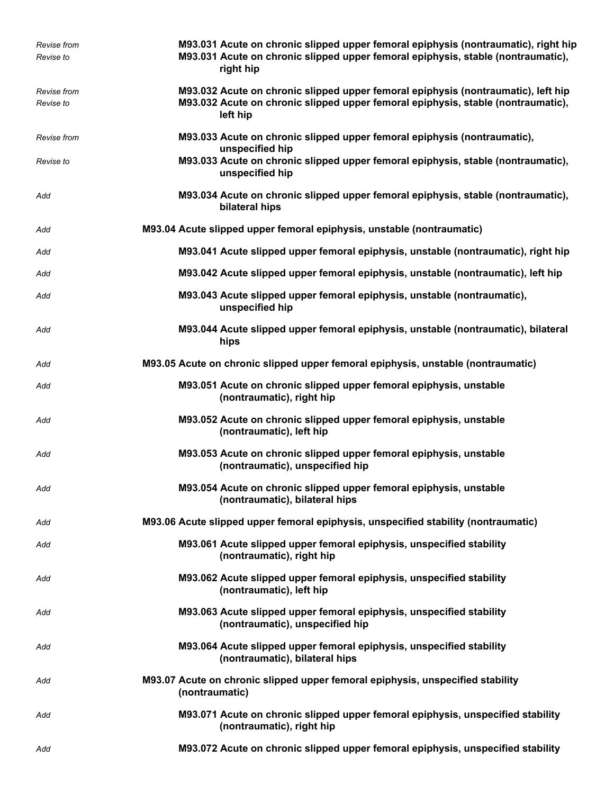| <b>Revise from</b> | M93.031 Acute on chronic slipped upper femoral epiphysis (nontraumatic), right hip                           |
|--------------------|--------------------------------------------------------------------------------------------------------------|
| Revise to          | M93.031 Acute on chronic slipped upper femoral epiphysis, stable (nontraumatic),<br>right hip                |
| <b>Revise from</b> | M93.032 Acute on chronic slipped upper femoral epiphysis (nontraumatic), left hip                            |
| Revise to          | M93.032 Acute on chronic slipped upper femoral epiphysis, stable (nontraumatic),<br>left hip                 |
| <b>Revise from</b> | M93.033 Acute on chronic slipped upper femoral epiphysis (nontraumatic),<br>unspecified hip                  |
| Revise to          | M93.033 Acute on chronic slipped upper femoral epiphysis, stable (nontraumatic),<br>unspecified hip          |
| Add                | M93.034 Acute on chronic slipped upper femoral epiphysis, stable (nontraumatic),<br>bilateral hips           |
| Add                | M93.04 Acute slipped upper femoral epiphysis, unstable (nontraumatic)                                        |
| Add                | M93.041 Acute slipped upper femoral epiphysis, unstable (nontraumatic), right hip                            |
| Add                | M93.042 Acute slipped upper femoral epiphysis, unstable (nontraumatic), left hip                             |
| Add                | M93.043 Acute slipped upper femoral epiphysis, unstable (nontraumatic),<br>unspecified hip                   |
| Add                | M93.044 Acute slipped upper femoral epiphysis, unstable (nontraumatic), bilateral<br>hips                    |
| Add                | M93.05 Acute on chronic slipped upper femoral epiphysis, unstable (nontraumatic)                             |
| Add                | M93.051 Acute on chronic slipped upper femoral epiphysis, unstable<br>(nontraumatic), right hip              |
| Add                | M93.052 Acute on chronic slipped upper femoral epiphysis, unstable<br>(nontraumatic), left hip               |
| Add                | M93.053 Acute on chronic slipped upper femoral epiphysis, unstable<br>(nontraumatic), unspecified hip        |
| Add                | M93.054 Acute on chronic slipped upper femoral epiphysis, unstable<br>(nontraumatic), bilateral hips         |
| Add                | M93.06 Acute slipped upper femoral epiphysis, unspecified stability (nontraumatic)                           |
| Add                | M93.061 Acute slipped upper femoral epiphysis, unspecified stability<br>(nontraumatic), right hip            |
| Add                | M93.062 Acute slipped upper femoral epiphysis, unspecified stability<br>(nontraumatic), left hip             |
| Add                | M93.063 Acute slipped upper femoral epiphysis, unspecified stability<br>(nontraumatic), unspecified hip      |
| Add                | M93.064 Acute slipped upper femoral epiphysis, unspecified stability<br>(nontraumatic), bilateral hips       |
| Add                | M93.07 Acute on chronic slipped upper femoral epiphysis, unspecified stability<br>(nontraumatic)             |
| Add                | M93.071 Acute on chronic slipped upper femoral epiphysis, unspecified stability<br>(nontraumatic), right hip |
| Add                | M93.072 Acute on chronic slipped upper femoral epiphysis, unspecified stability                              |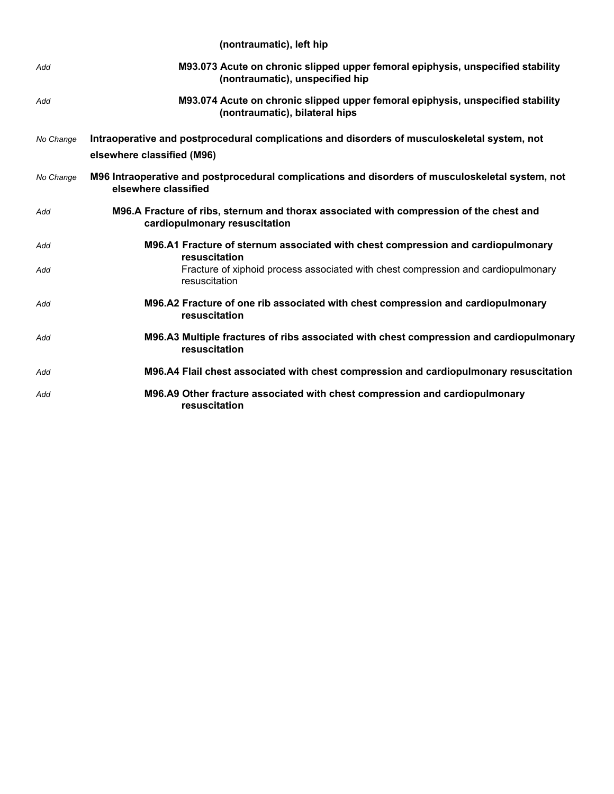|           | (nontraumatic), left hip                                                                                                   |
|-----------|----------------------------------------------------------------------------------------------------------------------------|
| Add       | M93.073 Acute on chronic slipped upper femoral epiphysis, unspecified stability<br>(nontraumatic), unspecified hip         |
| Add       | M93.074 Acute on chronic slipped upper femoral epiphysis, unspecified stability<br>(nontraumatic), bilateral hips          |
| No Change | Intraoperative and postprocedural complications and disorders of musculoskeletal system, not<br>elsewhere classified (M96) |
| No Change | M96 Intraoperative and postprocedural complications and disorders of musculoskeletal system, not<br>elsewhere classified   |
| Add       | M96.A Fracture of ribs, sternum and thorax associated with compression of the chest and<br>cardiopulmonary resuscitation   |
| Add       | M96.A1 Fracture of sternum associated with chest compression and cardiopulmonary<br>resuscitation                          |
| Add       | Fracture of xiphoid process associated with chest compression and cardiopulmonary<br>resuscitation                         |
| Add       | M96.A2 Fracture of one rib associated with chest compression and cardiopulmonary<br>resuscitation                          |
| Add       | M96.A3 Multiple fractures of ribs associated with chest compression and cardiopulmonary<br>resuscitation                   |
| Add       | M96.A4 Flail chest associated with chest compression and cardiopulmonary resuscitation                                     |
| Add       | M96.A9 Other fracture associated with chest compression and cardiopulmonary<br>resuscitation                               |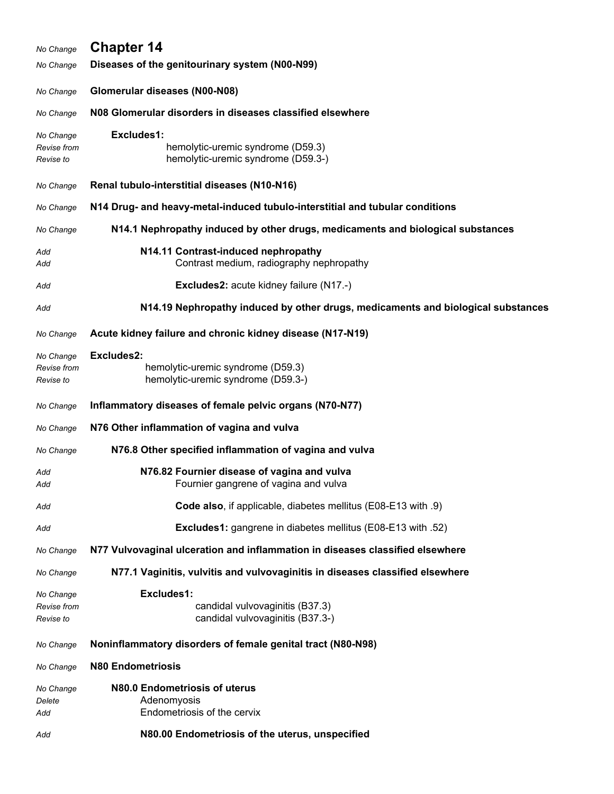| No Change                             | <b>Chapter 14</b>                                                                     |
|---------------------------------------|---------------------------------------------------------------------------------------|
| No Change                             | Diseases of the genitourinary system (N00-N99)                                        |
| No Change                             | Glomerular diseases (N00-N08)                                                         |
| No Change                             | N08 Glomerular disorders in diseases classified elsewhere                             |
| No Change<br>Revise from<br>Revise to | Excludes1:<br>hemolytic-uremic syndrome (D59.3)<br>hemolytic-uremic syndrome (D59.3-) |
| No Change                             | Renal tubulo-interstitial diseases (N10-N16)                                          |
| No Change                             | N14 Drug- and heavy-metal-induced tubulo-interstitial and tubular conditions          |
| No Change                             | N14.1 Nephropathy induced by other drugs, medicaments and biological substances       |
| Add<br>Add                            | N14.11 Contrast-induced nephropathy<br>Contrast medium, radiography nephropathy       |
| Add                                   | <b>Excludes2: acute kidney failure (N17.-)</b>                                        |
| Add                                   | N14.19 Nephropathy induced by other drugs, medicaments and biological substances      |
| No Change                             | Acute kidney failure and chronic kidney disease (N17-N19)                             |
| No Change<br>Revise from<br>Revise to | Excludes2:<br>hemolytic-uremic syndrome (D59.3)<br>hemolytic-uremic syndrome (D59.3-) |
| No Change                             | Inflammatory diseases of female pelvic organs (N70-N77)                               |
| No Change                             | N76 Other inflammation of vagina and vulva                                            |
| No Change                             | N76.8 Other specified inflammation of vagina and vulva                                |
| Add<br>Add                            | N76.82 Fournier disease of vagina and vulva<br>Fournier gangrene of vagina and vulva  |
| Add                                   | Code also, if applicable, diabetes mellitus (E08-E13 with .9)                         |
| Add                                   | <b>Excludes1:</b> gangrene in diabetes mellitus (E08-E13 with .52)                    |
| No Change                             | N77 Vulvovaginal ulceration and inflammation in diseases classified elsewhere         |
| No Change                             | N77.1 Vaginitis, vulvitis and vulvovaginitis in diseases classified elsewhere         |
| No Change<br>Revise from<br>Revise to | Excludes1:<br>candidal vulvovaginitis (B37.3)<br>candidal vulvovaginitis (B37.3-)     |
| No Change                             | Noninflammatory disorders of female genital tract (N80-N98)                           |
| No Change                             | <b>N80 Endometriosis</b>                                                              |
| No Change<br>Delete<br>Add            | N80.0 Endometriosis of uterus<br>Adenomyosis<br>Endometriosis of the cervix           |
| Add                                   | N80.00 Endometriosis of the uterus, unspecified                                       |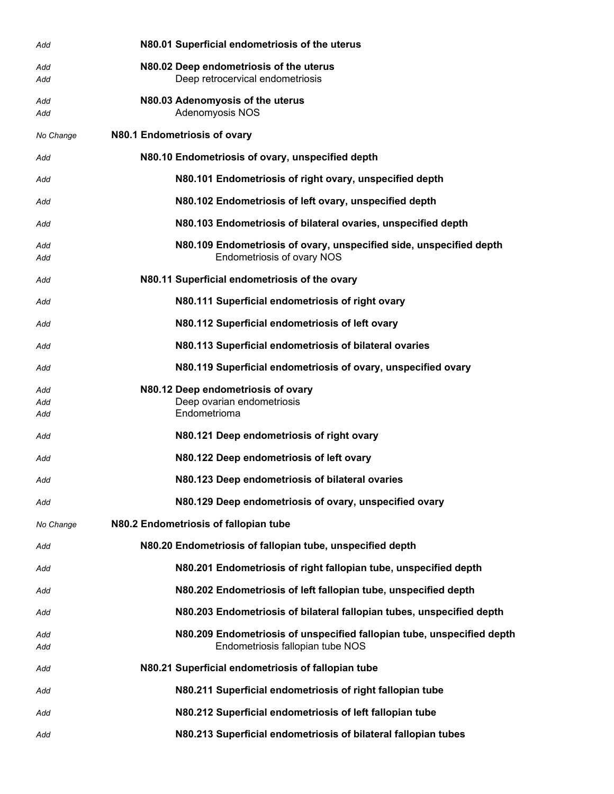| Add        | N80.01 Superficial endometriosis of the uterus                         |
|------------|------------------------------------------------------------------------|
| Add        | N80.02 Deep endometriosis of the uterus                                |
| Add        | Deep retrocervical endometriosis                                       |
| Add        | N80.03 Adenomyosis of the uterus                                       |
| Add        | Adenomyosis NOS                                                        |
| No Change  | N80.1 Endometriosis of ovary                                           |
| Add        | N80.10 Endometriosis of ovary, unspecified depth                       |
| Add        | N80.101 Endometriosis of right ovary, unspecified depth                |
| Add        | N80.102 Endometriosis of left ovary, unspecified depth                 |
| Add        | N80.103 Endometriosis of bilateral ovaries, unspecified depth          |
| Add        | N80.109 Endometriosis of ovary, unspecified side, unspecified depth    |
| Add        | <b>Endometriosis of ovary NOS</b>                                      |
| Add        | N80.11 Superficial endometriosis of the ovary                          |
| Add        | N80.111 Superficial endometriosis of right ovary                       |
| Add        | N80.112 Superficial endometriosis of left ovary                        |
| Add        | N80.113 Superficial endometriosis of bilateral ovaries                 |
| Add        | N80.119 Superficial endometriosis of ovary, unspecified ovary          |
| Add        | N80.12 Deep endometriosis of ovary                                     |
| Add<br>Add | Deep ovarian endometriosis<br>Endometrioma                             |
| Add        | N80.121 Deep endometriosis of right ovary                              |
| Add        | N80.122 Deep endometriosis of left ovary                               |
| Add        | N80.123 Deep endometriosis of bilateral ovaries                        |
| Add        | N80.129 Deep endometriosis of ovary, unspecified ovary                 |
| No Change  | N80.2 Endometriosis of fallopian tube                                  |
| Add        | N80.20 Endometriosis of fallopian tube, unspecified depth              |
| Add        | N80.201 Endometriosis of right fallopian tube, unspecified depth       |
| Add        | N80.202 Endometriosis of left fallopian tube, unspecified depth        |
| Add        | N80.203 Endometriosis of bilateral fallopian tubes, unspecified depth  |
| Add        | N80.209 Endometriosis of unspecified fallopian tube, unspecified depth |
| Add        | Endometriosis fallopian tube NOS                                       |
| Add        | N80.21 Superficial endometriosis of fallopian tube                     |
| Add        | N80.211 Superficial endometriosis of right fallopian tube              |
| Add        | N80.212 Superficial endometriosis of left fallopian tube               |
| Add        | N80.213 Superficial endometriosis of bilateral fallopian tubes         |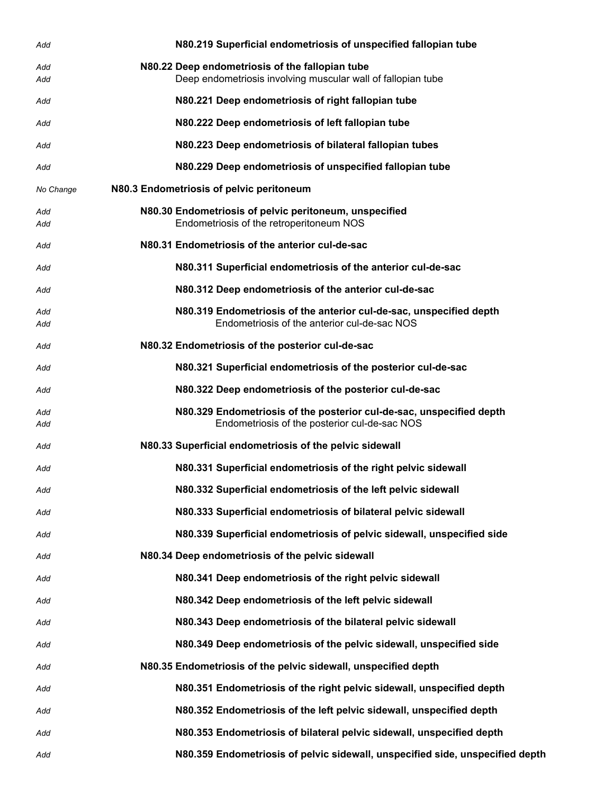| Add        | N80.219 Superficial endometriosis of unspecified fallopian tube                                                       |
|------------|-----------------------------------------------------------------------------------------------------------------------|
| Add<br>Add | N80.22 Deep endometriosis of the fallopian tube<br>Deep endometriosis involving muscular wall of fallopian tube       |
| Add        | N80.221 Deep endometriosis of right fallopian tube                                                                    |
| Add        | N80.222 Deep endometriosis of left fallopian tube                                                                     |
| Add        | N80.223 Deep endometriosis of bilateral fallopian tubes                                                               |
| Add        | N80.229 Deep endometriosis of unspecified fallopian tube                                                              |
| No Change  | N80.3 Endometriosis of pelvic peritoneum                                                                              |
| Add<br>Add | N80.30 Endometriosis of pelvic peritoneum, unspecified<br>Endometriosis of the retroperitoneum NOS                    |
| Add        | N80.31 Endometriosis of the anterior cul-de-sac                                                                       |
| Add        | N80.311 Superficial endometriosis of the anterior cul-de-sac                                                          |
| Add        | N80.312 Deep endometriosis of the anterior cul-de-sac                                                                 |
| Add<br>Add | N80.319 Endometriosis of the anterior cul-de-sac, unspecified depth<br>Endometriosis of the anterior cul-de-sac NOS   |
| Add        | N80.32 Endometriosis of the posterior cul-de-sac                                                                      |
| Add        | N80.321 Superficial endometriosis of the posterior cul-de-sac                                                         |
| Add        | N80.322 Deep endometriosis of the posterior cul-de-sac                                                                |
| Add<br>Add | N80.329 Endometriosis of the posterior cul-de-sac, unspecified depth<br>Endometriosis of the posterior cul-de-sac NOS |
| Add        | N80.33 Superficial endometriosis of the pelvic sidewall                                                               |
| Add        | N80.331 Superficial endometriosis of the right pelvic sidewall                                                        |
| Add        | N80.332 Superficial endometriosis of the left pelvic sidewall                                                         |
| Add        | N80.333 Superficial endometriosis of bilateral pelvic sidewall                                                        |
| Add        | N80.339 Superficial endometriosis of pelvic sidewall, unspecified side                                                |
| Add        | N80.34 Deep endometriosis of the pelvic sidewall                                                                      |
| Add        | N80.341 Deep endometriosis of the right pelvic sidewall                                                               |
| Add        | N80.342 Deep endometriosis of the left pelvic sidewall                                                                |
| Add        | N80.343 Deep endometriosis of the bilateral pelvic sidewall                                                           |
| Add        | N80.349 Deep endometriosis of the pelvic sidewall, unspecified side                                                   |
| Add        | N80.35 Endometriosis of the pelvic sidewall, unspecified depth                                                        |
| Add        | N80.351 Endometriosis of the right pelvic sidewall, unspecified depth                                                 |
| Add        | N80.352 Endometriosis of the left pelvic sidewall, unspecified depth                                                  |
| Add        | N80.353 Endometriosis of bilateral pelvic sidewall, unspecified depth                                                 |
| Add        | N80.359 Endometriosis of pelvic sidewall, unspecified side, unspecified depth                                         |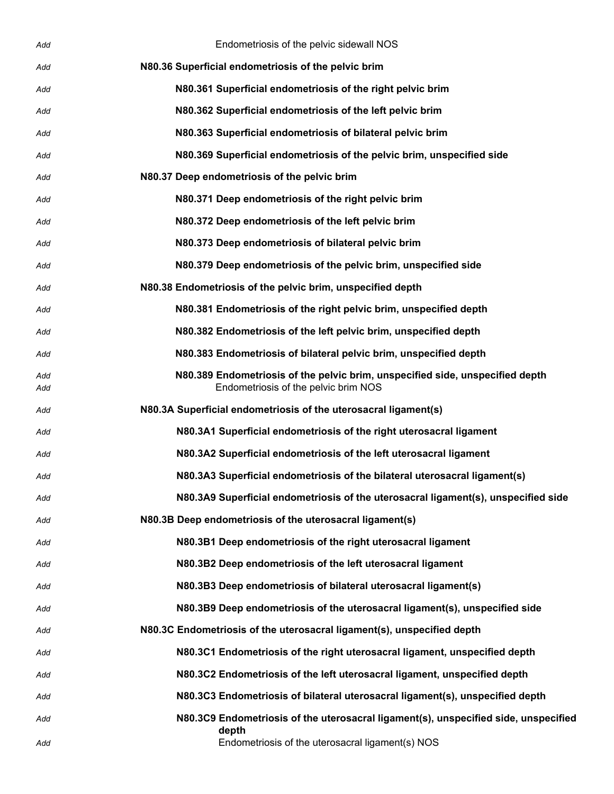| Add        | Endometriosis of the pelvic sidewall NOS                                                                              |
|------------|-----------------------------------------------------------------------------------------------------------------------|
| Add        | N80.36 Superficial endometriosis of the pelvic brim                                                                   |
| Add        | N80.361 Superficial endometriosis of the right pelvic brim                                                            |
| Add        | N80.362 Superficial endometriosis of the left pelvic brim                                                             |
| Add        | N80.363 Superficial endometriosis of bilateral pelvic brim                                                            |
| Add        | N80.369 Superficial endometriosis of the pelvic brim, unspecified side                                                |
| Add        | N80.37 Deep endometriosis of the pelvic brim                                                                          |
| Add        | N80.371 Deep endometriosis of the right pelvic brim                                                                   |
| Add        | N80.372 Deep endometriosis of the left pelvic brim                                                                    |
| Add        | N80.373 Deep endometriosis of bilateral pelvic brim                                                                   |
| Add        | N80.379 Deep endometriosis of the pelvic brim, unspecified side                                                       |
| Add        | N80.38 Endometriosis of the pelvic brim, unspecified depth                                                            |
| Add        | N80.381 Endometriosis of the right pelvic brim, unspecified depth                                                     |
| Add        | N80.382 Endometriosis of the left pelvic brim, unspecified depth                                                      |
| Add        | N80.383 Endometriosis of bilateral pelvic brim, unspecified depth                                                     |
| Add<br>Add | N80.389 Endometriosis of the pelvic brim, unspecified side, unspecified depth<br>Endometriosis of the pelvic brim NOS |
| Add        | N80.3A Superficial endometriosis of the uterosacral ligament(s)                                                       |
| Add        | N80.3A1 Superficial endometriosis of the right uterosacral ligament                                                   |
| Add        | N80.3A2 Superficial endometriosis of the left uterosacral ligament                                                    |
| Add        | N80.3A3 Superficial endometriosis of the bilateral uterosacral ligament(s)                                            |
| Add        | N80.3A9 Superficial endometriosis of the uterosacral ligament(s), unspecified side                                    |
| Add        | N80.3B Deep endometriosis of the uterosacral ligament(s)                                                              |
| Add        | N80.3B1 Deep endometriosis of the right uterosacral ligament                                                          |
| Add        | N80.3B2 Deep endometriosis of the left uterosacral ligament                                                           |
| Add        | N80.3B3 Deep endometriosis of bilateral uterosacral ligament(s)                                                       |
| Add        | N80.3B9 Deep endometriosis of the uterosacral ligament(s), unspecified side                                           |
| Add        | N80.3C Endometriosis of the uterosacral ligament(s), unspecified depth                                                |
| Add        | N80.3C1 Endometriosis of the right uterosacral ligament, unspecified depth                                            |
| Add        | N80.3C2 Endometriosis of the left uterosacral ligament, unspecified depth                                             |
| Add        | N80.3C3 Endometriosis of bilateral uterosacral ligament(s), unspecified depth                                         |
| Add        | N80.3C9 Endometriosis of the uterosacral ligament(s), unspecified side, unspecified                                   |
| Add        | depth<br>Endometriosis of the uterosacral ligament(s) NOS                                                             |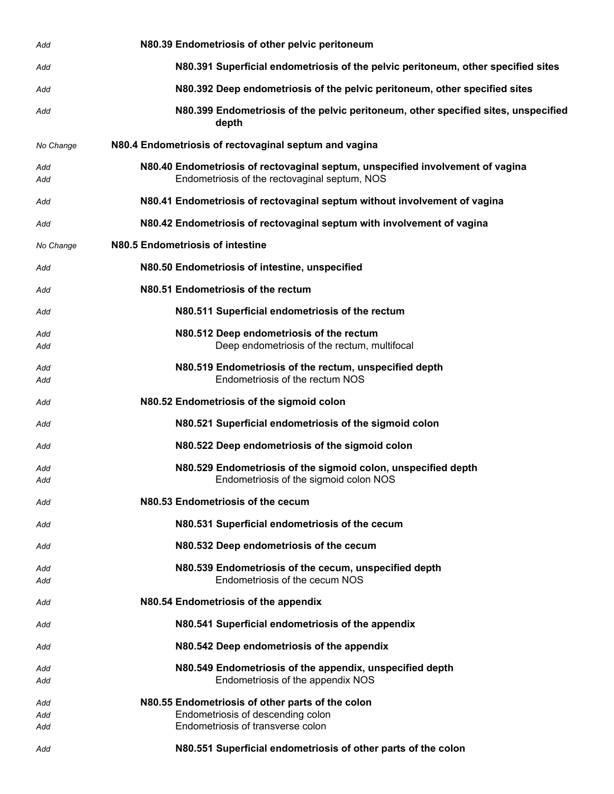| Add               | N80.39 Endometriosis of other pelvic peritoneum                                                                                 |
|-------------------|---------------------------------------------------------------------------------------------------------------------------------|
| Add               | N80.391 Superficial endometriosis of the pelvic peritoneum, other specified sites                                               |
| Add               | N80.392 Deep endometriosis of the pelvic peritoneum, other specified sites                                                      |
| Add               | N80.399 Endometriosis of the pelvic peritoneum, other specified sites, unspecified<br>depth                                     |
| No Change         | N80.4 Endometriosis of rectovaginal septum and vagina                                                                           |
| Add<br>Add        | N80.40 Endometriosis of rectovaginal septum, unspecified involvement of vagina<br>Endometriosis of the rectovaginal septum, NOS |
| Add               | N80.41 Endometriosis of rectovaginal septum without involvement of vagina                                                       |
| Add               | N80.42 Endometriosis of rectovaginal septum with involvement of vagina                                                          |
| No Change         | N80.5 Endometriosis of intestine                                                                                                |
| Add               | N80.50 Endometriosis of intestine, unspecified                                                                                  |
| Add               | N80.51 Endometriosis of the rectum                                                                                              |
| Add               | N80.511 Superficial endometriosis of the rectum                                                                                 |
| Add<br>Add        | N80.512 Deep endometriosis of the rectum<br>Deep endometriosis of the rectum, multifocal                                        |
| Add<br>Add        | N80.519 Endometriosis of the rectum, unspecified depth<br>Endometriosis of the rectum NOS                                       |
| Add               | N80.52 Endometriosis of the sigmoid colon                                                                                       |
| Add               | N80.521 Superficial endometriosis of the sigmoid colon                                                                          |
| Add               | N80.522 Deep endometriosis of the sigmoid colon                                                                                 |
| Add<br>Add        | N80.529 Endometriosis of the sigmoid colon, unspecified depth<br>Endometriosis of the sigmoid colon NOS                         |
| Add               | N80.53 Endometriosis of the cecum                                                                                               |
| Add               | N80.531 Superficial endometriosis of the cecum                                                                                  |
| Add               | N80.532 Deep endometriosis of the cecum                                                                                         |
| Add<br>Add        | N80.539 Endometriosis of the cecum, unspecified depth<br>Endometriosis of the cecum NOS                                         |
| Add               | N80.54 Endometriosis of the appendix                                                                                            |
| Add               | N80.541 Superficial endometriosis of the appendix                                                                               |
| Add               | N80.542 Deep endometriosis of the appendix                                                                                      |
| Add<br>Add        | N80.549 Endometriosis of the appendix, unspecified depth<br>Endometriosis of the appendix NOS                                   |
| Add<br>Add<br>Add | N80.55 Endometriosis of other parts of the colon<br>Endometriosis of descending colon<br>Endometriosis of transverse colon      |
| Add               | N80.551 Superficial endometriosis of other parts of the colon                                                                   |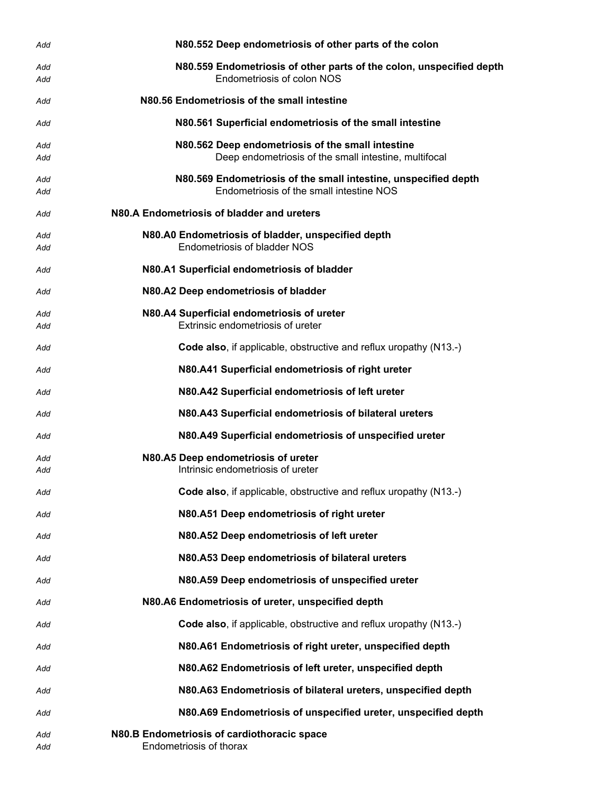| Add        | N80.552 Deep endometriosis of other parts of the colon                                                      |
|------------|-------------------------------------------------------------------------------------------------------------|
| Add<br>Add | N80.559 Endometriosis of other parts of the colon, unspecified depth<br>Endometriosis of colon NOS          |
| Add        | N80.56 Endometriosis of the small intestine                                                                 |
| Add        | N80.561 Superficial endometriosis of the small intestine                                                    |
| Add<br>Add | N80.562 Deep endometriosis of the small intestine<br>Deep endometriosis of the small intestine, multifocal  |
| Add<br>Add | N80.569 Endometriosis of the small intestine, unspecified depth<br>Endometriosis of the small intestine NOS |
| Add        | N80.A Endometriosis of bladder and ureters                                                                  |
| Add<br>Add | N80.A0 Endometriosis of bladder, unspecified depth<br><b>Endometriosis of bladder NOS</b>                   |
| Add        | N80.A1 Superficial endometriosis of bladder                                                                 |
| Add        | N80.A2 Deep endometriosis of bladder                                                                        |
| Add<br>Add | N80.A4 Superficial endometriosis of ureter<br>Extrinsic endometriosis of ureter                             |
| Add        | Code also, if applicable, obstructive and reflux uropathy (N13.-)                                           |
| Add        | N80.A41 Superficial endometriosis of right ureter                                                           |
| Add        | N80.A42 Superficial endometriosis of left ureter                                                            |
| Add        | N80.A43 Superficial endometriosis of bilateral ureters                                                      |
| Add        | N80.A49 Superficial endometriosis of unspecified ureter                                                     |
| Add<br>Add | N80.A5 Deep endometriosis of ureter<br>Intrinsic endometriosis of ureter                                    |
| Add        | Code also, if applicable, obstructive and reflux uropathy (N13.-)                                           |
| Add        | N80.A51 Deep endometriosis of right ureter                                                                  |
| Add        | N80.A52 Deep endometriosis of left ureter                                                                   |
| Add        | N80.A53 Deep endometriosis of bilateral ureters                                                             |
| Add        | N80.A59 Deep endometriosis of unspecified ureter                                                            |
| Add        | N80.A6 Endometriosis of ureter, unspecified depth                                                           |
| Add        | <b>Code also, if applicable, obstructive and reflux uropathy (N13.-)</b>                                    |
| Add        | N80.A61 Endometriosis of right ureter, unspecified depth                                                    |
| Add        | N80.A62 Endometriosis of left ureter, unspecified depth                                                     |
| Add        | N80.A63 Endometriosis of bilateral ureters, unspecified depth                                               |
| Add        | N80.A69 Endometriosis of unspecified ureter, unspecified depth                                              |
| Add        | N80.B Endometriosis of cardiothoracic space                                                                 |
| Add        | Endometriosis of thorax                                                                                     |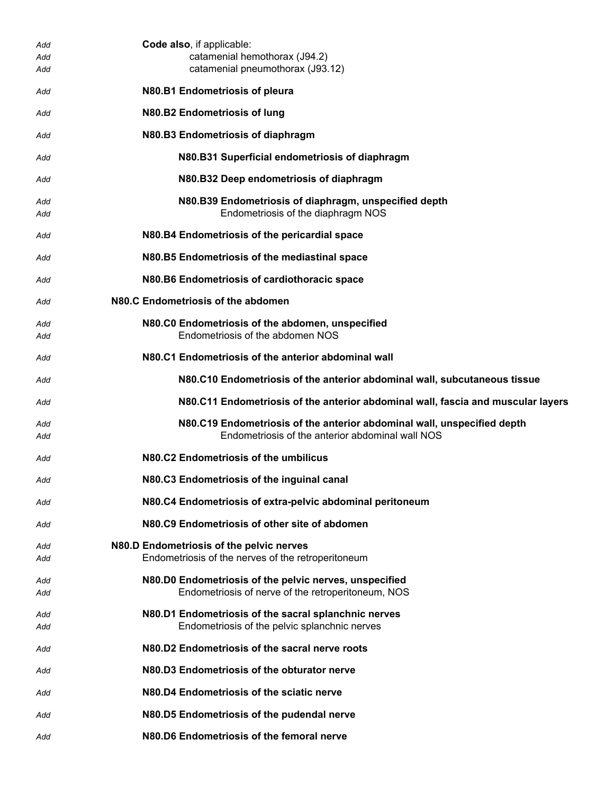| Add        | Code also, if applicable:                                                                                                   |
|------------|-----------------------------------------------------------------------------------------------------------------------------|
| Add        | catamenial hemothorax (J94.2)                                                                                               |
| Add        | catamenial pneumothorax (J93.12)                                                                                            |
| Add        | N80.B1 Endometriosis of pleura                                                                                              |
| Add        | N80.B2 Endometriosis of lung                                                                                                |
| Add        | N80.B3 Endometriosis of diaphragm                                                                                           |
| Add        | N80.B31 Superficial endometriosis of diaphragm                                                                              |
| Add        | N80.B32 Deep endometriosis of diaphragm                                                                                     |
| Add        | N80.B39 Endometriosis of diaphragm, unspecified depth                                                                       |
| Add        | Endometriosis of the diaphragm NOS                                                                                          |
| Add        | N80.B4 Endometriosis of the pericardial space                                                                               |
| Add        | N80.B5 Endometriosis of the mediastinal space                                                                               |
| Add        | N80.B6 Endometriosis of cardiothoracic space                                                                                |
| Add        | N80.C Endometriosis of the abdomen                                                                                          |
| Add<br>Add | N80.C0 Endometriosis of the abdomen, unspecified<br>Endometriosis of the abdomen NOS                                        |
| Add        | N80.C1 Endometriosis of the anterior abdominal wall                                                                         |
| Add        | N80.C10 Endometriosis of the anterior abdominal wall, subcutaneous tissue                                                   |
| Add        | N80.C11 Endometriosis of the anterior abdominal wall, fascia and muscular layers                                            |
|            |                                                                                                                             |
| Add<br>Add | N80.C19 Endometriosis of the anterior abdominal wall, unspecified depth<br>Endometriosis of the anterior abdominal wall NOS |
| Add        | N80.C2 Endometriosis of the umbilicus                                                                                       |
| Add        | N80.C3 Endometriosis of the inguinal canal                                                                                  |
| Add        | N80.C4 Endometriosis of extra-pelvic abdominal peritoneum                                                                   |
| Add        | N80.C9 Endometriosis of other site of abdomen                                                                               |
| Add        | N80.D Endometriosis of the pelvic nerves                                                                                    |
| Add        | Endometriosis of the nerves of the retroperitoneum                                                                          |
|            | N80.D0 Endometriosis of the pelvic nerves, unspecified                                                                      |
| Add<br>Add | Endometriosis of nerve of the retroperitoneum, NOS                                                                          |
|            |                                                                                                                             |
| Add        | N80.D1 Endometriosis of the sacral splanchnic nerves                                                                        |
| Add        | Endometriosis of the pelvic splanchnic nerves                                                                               |
| Add        | N80.D2 Endometriosis of the sacral nerve roots                                                                              |
| Add        | N80.D3 Endometriosis of the obturator nerve                                                                                 |
| Add        | N80.D4 Endometriosis of the sciatic nerve                                                                                   |
| Add        | N80.D5 Endometriosis of the pudendal nerve                                                                                  |
| Add        | N80.D6 Endometriosis of the femoral nerve                                                                                   |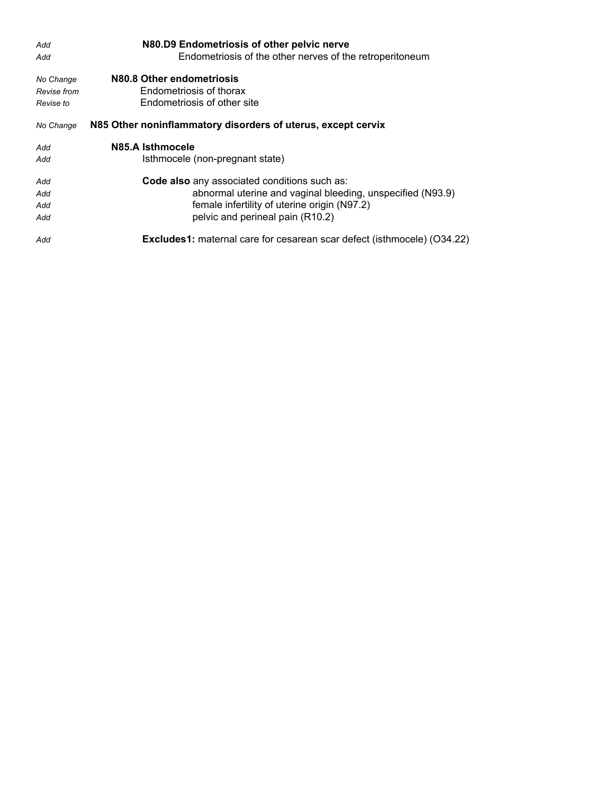| Add         | N80.D9 Endometriosis of other pelvic nerve                                     |
|-------------|--------------------------------------------------------------------------------|
| Add         | Endometriosis of the other nerves of the retroperitoneum                       |
| No Change   | N80.8 Other endometriosis                                                      |
| Revise from | Endometriosis of thorax                                                        |
| Revise to   | Endometriosis of other site                                                    |
| No Change   | N85 Other noninflammatory disorders of uterus, except cervix                   |
| Add         | N85.A Isthmocele                                                               |
| Add         | Isthmocele (non-pregnant state)                                                |
| Add         | Code also any associated conditions such as:                                   |
| Add         | abnormal uterine and vaginal bleeding, unspecified (N93.9)                     |
| Add         | female infertility of uterine origin (N97.2)                                   |
| Add         | pelvic and perineal pain (R10.2)                                               |
| Add         | <b>Excludes1:</b> maternal care for cesarean scar defect (isthmocele) (O34.22) |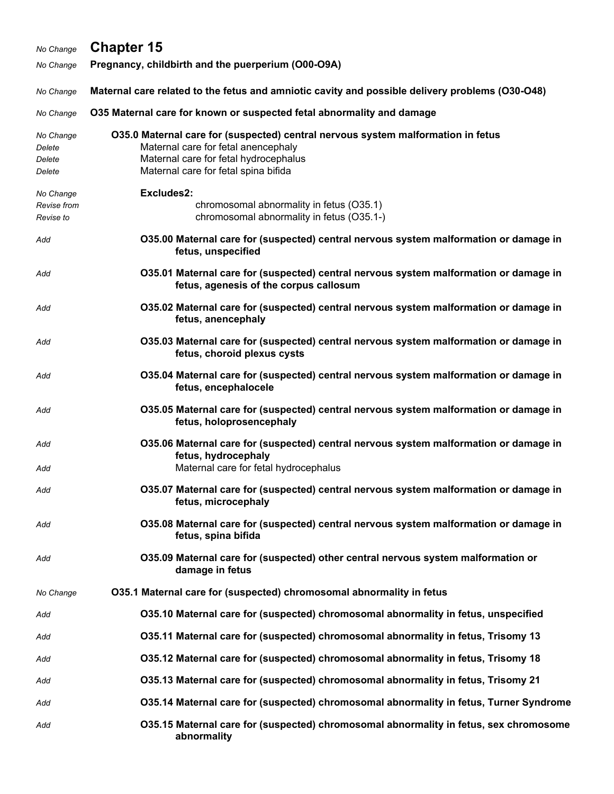## *No Change* **Chapter 15** *No Change* **Pregnancy, childbirth and the puerperium (O00-O9A)** *No Change* **Maternal care related to the fetus and amniotic cavity and possible delivery problems (O30-O48)** *No Change* **O35 Maternal care for known or suspected fetal abnormality and damage** *No Change* **O35.0 Maternal care for (suspected) central nervous system malformation in fetus** *Delete* Maternal care for fetal anencephaly *Delete* Maternal care for fetal hydrocephalus *Delete* Maternal care for fetal spina bifida *No Change* **Excludes2:**  *Revise from* chromosomal abnormality in fetus (O35.1) *Revise to* chromosomal abnormality in fetus (O35.1-)

- *Add* **O35.00 Maternal care for (suspected) central nervous system malformation or damage in fetus, unspecified**
- *Add* **O35.01 Maternal care for (suspected) central nervous system malformation or damage in fetus, agenesis of the corpus callosum**
- *Add* **O35.02 Maternal care for (suspected) central nervous system malformation or damage in fetus, anencephaly**
- *Add* **O35.03 Maternal care for (suspected) central nervous system malformation or damage in fetus, choroid plexus cysts**
- *Add* **O35.04 Maternal care for (suspected) central nervous system malformation or damage in fetus, encephalocele**
- *Add* **O35.05 Maternal care for (suspected) central nervous system malformation or damage in fetus, holoprosencephaly**
- *Add* **O35.06 Maternal care for (suspected) central nervous system malformation or damage in fetus, hydrocephaly** Add Maternal care for fetal hydrocephalus
- *Add* **O35.07 Maternal care for (suspected) central nervous system malformation or damage in fetus, microcephaly**
- *Add* **O35.08 Maternal care for (suspected) central nervous system malformation or damage in fetus, spina bifida**
- *Add* **O35.09 Maternal care for (suspected) other central nervous system malformation or damage in fetus**
- *No Change* **O35.1 Maternal care for (suspected) chromosomal abnormality in fetus**
- *Add* **O35.10 Maternal care for (suspected) chromosomal abnormality in fetus, unspecified**
- *Add* **O35.11 Maternal care for (suspected) chromosomal abnormality in fetus, Trisomy 13**
- *Add* **O35.12 Maternal care for (suspected) chromosomal abnormality in fetus, Trisomy 18**
- *Add* **O35.13 Maternal care for (suspected) chromosomal abnormality in fetus, Trisomy 21**
- *Add* **O35.14 Maternal care for (suspected) chromosomal abnormality in fetus, Turner Syndrome**
- *Add* **O35.15 Maternal care for (suspected) chromosomal abnormality in fetus, sex chromosome abnormality**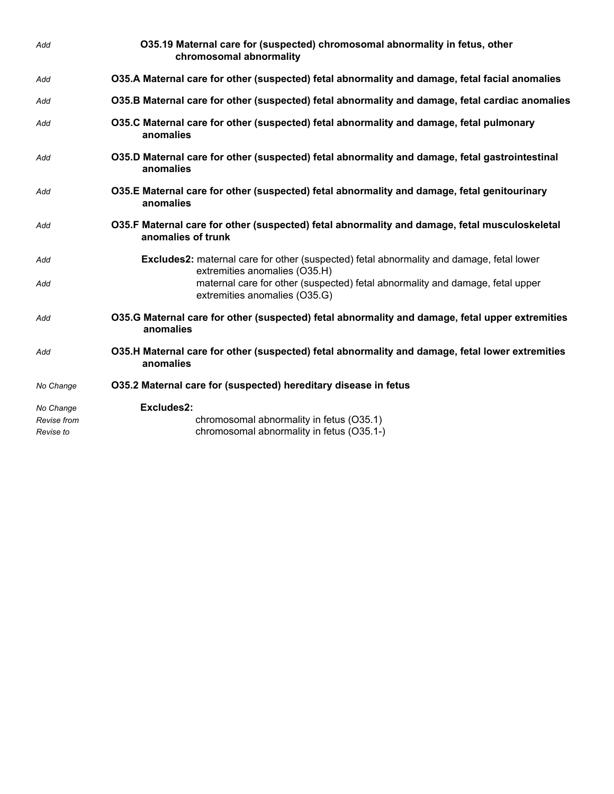| Add                      | O35.19 Maternal care for (suspected) chromosomal abnormality in fetus, other<br>chromosomal abnormality                          |
|--------------------------|----------------------------------------------------------------------------------------------------------------------------------|
| Add                      | O35.A Maternal care for other (suspected) fetal abnormality and damage, fetal facial anomalies                                   |
| Add                      | O35.B Maternal care for other (suspected) fetal abnormality and damage, fetal cardiac anomalies                                  |
| Add                      | O35.C Maternal care for other (suspected) fetal abnormality and damage, fetal pulmonary<br>anomalies                             |
| Add                      | O35.D Maternal care for other (suspected) fetal abnormality and damage, fetal gastrointestinal<br>anomalies                      |
| Add                      | O35.E Maternal care for other (suspected) fetal abnormality and damage, fetal genitourinary<br>anomalies                         |
| Add                      | O35.F Maternal care for other (suspected) fetal abnormality and damage, fetal musculoskeletal<br>anomalies of trunk              |
| Add                      | <b>Excludes2:</b> maternal care for other (suspected) fetal abnormality and damage, fetal lower<br>extremities anomalies (O35.H) |
| Add                      | maternal care for other (suspected) fetal abnormality and damage, fetal upper<br>extremities anomalies (O35.G)                   |
| Add                      | O35.G Maternal care for other (suspected) fetal abnormality and damage, fetal upper extremities<br>anomalies                     |
| Add                      | O35.H Maternal care for other (suspected) fetal abnormality and damage, fetal lower extremities<br>anomalies                     |
| No Change                | 035.2 Maternal care for (suspected) hereditary disease in fetus                                                                  |
| No Change                | Excludes2:                                                                                                                       |
| Revise from<br>Revise to | chromosomal abnormality in fetus (O35.1)<br>chromosomal abnormality in fetus (O35.1-)                                            |
|                          |                                                                                                                                  |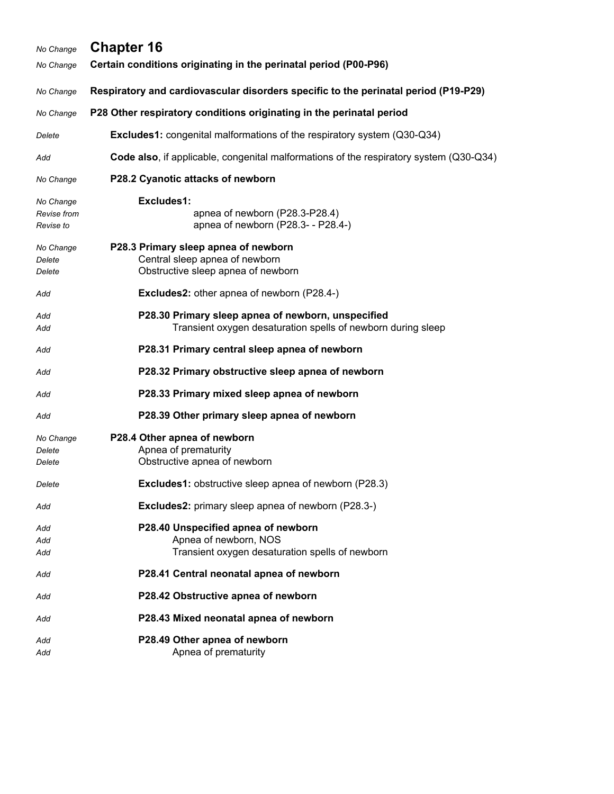| No Change                             | <b>Chapter 16</b>                                                                                                  |
|---------------------------------------|--------------------------------------------------------------------------------------------------------------------|
| No Change                             | Certain conditions originating in the perinatal period (P00-P96)                                                   |
| No Change                             | Respiratory and cardiovascular disorders specific to the perinatal period (P19-P29)                                |
| No Change                             | P28 Other respiratory conditions originating in the perinatal period                                               |
| Delete                                | <b>Excludes1:</b> congenital malformations of the respiratory system (Q30-Q34)                                     |
| Add                                   | Code also, if applicable, congenital malformations of the respiratory system (Q30-Q34)                             |
| No Change                             | P28.2 Cyanotic attacks of newborn                                                                                  |
| No Change<br>Revise from<br>Revise to | Excludes1:<br>apnea of newborn (P28.3-P28.4)<br>apnea of newborn (P28.3- - P28.4-)                                 |
| No Change<br>Delete<br>Delete         | P28.3 Primary sleep apnea of newborn<br>Central sleep apnea of newborn<br>Obstructive sleep apnea of newborn       |
| Add                                   | <b>Excludes2:</b> other apnea of newborn (P28.4-)                                                                  |
| Add<br>Add                            | P28.30 Primary sleep apnea of newborn, unspecified<br>Transient oxygen desaturation spells of newborn during sleep |
| Add                                   | P28.31 Primary central sleep apnea of newborn                                                                      |
| Add                                   | P28.32 Primary obstructive sleep apnea of newborn                                                                  |
| Add                                   | P28.33 Primary mixed sleep apnea of newborn                                                                        |
| Add                                   | P28.39 Other primary sleep apnea of newborn                                                                        |
| No Change<br>Delete<br>Delete         | P28.4 Other apnea of newborn<br>Apnea of prematurity<br>Obstructive apnea of newborn                               |
| Delete                                | <b>Excludes1:</b> obstructive sleep apnea of newborn (P28.3)                                                       |
| Add                                   | <b>Excludes2:</b> primary sleep apnea of newborn (P28.3-)                                                          |
| Add<br>Add<br>Add                     | P28.40 Unspecified apnea of newborn<br>Apnea of newborn, NOS<br>Transient oxygen desaturation spells of newborn    |
| Add                                   | P28.41 Central neonatal apnea of newborn                                                                           |
| Add                                   | P28.42 Obstructive apnea of newborn                                                                                |
| Add                                   | P28.43 Mixed neonatal apnea of newborn                                                                             |
| Add<br>Add                            | P28.49 Other apnea of newborn<br>Apnea of prematurity                                                              |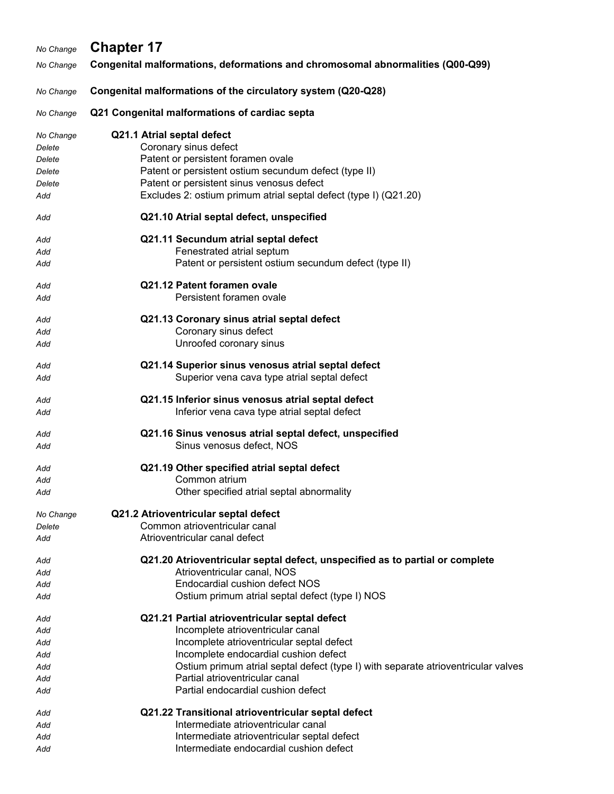| No Change  | <b>Chapter 17</b>                                                                                                          |
|------------|----------------------------------------------------------------------------------------------------------------------------|
| No Change  | Congenital malformations, deformations and chromosomal abnormalities (Q00-Q99)                                             |
|            |                                                                                                                            |
| No Change  | Congenital malformations of the circulatory system (Q20-Q28)                                                               |
| No Change  | Q21 Congenital malformations of cardiac septa                                                                              |
| No Change  | Q21.1 Atrial septal defect                                                                                                 |
| Delete     | Coronary sinus defect                                                                                                      |
| Delete     | Patent or persistent foramen ovale                                                                                         |
| Delete     | Patent or persistent ostium secundum defect (type II)                                                                      |
| Delete     | Patent or persistent sinus venosus defect                                                                                  |
| Add        | Excludes 2: ostium primum atrial septal defect (type I) (Q21.20)                                                           |
| Add        | Q21.10 Atrial septal defect, unspecified                                                                                   |
| Add        | Q21.11 Secundum atrial septal defect                                                                                       |
| Add        | Fenestrated atrial septum                                                                                                  |
| Add        | Patent or persistent ostium secundum defect (type II)                                                                      |
| Add        | Q21.12 Patent foramen ovale                                                                                                |
| Add        | Persistent foramen ovale                                                                                                   |
| Add        | Q21.13 Coronary sinus atrial septal defect                                                                                 |
| Add        | Coronary sinus defect                                                                                                      |
| Add        | Unroofed coronary sinus                                                                                                    |
| Add        | Q21.14 Superior sinus venosus atrial septal defect                                                                         |
| Add        | Superior vena cava type atrial septal defect                                                                               |
| Add        | Q21.15 Inferior sinus venosus atrial septal defect                                                                         |
| Add        | Inferior vena cava type atrial septal defect                                                                               |
| Add        | Q21.16 Sinus venosus atrial septal defect, unspecified                                                                     |
| Add        | Sinus venosus defect, NOS                                                                                                  |
| Add        | Q21.19 Other specified atrial septal defect                                                                                |
| Add        | Common atrium                                                                                                              |
| Add        | Other specified atrial septal abnormality                                                                                  |
| No Change  | Q21.2 Atrioventricular septal defect                                                                                       |
| Delete     | Common atrioventricular canal                                                                                              |
| Add        | Atrioventricular canal defect                                                                                              |
| Add        | Q21.20 Atrioventricular septal defect, unspecified as to partial or complete                                               |
| Add        | Atrioventricular canal, NOS                                                                                                |
| Add        | Endocardial cushion defect NOS                                                                                             |
| Add        | Ostium primum atrial septal defect (type I) NOS                                                                            |
| Add        | Q21.21 Partial atrioventricular septal defect                                                                              |
| Add        | Incomplete atrioventricular canal                                                                                          |
| Add        | Incomplete atrioventricular septal defect                                                                                  |
| Add        | Incomplete endocardial cushion defect<br>Ostium primum atrial septal defect (type I) with separate atrioventricular valves |
| Add<br>Add | Partial atrioventricular canal                                                                                             |
| Add        | Partial endocardial cushion defect                                                                                         |
|            |                                                                                                                            |
| Add        | Q21.22 Transitional atrioventricular septal defect                                                                         |
| Add        | Intermediate atrioventricular canal                                                                                        |
| Add        | Intermediate atrioventricular septal defect                                                                                |

Add **Intermediate endocardial cushion defect**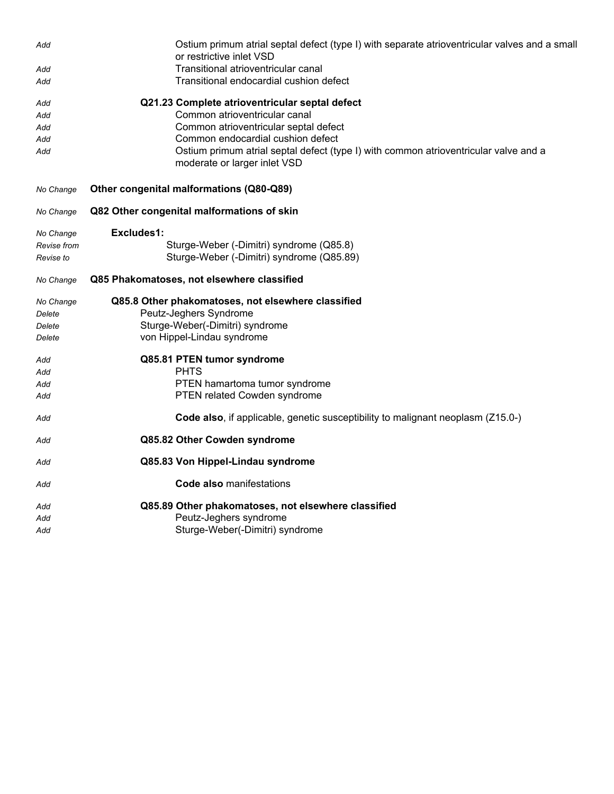| Add         | Ostium primum atrial septal defect (type I) with separate atrioventricular valves and a small<br>or restrictive inlet VSD |
|-------------|---------------------------------------------------------------------------------------------------------------------------|
| Add         | Transitional atrioventricular canal                                                                                       |
| Add         | Transitional endocardial cushion defect                                                                                   |
| Add         | Q21.23 Complete atrioventricular septal defect                                                                            |
| Add         | Common atrioventricular canal                                                                                             |
| Add         | Common atrioventricular septal defect                                                                                     |
| Add         | Common endocardial cushion defect                                                                                         |
| Add         | Ostium primum atrial septal defect (type I) with common atrioventricular valve and a<br>moderate or larger inlet VSD      |
| No Change   | Other congenital malformations (Q80-Q89)                                                                                  |
| No Change   | Q82 Other congenital malformations of skin                                                                                |
| No Change   | Excludes1:                                                                                                                |
| Revise from | Sturge-Weber (-Dimitri) syndrome (Q85.8)                                                                                  |
| Revise to   | Sturge-Weber (-Dimitri) syndrome (Q85.89)                                                                                 |
| No Change   | Q85 Phakomatoses, not elsewhere classified                                                                                |
| No Change   | Q85.8 Other phakomatoses, not elsewhere classified                                                                        |
| Delete      | Peutz-Jeghers Syndrome                                                                                                    |
| Delete      | Sturge-Weber(-Dimitri) syndrome                                                                                           |
| Delete      | von Hippel-Lindau syndrome                                                                                                |
| Add         | Q85.81 PTEN tumor syndrome                                                                                                |
| Add         | <b>PHTS</b>                                                                                                               |
| Add         | PTEN hamartoma tumor syndrome                                                                                             |
| Add         | PTEN related Cowden syndrome                                                                                              |
| Add         | Code also, if applicable, genetic susceptibility to malignant neoplasm (Z15.0-)                                           |
| Add         | Q85.82 Other Cowden syndrome                                                                                              |
| Add         | Q85.83 Von Hippel-Lindau syndrome                                                                                         |
| Add         | <b>Code also manifestations</b>                                                                                           |
| Add         | Q85.89 Other phakomatoses, not elsewhere classified                                                                       |
| Add         | Peutz-Jeghers syndrome                                                                                                    |
| Add         | Sturge-Weber(-Dimitri) syndrome                                                                                           |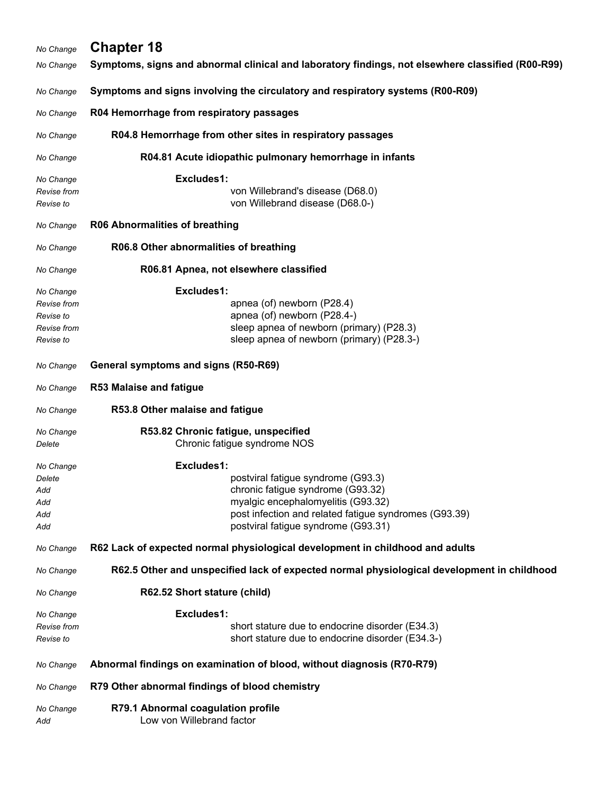| No Change                                                         | <b>Chapter 18</b>                                                                                                                                                                                                           |
|-------------------------------------------------------------------|-----------------------------------------------------------------------------------------------------------------------------------------------------------------------------------------------------------------------------|
| No Change                                                         | Symptoms, signs and abnormal clinical and laboratory findings, not elsewhere classified (R00-R99)                                                                                                                           |
| No Change                                                         | Symptoms and signs involving the circulatory and respiratory systems (R00-R09)                                                                                                                                              |
| No Change                                                         | R04 Hemorrhage from respiratory passages                                                                                                                                                                                    |
| No Change                                                         | R04.8 Hemorrhage from other sites in respiratory passages                                                                                                                                                                   |
| No Change                                                         | R04.81 Acute idiopathic pulmonary hemorrhage in infants                                                                                                                                                                     |
| No Change<br>Revise from<br>Revise to                             | Excludes1:<br>von Willebrand's disease (D68.0)<br>von Willebrand disease (D68.0-)                                                                                                                                           |
| No Change                                                         | <b>R06 Abnormalities of breathing</b>                                                                                                                                                                                       |
| No Change                                                         | R06.8 Other abnormalities of breathing                                                                                                                                                                                      |
| No Change                                                         | R06.81 Apnea, not elsewhere classified                                                                                                                                                                                      |
| No Change<br>Revise from<br>Revise to<br>Revise from<br>Revise to | Excludes1:<br>apnea (of) newborn (P28.4)<br>apnea (of) newborn (P28.4-)<br>sleep apnea of newborn (primary) (P28.3)<br>sleep apnea of newborn (primary) (P28.3-)                                                            |
| No Change                                                         | General symptoms and signs (R50-R69)                                                                                                                                                                                        |
| No Change                                                         | <b>R53 Malaise and fatigue</b>                                                                                                                                                                                              |
| No Change                                                         | R53.8 Other malaise and fatigue                                                                                                                                                                                             |
| No Change<br>Delete                                               | R53.82 Chronic fatigue, unspecified<br>Chronic fatigue syndrome NOS                                                                                                                                                         |
| No Change<br>Delete<br>Add<br>Add<br>Add<br>Add                   | Excludes1:<br>postviral fatigue syndrome (G93.3)<br>chronic fatigue syndrome (G93.32)<br>myalgic encephalomyelitis (G93.32)<br>post infection and related fatigue syndromes (G93.39)<br>postviral fatigue syndrome (G93.31) |
| No Change                                                         | R62 Lack of expected normal physiological development in childhood and adults                                                                                                                                               |
| No Change                                                         | R62.5 Other and unspecified lack of expected normal physiological development in childhood                                                                                                                                  |
| No Change                                                         | R62.52 Short stature (child)                                                                                                                                                                                                |
| No Change<br>Revise from<br>Revise to                             | Excludes1:<br>short stature due to endocrine disorder (E34.3)<br>short stature due to endocrine disorder (E34.3-)                                                                                                           |
| No Change                                                         | Abnormal findings on examination of blood, without diagnosis (R70-R79)                                                                                                                                                      |
| No Change                                                         | R79 Other abnormal findings of blood chemistry                                                                                                                                                                              |
| No Change<br>Add                                                  | R79.1 Abnormal coagulation profile<br>Low von Willebrand factor                                                                                                                                                             |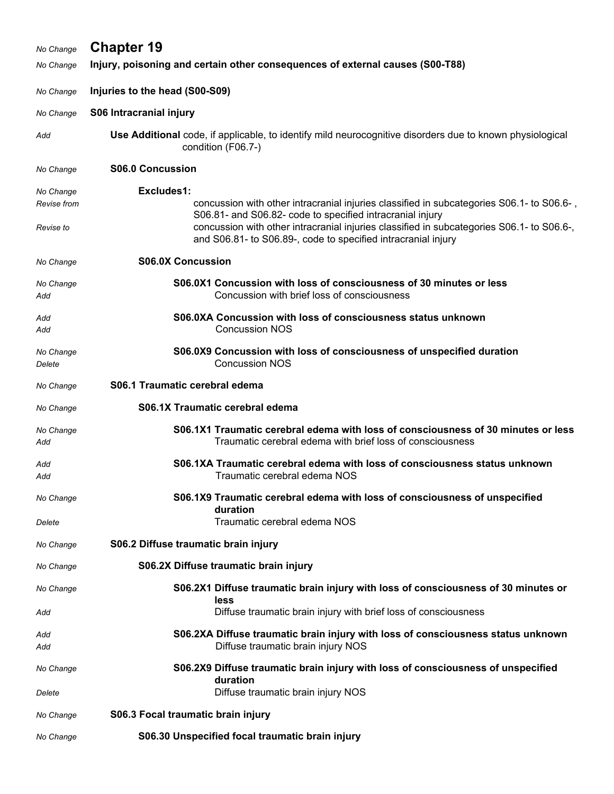| No Change           | <b>Chapter 19</b>                                                                                                                                                                                                       |
|---------------------|-------------------------------------------------------------------------------------------------------------------------------------------------------------------------------------------------------------------------|
| No Change           | Injury, poisoning and certain other consequences of external causes (S00-T88)                                                                                                                                           |
| No Change           | Injuries to the head (S00-S09)                                                                                                                                                                                          |
| No Change           | S06 Intracranial injury                                                                                                                                                                                                 |
| Add                 | Use Additional code, if applicable, to identify mild neurocognitive disorders due to known physiological<br>condition (F06.7-)                                                                                          |
| No Change           | <b>S06.0 Concussion</b>                                                                                                                                                                                                 |
| No Change           | Excludes1:                                                                                                                                                                                                              |
| Revise from         | concussion with other intracranial injuries classified in subcategories S06.1- to S06.6-,                                                                                                                               |
| Revise to           | S06.81- and S06.82- code to specified intracranial injury<br>concussion with other intracranial injuries classified in subcategories S06.1- to S06.6-,<br>and S06.81- to S06.89-, code to specified intracranial injury |
| No Change           | <b>S06.0X Concussion</b>                                                                                                                                                                                                |
| No Change<br>Add    | S06.0X1 Concussion with loss of consciousness of 30 minutes or less<br>Concussion with brief loss of consciousness                                                                                                      |
| Add<br>Add          | S06.0XA Concussion with loss of consciousness status unknown<br><b>Concussion NOS</b>                                                                                                                                   |
| No Change<br>Delete | S06.0X9 Concussion with loss of consciousness of unspecified duration<br><b>Concussion NOS</b>                                                                                                                          |
| No Change           | S06.1 Traumatic cerebral edema                                                                                                                                                                                          |
| No Change           | S06.1X Traumatic cerebral edema                                                                                                                                                                                         |
| No Change<br>Add    | S06.1X1 Traumatic cerebral edema with loss of consciousness of 30 minutes or less<br>Traumatic cerebral edema with brief loss of consciousness                                                                          |
| Add<br>Add          | S06.1XA Traumatic cerebral edema with loss of consciousness status unknown<br>Traumatic cerebral edema NOS                                                                                                              |
| No Change           | S06.1X9 Traumatic cerebral edema with loss of consciousness of unspecified<br>duration                                                                                                                                  |
| Delete              | Traumatic cerebral edema NOS                                                                                                                                                                                            |
| No Change           | S06.2 Diffuse traumatic brain injury                                                                                                                                                                                    |
| No Change           | S06.2X Diffuse traumatic brain injury                                                                                                                                                                                   |
| No Change           | S06.2X1 Diffuse traumatic brain injury with loss of consciousness of 30 minutes or<br>less                                                                                                                              |
| Add                 | Diffuse traumatic brain injury with brief loss of consciousness                                                                                                                                                         |
| Add<br>Add          | S06.2XA Diffuse traumatic brain injury with loss of consciousness status unknown<br>Diffuse traumatic brain injury NOS                                                                                                  |
| No Change           | S06.2X9 Diffuse traumatic brain injury with loss of consciousness of unspecified<br>duration                                                                                                                            |
| Delete              | Diffuse traumatic brain injury NOS                                                                                                                                                                                      |
| No Change           | S06.3 Focal traumatic brain injury                                                                                                                                                                                      |
| No Change           | S06.30 Unspecified focal traumatic brain injury                                                                                                                                                                         |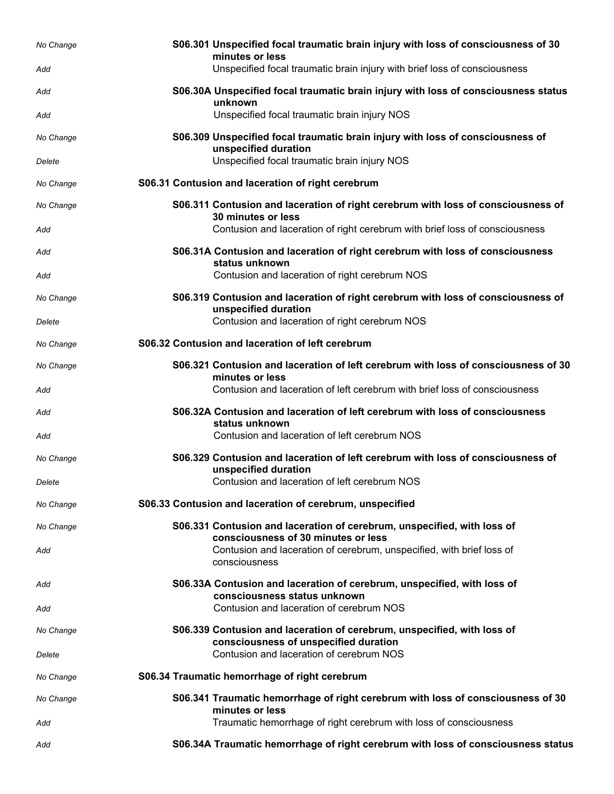| No Change           | S06.301 Unspecified focal traumatic brain injury with loss of consciousness of 30<br>minutes or less                                                     |
|---------------------|----------------------------------------------------------------------------------------------------------------------------------------------------------|
| Add                 | Unspecified focal traumatic brain injury with brief loss of consciousness                                                                                |
| Add                 | S06.30A Unspecified focal traumatic brain injury with loss of consciousness status<br>unknown                                                            |
| Add                 | Unspecified focal traumatic brain injury NOS                                                                                                             |
| No Change           | S06.309 Unspecified focal traumatic brain injury with loss of consciousness of<br>unspecified duration                                                   |
| Delete              | Unspecified focal traumatic brain injury NOS                                                                                                             |
| No Change           | S06.31 Contusion and laceration of right cerebrum                                                                                                        |
| No Change           | S06.311 Contusion and laceration of right cerebrum with loss of consciousness of<br>30 minutes or less                                                   |
| Add                 | Contusion and laceration of right cerebrum with brief loss of consciousness                                                                              |
| Add                 | S06.31A Contusion and laceration of right cerebrum with loss of consciousness<br>status unknown                                                          |
| Add                 | Contusion and laceration of right cerebrum NOS                                                                                                           |
| No Change           | S06.319 Contusion and laceration of right cerebrum with loss of consciousness of<br>unspecified duration                                                 |
| Delete              | Contusion and laceration of right cerebrum NOS                                                                                                           |
| No Change           | S06.32 Contusion and laceration of left cerebrum                                                                                                         |
| No Change           | S06.321 Contusion and laceration of left cerebrum with loss of consciousness of 30<br>minutes or less                                                    |
| Add                 | Contusion and laceration of left cerebrum with brief loss of consciousness                                                                               |
| Add                 | S06.32A Contusion and laceration of left cerebrum with loss of consciousness<br>status unknown                                                           |
| Add                 | Contusion and laceration of left cerebrum NOS                                                                                                            |
| No Change<br>Delete | S06.329 Contusion and laceration of left cerebrum with loss of consciousness of<br>unspecified duration<br>Contusion and laceration of left cerebrum NOS |
|                     |                                                                                                                                                          |
| No Change           | S06.33 Contusion and laceration of cerebrum, unspecified                                                                                                 |
| No Change           | S06.331 Contusion and laceration of cerebrum, unspecified, with loss of<br>consciousness of 30 minutes or less                                           |
| Add                 | Contusion and laceration of cerebrum, unspecified, with brief loss of<br>consciousness                                                                   |
| Add                 | S06.33A Contusion and laceration of cerebrum, unspecified, with loss of<br>consciousness status unknown                                                  |
| Add                 | Contusion and laceration of cerebrum NOS                                                                                                                 |
| No Change           | S06.339 Contusion and laceration of cerebrum, unspecified, with loss of<br>consciousness of unspecified duration                                         |
| Delete              | Contusion and laceration of cerebrum NOS                                                                                                                 |
| No Change           | S06.34 Traumatic hemorrhage of right cerebrum                                                                                                            |
| No Change           | S06.341 Traumatic hemorrhage of right cerebrum with loss of consciousness of 30<br>minutes or less                                                       |
| Add                 | Traumatic hemorrhage of right cerebrum with loss of consciousness                                                                                        |
| Add                 | S06.34A Traumatic hemorrhage of right cerebrum with loss of consciousness status                                                                         |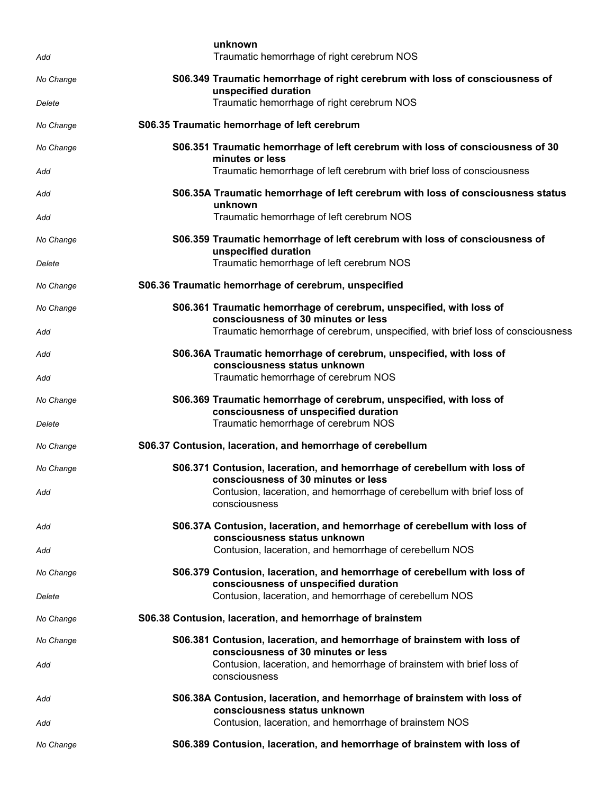| Add       | unknown<br>Traumatic hemorrhage of right cerebrum NOS                                                             |
|-----------|-------------------------------------------------------------------------------------------------------------------|
| No Change | S06.349 Traumatic hemorrhage of right cerebrum with loss of consciousness of<br>unspecified duration              |
| Delete    | Traumatic hemorrhage of right cerebrum NOS                                                                        |
| No Change | S06.35 Traumatic hemorrhage of left cerebrum                                                                      |
| No Change | S06.351 Traumatic hemorrhage of left cerebrum with loss of consciousness of 30<br>minutes or less                 |
| Add       | Traumatic hemorrhage of left cerebrum with brief loss of consciousness                                            |
| Add       | S06.35A Traumatic hemorrhage of left cerebrum with loss of consciousness status<br>unknown                        |
| Add       | Traumatic hemorrhage of left cerebrum NOS                                                                         |
| No Change | S06.359 Traumatic hemorrhage of left cerebrum with loss of consciousness of<br>unspecified duration               |
| Delete    | Traumatic hemorrhage of left cerebrum NOS                                                                         |
| No Change | S06.36 Traumatic hemorrhage of cerebrum, unspecified                                                              |
| No Change | S06.361 Traumatic hemorrhage of cerebrum, unspecified, with loss of<br>consciousness of 30 minutes or less        |
| Add       | Traumatic hemorrhage of cerebrum, unspecified, with brief loss of consciousness                                   |
| Add       | S06.36A Traumatic hemorrhage of cerebrum, unspecified, with loss of                                               |
| Add       | consciousness status unknown<br>Traumatic hemorrhage of cerebrum NOS                                              |
| No Change | S06.369 Traumatic hemorrhage of cerebrum, unspecified, with loss of<br>consciousness of unspecified duration      |
| Delete    | Traumatic hemorrhage of cerebrum NOS                                                                              |
| No Change | S06.37 Contusion, laceration, and hemorrhage of cerebellum                                                        |
| No Change | S06.371 Contusion, laceration, and hemorrhage of cerebellum with loss of<br>consciousness of 30 minutes or less   |
| Add       | Contusion, laceration, and hemorrhage of cerebellum with brief loss of<br>consciousness                           |
| Add       | S06.37A Contusion, laceration, and hemorrhage of cerebellum with loss of<br>consciousness status unknown          |
| Add       | Contusion, laceration, and hemorrhage of cerebellum NOS                                                           |
| No Change | S06.379 Contusion, laceration, and hemorrhage of cerebellum with loss of<br>consciousness of unspecified duration |
| Delete    | Contusion, laceration, and hemorrhage of cerebellum NOS                                                           |
| No Change | S06.38 Contusion, laceration, and hemorrhage of brainstem                                                         |
| No Change | S06.381 Contusion, laceration, and hemorrhage of brainstem with loss of<br>consciousness of 30 minutes or less    |
| Add       | Contusion, laceration, and hemorrhage of brainstem with brief loss of<br>consciousness                            |
| Add       | S06.38A Contusion, laceration, and hemorrhage of brainstem with loss of<br>consciousness status unknown           |
| Add       | Contusion, laceration, and hemorrhage of brainstem NOS                                                            |
| No Change | S06.389 Contusion, laceration, and hemorrhage of brainstem with loss of                                           |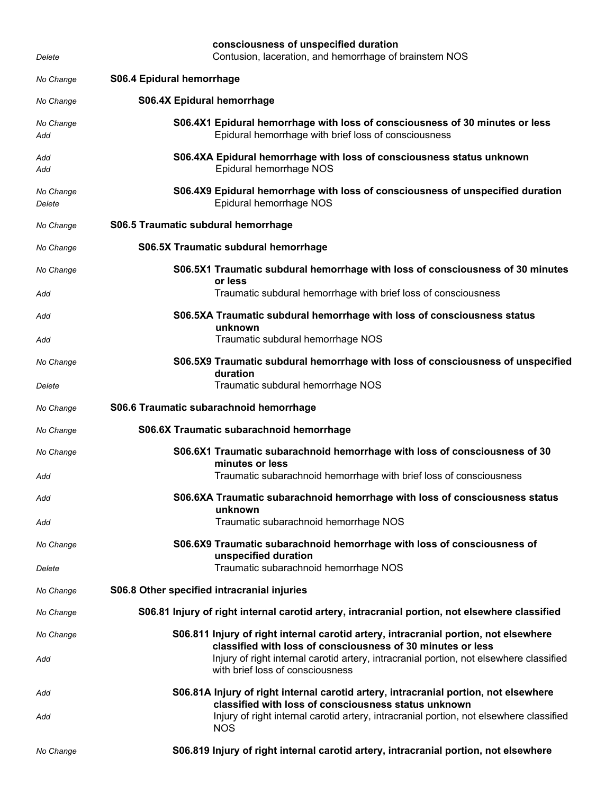| Delete              | consciousness of unspecified duration<br>Contusion, laceration, and hemorrhage of brainstem NOS                                                     |
|---------------------|-----------------------------------------------------------------------------------------------------------------------------------------------------|
| No Change           | S06.4 Epidural hemorrhage                                                                                                                           |
| No Change           | <b>S06.4X Epidural hemorrhage</b>                                                                                                                   |
| No Change<br>Add    | S06.4X1 Epidural hemorrhage with loss of consciousness of 30 minutes or less<br>Epidural hemorrhage with brief loss of consciousness                |
| Add<br>Add          | S06.4XA Epidural hemorrhage with loss of consciousness status unknown<br>Epidural hemorrhage NOS                                                    |
| No Change<br>Delete | S06.4X9 Epidural hemorrhage with loss of consciousness of unspecified duration<br>Epidural hemorrhage NOS                                           |
| No Change           | S06.5 Traumatic subdural hemorrhage                                                                                                                 |
| No Change           | S06.5X Traumatic subdural hemorrhage                                                                                                                |
| No Change           | S06.5X1 Traumatic subdural hemorrhage with loss of consciousness of 30 minutes<br>or less                                                           |
| Add                 | Traumatic subdural hemorrhage with brief loss of consciousness                                                                                      |
| Add                 | S06.5XA Traumatic subdural hemorrhage with loss of consciousness status<br>unknown                                                                  |
| Add                 | Traumatic subdural hemorrhage NOS                                                                                                                   |
| No Change           | S06.5X9 Traumatic subdural hemorrhage with loss of consciousness of unspecified<br>duration                                                         |
| Delete              | Traumatic subdural hemorrhage NOS                                                                                                                   |
| No Change           | S06.6 Traumatic subarachnoid hemorrhage                                                                                                             |
| No Change           | S06.6X Traumatic subarachnoid hemorrhage                                                                                                            |
| No Change           | S06.6X1 Traumatic subarachnoid hemorrhage with loss of consciousness of 30<br>minutes or less                                                       |
| Add                 | Traumatic subarachnoid hemorrhage with brief loss of consciousness                                                                                  |
| Add                 | S06.6XA Traumatic subarachnoid hemorrhage with loss of consciousness status<br>unknown                                                              |
| Add                 | Traumatic subarachnoid hemorrhage NOS                                                                                                               |
| No Change           | S06.6X9 Traumatic subarachnoid hemorrhage with loss of consciousness of<br>unspecified duration                                                     |
| Delete              | Traumatic subarachnoid hemorrhage NOS                                                                                                               |
| No Change           | S06.8 Other specified intracranial injuries                                                                                                         |
| No Change           | S06.81 Injury of right internal carotid artery, intracranial portion, not elsewhere classified                                                      |
| No Change           | S06.811 Injury of right internal carotid artery, intracranial portion, not elsewhere<br>classified with loss of consciousness of 30 minutes or less |
| Add                 | Injury of right internal carotid artery, intracranial portion, not elsewhere classified<br>with brief loss of consciousness                         |
| Add                 | S06.81A Injury of right internal carotid artery, intracranial portion, not elsewhere<br>classified with loss of consciousness status unknown        |
| Add                 | Injury of right internal carotid artery, intracranial portion, not elsewhere classified<br><b>NOS</b>                                               |
| No Change           | S06.819 Injury of right internal carotid artery, intracranial portion, not elsewhere                                                                |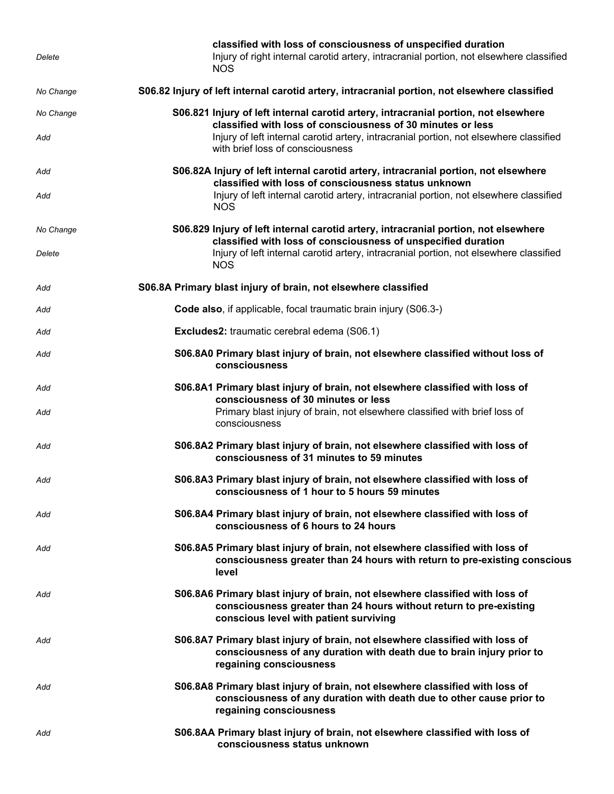| Delete              | classified with loss of consciousness of unspecified duration<br>Injury of right internal carotid artery, intracranial portion, not elsewhere classified<br><b>NOS</b>                                                                                                           |
|---------------------|----------------------------------------------------------------------------------------------------------------------------------------------------------------------------------------------------------------------------------------------------------------------------------|
| No Change           | S06.82 Injury of left internal carotid artery, intracranial portion, not elsewhere classified                                                                                                                                                                                    |
| No Change<br>Add    | S06.821 Injury of left internal carotid artery, intracranial portion, not elsewhere<br>classified with loss of consciousness of 30 minutes or less<br>Injury of left internal carotid artery, intracranial portion, not elsewhere classified<br>with brief loss of consciousness |
| Add<br>Add          | S06.82A Injury of left internal carotid artery, intracranial portion, not elsewhere<br>classified with loss of consciousness status unknown<br>Injury of left internal carotid artery, intracranial portion, not elsewhere classified<br><b>NOS</b>                              |
| No Change<br>Delete | S06.829 Injury of left internal carotid artery, intracranial portion, not elsewhere<br>classified with loss of consciousness of unspecified duration<br>Injury of left internal carotid artery, intracranial portion, not elsewhere classified<br><b>NOS</b>                     |
| Add                 | S06.8A Primary blast injury of brain, not elsewhere classified                                                                                                                                                                                                                   |
| Add                 | Code also, if applicable, focal traumatic brain injury (S06.3-)                                                                                                                                                                                                                  |
| Add                 | <b>Excludes2:</b> traumatic cerebral edema (S06.1)                                                                                                                                                                                                                               |
| Add                 | S06.8A0 Primary blast injury of brain, not elsewhere classified without loss of<br>consciousness                                                                                                                                                                                 |
| Add<br>Add          | S06.8A1 Primary blast injury of brain, not elsewhere classified with loss of<br>consciousness of 30 minutes or less<br>Primary blast injury of brain, not elsewhere classified with brief loss of<br>consciousness                                                               |
| Add                 | S06.8A2 Primary blast injury of brain, not elsewhere classified with loss of<br>consciousness of 31 minutes to 59 minutes                                                                                                                                                        |
| Add                 | S06.8A3 Primary blast injury of brain, not elsewhere classified with loss of<br>consciousness of 1 hour to 5 hours 59 minutes                                                                                                                                                    |
| Add                 | S06.8A4 Primary blast injury of brain, not elsewhere classified with loss of<br>consciousness of 6 hours to 24 hours                                                                                                                                                             |
| Add                 | S06.8A5 Primary blast injury of brain, not elsewhere classified with loss of<br>consciousness greater than 24 hours with return to pre-existing conscious<br>level                                                                                                               |
| Add                 | S06.8A6 Primary blast injury of brain, not elsewhere classified with loss of<br>consciousness greater than 24 hours without return to pre-existing<br>conscious level with patient surviving                                                                                     |
| Add                 | S06.8A7 Primary blast injury of brain, not elsewhere classified with loss of<br>consciousness of any duration with death due to brain injury prior to<br>regaining consciousness                                                                                                 |
| Add                 | S06.8A8 Primary blast injury of brain, not elsewhere classified with loss of<br>consciousness of any duration with death due to other cause prior to<br>regaining consciousness                                                                                                  |
| Add                 | S06.8AA Primary blast injury of brain, not elsewhere classified with loss of<br>consciousness status unknown                                                                                                                                                                     |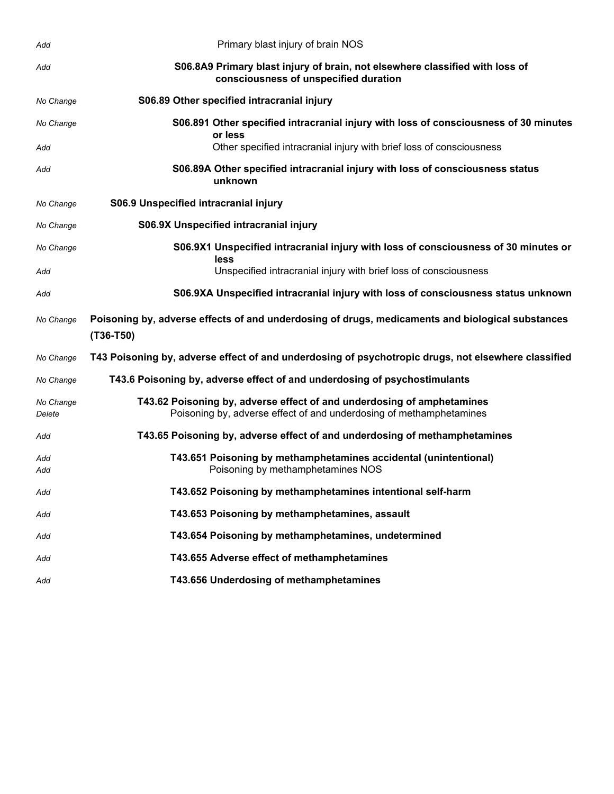| Add                 | Primary blast injury of brain NOS                                                                                                             |
|---------------------|-----------------------------------------------------------------------------------------------------------------------------------------------|
| Add                 | S06.8A9 Primary blast injury of brain, not elsewhere classified with loss of<br>consciousness of unspecified duration                         |
| No Change           | S06.89 Other specified intracranial injury                                                                                                    |
| No Change           | S06.891 Other specified intracranial injury with loss of consciousness of 30 minutes<br>or less                                               |
| Add                 | Other specified intracranial injury with brief loss of consciousness                                                                          |
| Add                 | S06.89A Other specified intracranial injury with loss of consciousness status<br>unknown                                                      |
| No Change           | S06.9 Unspecified intracranial injury                                                                                                         |
| No Change           | S06.9X Unspecified intracranial injury                                                                                                        |
| No Change           | S06.9X1 Unspecified intracranial injury with loss of consciousness of 30 minutes or<br>less                                                   |
| Add                 | Unspecified intracranial injury with brief loss of consciousness                                                                              |
| Add                 | S06.9XA Unspecified intracranial injury with loss of consciousness status unknown                                                             |
| No Change           | Poisoning by, adverse effects of and underdosing of drugs, medicaments and biological substances<br>$(T36-T50)$                               |
| No Change           | T43 Poisoning by, adverse effect of and underdosing of psychotropic drugs, not elsewhere classified                                           |
| No Change           | T43.6 Poisoning by, adverse effect of and underdosing of psychostimulants                                                                     |
| No Change<br>Delete | T43.62 Poisoning by, adverse effect of and underdosing of amphetamines<br>Poisoning by, adverse effect of and underdosing of methamphetamines |
| Add                 | T43.65 Poisoning by, adverse effect of and underdosing of methamphetamines                                                                    |
| Add<br>Add          | T43.651 Poisoning by methamphetamines accidental (unintentional)<br>Poisoning by methamphetamines NOS                                         |
| Add                 | T43.652 Poisoning by methamphetamines intentional self-harm                                                                                   |
| Add                 | T43.653 Poisoning by methamphetamines, assault                                                                                                |
| Add                 | T43.654 Poisoning by methamphetamines, undetermined                                                                                           |
| Add                 | T43.655 Adverse effect of methamphetamines                                                                                                    |
| Add                 | T43.656 Underdosing of methamphetamines                                                                                                       |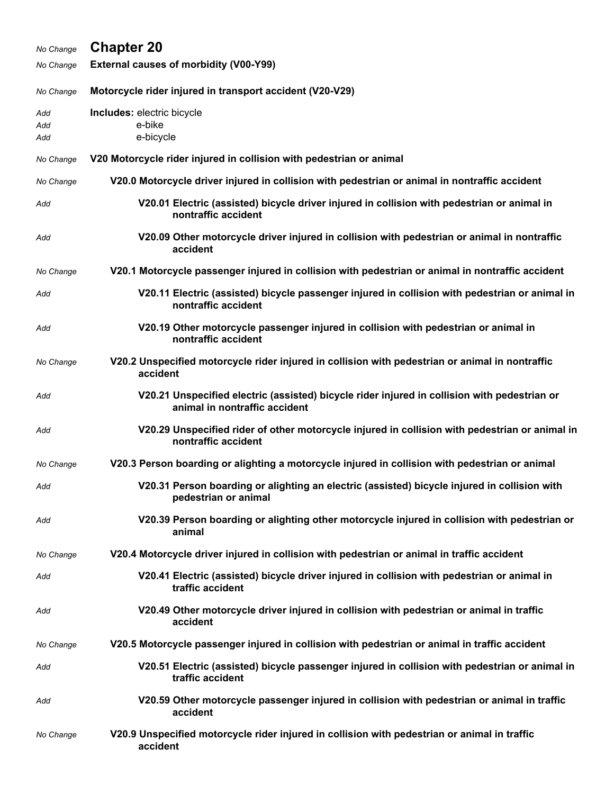| No Change         | <b>Chapter 20</b>                                                                                                             |
|-------------------|-------------------------------------------------------------------------------------------------------------------------------|
| No Change         | <b>External causes of morbidity (V00-Y99)</b>                                                                                 |
| No Change         | Motorcycle rider injured in transport accident (V20-V29)                                                                      |
| Add<br>Add<br>Add | Includes: electric bicycle<br>e-bike<br>e-bicycle                                                                             |
| No Change         | V20 Motorcycle rider injured in collision with pedestrian or animal                                                           |
| No Change         | V20.0 Motorcycle driver injured in collision with pedestrian or animal in nontraffic accident                                 |
| Add               | V20.01 Electric (assisted) bicycle driver injured in collision with pedestrian or animal in<br>nontraffic accident            |
| Add               | V20.09 Other motorcycle driver injured in collision with pedestrian or animal in nontraffic<br>accident                       |
| No Change         | V20.1 Motorcycle passenger injured in collision with pedestrian or animal in nontraffic accident                              |
| Add               | V20.11 Electric (assisted) bicycle passenger injured in collision with pedestrian or animal in<br>nontraffic accident         |
| Add               | V20.19 Other motorcycle passenger injured in collision with pedestrian or animal in<br>nontraffic accident                    |
| No Change         | V20.2 Unspecified motorcycle rider injured in collision with pedestrian or animal in nontraffic<br>accident                   |
| Add               | V20.21 Unspecified electric (assisted) bicycle rider injured in collision with pedestrian or<br>animal in nontraffic accident |
| Add               | V20.29 Unspecified rider of other motorcycle injured in collision with pedestrian or animal in<br>nontraffic accident         |
| No Change         | V20.3 Person boarding or alighting a motorcycle injured in collision with pedestrian or animal                                |
| Add               | V20.31 Person boarding or alighting an electric (assisted) bicycle injured in collision with<br>pedestrian or animal          |
| Add               | V20.39 Person boarding or alighting other motorcycle injured in collision with pedestrian or<br>animal                        |
| No Change         | V20.4 Motorcycle driver injured in collision with pedestrian or animal in traffic accident                                    |
| Add               | V20.41 Electric (assisted) bicycle driver injured in collision with pedestrian or animal in<br>traffic accident               |
| Add               | V20.49 Other motorcycle driver injured in collision with pedestrian or animal in traffic<br>accident                          |
| No Change         | V20.5 Motorcycle passenger injured in collision with pedestrian or animal in traffic accident                                 |
| Add               | V20.51 Electric (assisted) bicycle passenger injured in collision with pedestrian or animal in<br>traffic accident            |
| Add               | V20.59 Other motorcycle passenger injured in collision with pedestrian or animal in traffic<br>accident                       |
| No Change         | V20.9 Unspecified motorcycle rider injured in collision with pedestrian or animal in traffic<br>accident                      |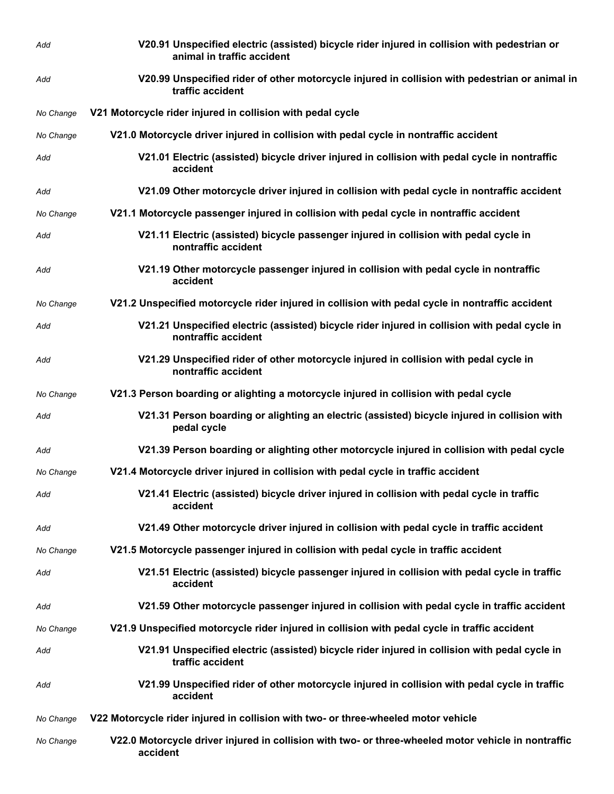| Add       | V20.91 Unspecified electric (assisted) bicycle rider injured in collision with pedestrian or<br>animal in traffic accident |
|-----------|----------------------------------------------------------------------------------------------------------------------------|
| Add       | V20.99 Unspecified rider of other motorcycle injured in collision with pedestrian or animal in<br>traffic accident         |
| No Change | V21 Motorcycle rider injured in collision with pedal cycle                                                                 |
| No Change | V21.0 Motorcycle driver injured in collision with pedal cycle in nontraffic accident                                       |
| Add       | V21.01 Electric (assisted) bicycle driver injured in collision with pedal cycle in nontraffic<br>accident                  |
| Add       | V21.09 Other motorcycle driver injured in collision with pedal cycle in nontraffic accident                                |
| No Change | V21.1 Motorcycle passenger injured in collision with pedal cycle in nontraffic accident                                    |
| Add       | V21.11 Electric (assisted) bicycle passenger injured in collision with pedal cycle in<br>nontraffic accident               |
| Add       | V21.19 Other motorcycle passenger injured in collision with pedal cycle in nontraffic<br>accident                          |
| No Change | V21.2 Unspecified motorcycle rider injured in collision with pedal cycle in nontraffic accident                            |
| Add       | V21.21 Unspecified electric (assisted) bicycle rider injured in collision with pedal cycle in<br>nontraffic accident       |
| Add       | V21.29 Unspecified rider of other motorcycle injured in collision with pedal cycle in<br>nontraffic accident               |
| No Change | V21.3 Person boarding or alighting a motorcycle injured in collision with pedal cycle                                      |
| Add       | V21.31 Person boarding or alighting an electric (assisted) bicycle injured in collision with<br>pedal cycle                |
| Add       | V21.39 Person boarding or alighting other motorcycle injured in collision with pedal cycle                                 |
| No Change | V21.4 Motorcycle driver injured in collision with pedal cycle in traffic accident                                          |
| Add       | V21.41 Electric (assisted) bicycle driver injured in collision with pedal cycle in traffic<br>accident                     |
| Add       | V21.49 Other motorcycle driver injured in collision with pedal cycle in traffic accident                                   |
| No Change | V21.5 Motorcycle passenger injured in collision with pedal cycle in traffic accident                                       |
| Add       | V21.51 Electric (assisted) bicycle passenger injured in collision with pedal cycle in traffic<br>accident                  |
| Add       | V21.59 Other motorcycle passenger injured in collision with pedal cycle in traffic accident                                |
| No Change | V21.9 Unspecified motorcycle rider injured in collision with pedal cycle in traffic accident                               |
| Add       | V21.91 Unspecified electric (assisted) bicycle rider injured in collision with pedal cycle in<br>traffic accident          |
| Add       | V21.99 Unspecified rider of other motorcycle injured in collision with pedal cycle in traffic<br>accident                  |
| No Change | V22 Motorcycle rider injured in collision with two- or three-wheeled motor vehicle                                         |
| No Change | V22.0 Motorcycle driver injured in collision with two- or three-wheeled motor vehicle in nontraffic<br>accident            |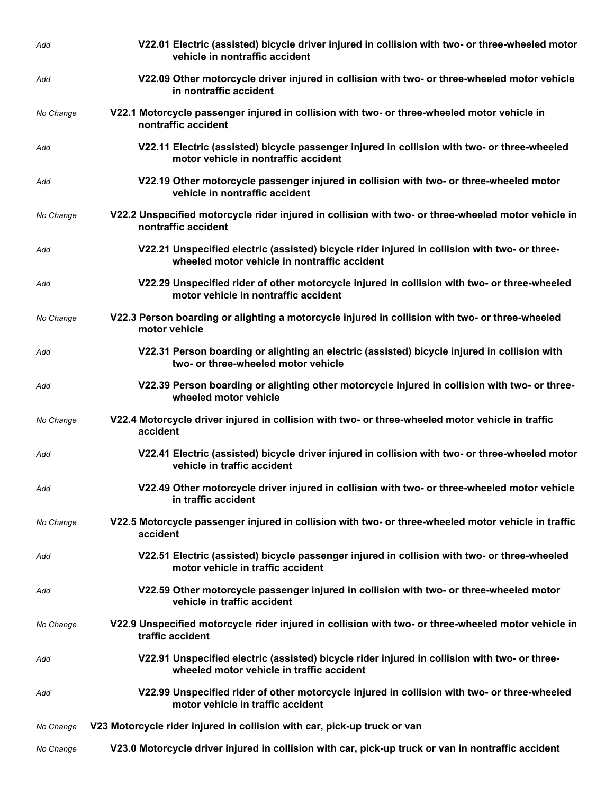| Add       | V22.01 Electric (assisted) bicycle driver injured in collision with two- or three-wheeled motor<br>vehicle in nontraffic accident             |
|-----------|-----------------------------------------------------------------------------------------------------------------------------------------------|
| Add       | V22.09 Other motorcycle driver injured in collision with two- or three-wheeled motor vehicle<br>in nontraffic accident                        |
| No Change | V22.1 Motorcycle passenger injured in collision with two- or three-wheeled motor vehicle in<br>nontraffic accident                            |
| Add       | V22.11 Electric (assisted) bicycle passenger injured in collision with two- or three-wheeled<br>motor vehicle in nontraffic accident          |
| Add       | V22.19 Other motorcycle passenger injured in collision with two- or three-wheeled motor<br>vehicle in nontraffic accident                     |
| No Change | V22.2 Unspecified motorcycle rider injured in collision with two- or three-wheeled motor vehicle in<br>nontraffic accident                    |
| Add       | V22.21 Unspecified electric (assisted) bicycle rider injured in collision with two- or three-<br>wheeled motor vehicle in nontraffic accident |
| Add       | V22.29 Unspecified rider of other motorcycle injured in collision with two- or three-wheeled<br>motor vehicle in nontraffic accident          |
| No Change | V22.3 Person boarding or alighting a motorcycle injured in collision with two- or three-wheeled<br>motor vehicle                              |
| Add       | V22.31 Person boarding or alighting an electric (assisted) bicycle injured in collision with<br>two- or three-wheeled motor vehicle           |
| Add       | V22.39 Person boarding or alighting other motorcycle injured in collision with two- or three-<br>wheeled motor vehicle                        |
| No Change | V22.4 Motorcycle driver injured in collision with two- or three-wheeled motor vehicle in traffic<br>accident                                  |
| Add       | V22.41 Electric (assisted) bicycle driver injured in collision with two- or three-wheeled motor<br>vehicle in traffic accident                |
| Add       | V22.49 Other motorcycle driver injured in collision with two- or three-wheeled motor vehicle<br>in traffic accident                           |
| No Change | V22.5 Motorcycle passenger injured in collision with two- or three-wheeled motor vehicle in traffic<br>accident                               |
| Add       | V22.51 Electric (assisted) bicycle passenger injured in collision with two- or three-wheeled<br>motor vehicle in traffic accident             |
| Add       | V22.59 Other motorcycle passenger injured in collision with two- or three-wheeled motor<br>vehicle in traffic accident                        |
| No Change | V22.9 Unspecified motorcycle rider injured in collision with two- or three-wheeled motor vehicle in<br>traffic accident                       |
| Add       | V22.91 Unspecified electric (assisted) bicycle rider injured in collision with two- or three-<br>wheeled motor vehicle in traffic accident    |
| Add       | V22.99 Unspecified rider of other motorcycle injured in collision with two- or three-wheeled<br>motor vehicle in traffic accident             |
| No Change | V23 Motorcycle rider injured in collision with car, pick-up truck or van                                                                      |
| No Change | V23.0 Motorcycle driver injured in collision with car, pick-up truck or van in nontraffic accident                                            |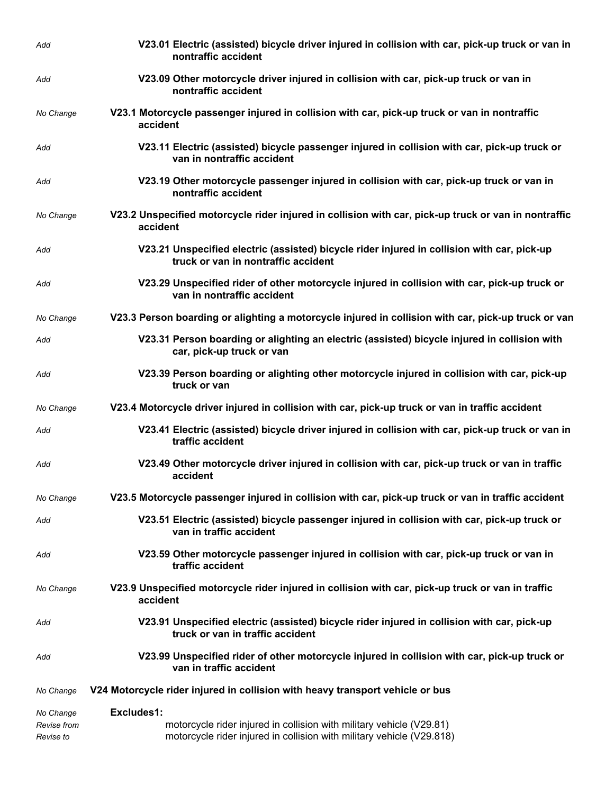| Add                      | V23.01 Electric (assisted) bicycle driver injured in collision with car, pick-up truck or van in<br>nontraffic accident                       |
|--------------------------|-----------------------------------------------------------------------------------------------------------------------------------------------|
| Add                      | V23.09 Other motorcycle driver injured in collision with car, pick-up truck or van in<br>nontraffic accident                                  |
| No Change                | V23.1 Motorcycle passenger injured in collision with car, pick-up truck or van in nontraffic<br>accident                                      |
| Add                      | V23.11 Electric (assisted) bicycle passenger injured in collision with car, pick-up truck or<br>van in nontraffic accident                    |
| Add                      | V23.19 Other motorcycle passenger injured in collision with car, pick-up truck or van in<br>nontraffic accident                               |
| No Change                | V23.2 Unspecified motorcycle rider injured in collision with car, pick-up truck or van in nontraffic<br>accident                              |
| Add                      | V23.21 Unspecified electric (assisted) bicycle rider injured in collision with car, pick-up<br>truck or van in nontraffic accident            |
| Add                      | V23.29 Unspecified rider of other motorcycle injured in collision with car, pick-up truck or<br>van in nontraffic accident                    |
| No Change                | V23.3 Person boarding or alighting a motorcycle injured in collision with car, pick-up truck or van                                           |
| Add                      | V23.31 Person boarding or alighting an electric (assisted) bicycle injured in collision with<br>car, pick-up truck or van                     |
| Add                      | V23.39 Person boarding or alighting other motorcycle injured in collision with car, pick-up<br>truck or van                                   |
| No Change                | V23.4 Motorcycle driver injured in collision with car, pick-up truck or van in traffic accident                                               |
| Add                      | V23.41 Electric (assisted) bicycle driver injured in collision with car, pick-up truck or van in<br>traffic accident                          |
| Add                      | V23.49 Other motorcycle driver injured in collision with car, pick-up truck or van in traffic<br>accident                                     |
| No Change                | V23.5 Motorcycle passenger injured in collision with car, pick-up truck or van in traffic accident                                            |
| Add                      | V23.51 Electric (assisted) bicycle passenger injured in collision with car, pick-up truck or<br>van in traffic accident                       |
| Add                      | V23.59 Other motorcycle passenger injured in collision with car, pick-up truck or van in<br>traffic accident                                  |
| No Change                | V23.9 Unspecified motorcycle rider injured in collision with car, pick-up truck or van in traffic<br>accident                                 |
| Add                      | V23.91 Unspecified electric (assisted) bicycle rider injured in collision with car, pick-up<br>truck or van in traffic accident               |
| Add                      | V23.99 Unspecified rider of other motorcycle injured in collision with car, pick-up truck or<br>van in traffic accident                       |
| No Change                | V24 Motorcycle rider injured in collision with heavy transport vehicle or bus                                                                 |
| No Change                | Excludes1:                                                                                                                                    |
| Revise from<br>Revise to | motorcycle rider injured in collision with military vehicle (V29.81)<br>motorcycle rider injured in collision with military vehicle (V29.818) |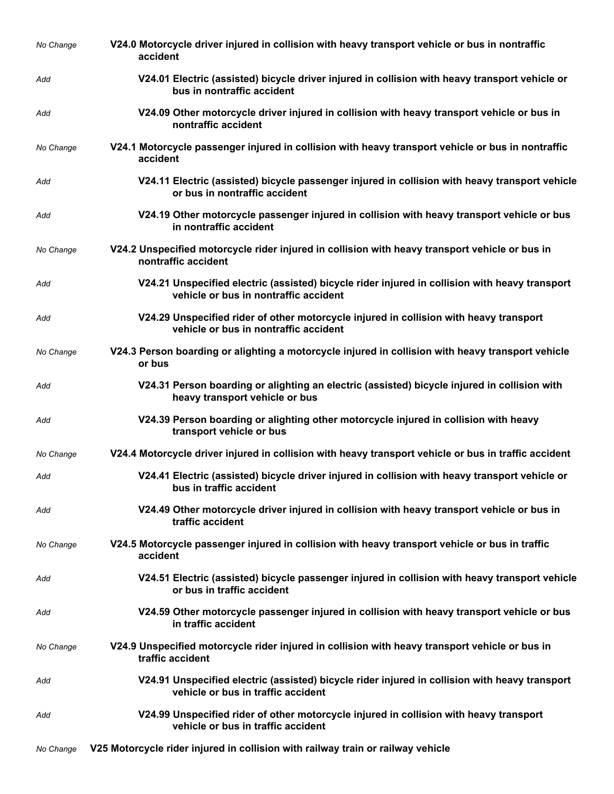| No Change | V24.0 Motorcycle driver injured in collision with heavy transport vehicle or bus in nontraffic<br>accident                              |
|-----------|-----------------------------------------------------------------------------------------------------------------------------------------|
| Add       | V24.01 Electric (assisted) bicycle driver injured in collision with heavy transport vehicle or<br>bus in nontraffic accident            |
| Add       | V24.09 Other motorcycle driver injured in collision with heavy transport vehicle or bus in<br>nontraffic accident                       |
| No Change | V24.1 Motorcycle passenger injured in collision with heavy transport vehicle or bus in nontraffic<br>accident                           |
| Add       | V24.11 Electric (assisted) bicycle passenger injured in collision with heavy transport vehicle<br>or bus in nontraffic accident         |
| Add       | V24.19 Other motorcycle passenger injured in collision with heavy transport vehicle or bus<br>in nontraffic accident                    |
| No Change | V24.2 Unspecified motorcycle rider injured in collision with heavy transport vehicle or bus in<br>nontraffic accident                   |
| Add       | V24.21 Unspecified electric (assisted) bicycle rider injured in collision with heavy transport<br>vehicle or bus in nontraffic accident |
| Add       | V24.29 Unspecified rider of other motorcycle injured in collision with heavy transport<br>vehicle or bus in nontraffic accident         |
| No Change | V24.3 Person boarding or alighting a motorcycle injured in collision with heavy transport vehicle<br>or bus                             |
| Add       | V24.31 Person boarding or alighting an electric (assisted) bicycle injured in collision with<br>heavy transport vehicle or bus          |
| Add       | V24.39 Person boarding or alighting other motorcycle injured in collision with heavy<br>transport vehicle or bus                        |
| No Change | V24.4 Motorcycle driver injured in collision with heavy transport vehicle or bus in traffic accident                                    |
| Add       | V24.41 Electric (assisted) bicycle driver injured in collision with heavy transport vehicle or<br>bus in traffic accident               |
| Add       | V24.49 Other motorcycle driver injured in collision with heavy transport vehicle or bus in<br>traffic accident                          |
| No Change | V24.5 Motorcycle passenger injured in collision with heavy transport vehicle or bus in traffic<br>accident                              |
| Add       | V24.51 Electric (assisted) bicycle passenger injured in collision with heavy transport vehicle<br>or bus in traffic accident            |
| Add       | V24.59 Other motorcycle passenger injured in collision with heavy transport vehicle or bus<br>in traffic accident                       |
| No Change | V24.9 Unspecified motorcycle rider injured in collision with heavy transport vehicle or bus in<br>traffic accident                      |
| Add       | V24.91 Unspecified electric (assisted) bicycle rider injured in collision with heavy transport<br>vehicle or bus in traffic accident    |
| Add       | V24.99 Unspecified rider of other motorcycle injured in collision with heavy transport<br>vehicle or bus in traffic accident            |
| No Change | V25 Motorcycle rider injured in collision with railway train or railway vehicle                                                         |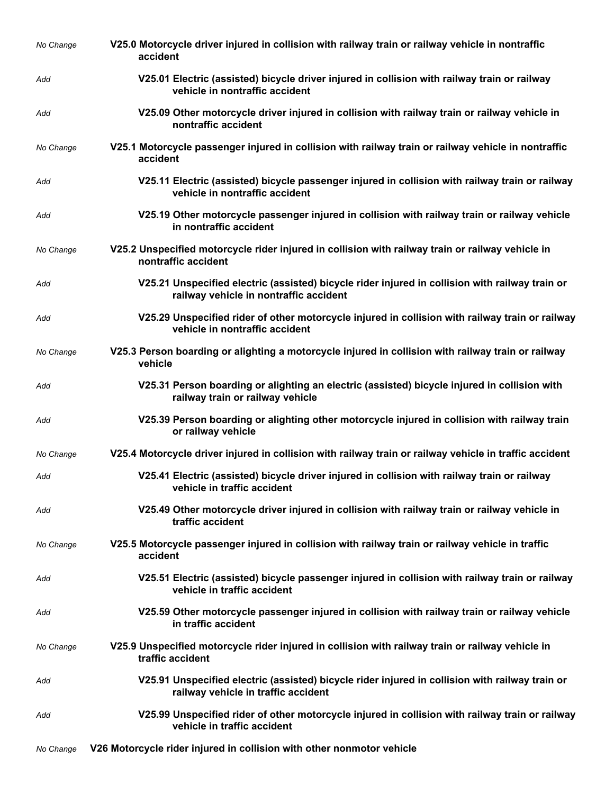| No Change | V25.0 Motorcycle driver injured in collision with railway train or railway vehicle in nontraffic<br>accident                              |
|-----------|-------------------------------------------------------------------------------------------------------------------------------------------|
| Add       | V25.01 Electric (assisted) bicycle driver injured in collision with railway train or railway<br>vehicle in nontraffic accident            |
| Add       | V25.09 Other motorcycle driver injured in collision with railway train or railway vehicle in<br>nontraffic accident                       |
| No Change | V25.1 Motorcycle passenger injured in collision with railway train or railway vehicle in nontraffic<br>accident                           |
| Add       | V25.11 Electric (assisted) bicycle passenger injured in collision with railway train or railway<br>vehicle in nontraffic accident         |
| Add       | V25.19 Other motorcycle passenger injured in collision with railway train or railway vehicle<br>in nontraffic accident                    |
| No Change | V25.2 Unspecified motorcycle rider injured in collision with railway train or railway vehicle in<br>nontraffic accident                   |
| Add       | V25.21 Unspecified electric (assisted) bicycle rider injured in collision with railway train or<br>railway vehicle in nontraffic accident |
| Add       | V25.29 Unspecified rider of other motorcycle injured in collision with railway train or railway<br>vehicle in nontraffic accident         |
| No Change | V25.3 Person boarding or alighting a motorcycle injured in collision with railway train or railway<br>vehicle                             |
| Add       | V25.31 Person boarding or alighting an electric (assisted) bicycle injured in collision with<br>railway train or railway vehicle          |
| Add       | V25.39 Person boarding or alighting other motorcycle injured in collision with railway train<br>or railway vehicle                        |
| No Change | V25.4 Motorcycle driver injured in collision with railway train or railway vehicle in traffic accident                                    |
| Add       | V25.41 Electric (assisted) bicycle driver injured in collision with railway train or railway<br>vehicle in traffic accident               |
| Add       | V25.49 Other motorcycle driver injured in collision with railway train or railway vehicle in<br>traffic accident                          |
| No Change | V25.5 Motorcycle passenger injured in collision with railway train or railway vehicle in traffic<br>accident                              |
| Add       | V25.51 Electric (assisted) bicycle passenger injured in collision with railway train or railway<br>vehicle in traffic accident            |
| Add       | V25.59 Other motorcycle passenger injured in collision with railway train or railway vehicle<br>in traffic accident                       |
| No Change | V25.9 Unspecified motorcycle rider injured in collision with railway train or railway vehicle in<br>traffic accident                      |
| Add       | V25.91 Unspecified electric (assisted) bicycle rider injured in collision with railway train or<br>railway vehicle in traffic accident    |
| Add       | V25.99 Unspecified rider of other motorcycle injured in collision with railway train or railway<br>vehicle in traffic accident            |
| No Change | V26 Motorcycle rider injured in collision with other nonmotor vehicle                                                                     |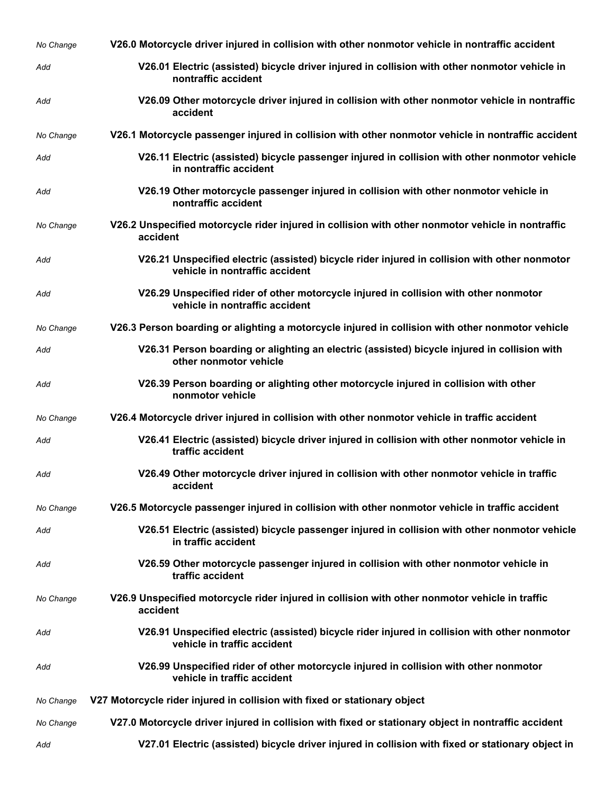| No Change | V26.0 Motorcycle driver injured in collision with other nonmotor vehicle in nontraffic accident                                 |
|-----------|---------------------------------------------------------------------------------------------------------------------------------|
| Add       | V26.01 Electric (assisted) bicycle driver injured in collision with other nonmotor vehicle in<br>nontraffic accident            |
| Add       | V26.09 Other motorcycle driver injured in collision with other nonmotor vehicle in nontraffic<br>accident                       |
| No Change | V26.1 Motorcycle passenger injured in collision with other nonmotor vehicle in nontraffic accident                              |
| Add       | V26.11 Electric (assisted) bicycle passenger injured in collision with other nonmotor vehicle<br>in nontraffic accident         |
| Add       | V26.19 Other motorcycle passenger injured in collision with other nonmotor vehicle in<br>nontraffic accident                    |
| No Change | V26.2 Unspecified motorcycle rider injured in collision with other nonmotor vehicle in nontraffic<br>accident                   |
| Add       | V26.21 Unspecified electric (assisted) bicycle rider injured in collision with other nonmotor<br>vehicle in nontraffic accident |
| Add       | V26.29 Unspecified rider of other motorcycle injured in collision with other nonmotor<br>vehicle in nontraffic accident         |
| No Change | V26.3 Person boarding or alighting a motorcycle injured in collision with other nonmotor vehicle                                |
| Add       | V26.31 Person boarding or alighting an electric (assisted) bicycle injured in collision with<br>other nonmotor vehicle          |
| Add       | V26.39 Person boarding or alighting other motorcycle injured in collision with other<br>nonmotor vehicle                        |
| No Change | V26.4 Motorcycle driver injured in collision with other nonmotor vehicle in traffic accident                                    |
| Add       | V26.41 Electric (assisted) bicycle driver injured in collision with other nonmotor vehicle in<br>traffic accident               |
| Add       | V26.49 Other motorcycle driver injured in collision with other nonmotor vehicle in traffic<br>accident                          |
| No Change | V26.5 Motorcycle passenger injured in collision with other nonmotor vehicle in traffic accident                                 |
| Add       | V26.51 Electric (assisted) bicycle passenger injured in collision with other nonmotor vehicle<br>in traffic accident            |
| Add       | V26.59 Other motorcycle passenger injured in collision with other nonmotor vehicle in<br>traffic accident                       |
| No Change | V26.9 Unspecified motorcycle rider injured in collision with other nonmotor vehicle in traffic<br>accident                      |
| Add       | V26.91 Unspecified electric (assisted) bicycle rider injured in collision with other nonmotor<br>vehicle in traffic accident    |
| Add       | V26.99 Unspecified rider of other motorcycle injured in collision with other nonmotor<br>vehicle in traffic accident            |
| No Change | V27 Motorcycle rider injured in collision with fixed or stationary object                                                       |
| No Change | V27.0 Motorcycle driver injured in collision with fixed or stationary object in nontraffic accident                             |
| Add       | V27.01 Electric (assisted) bicycle driver injured in collision with fixed or stationary object in                               |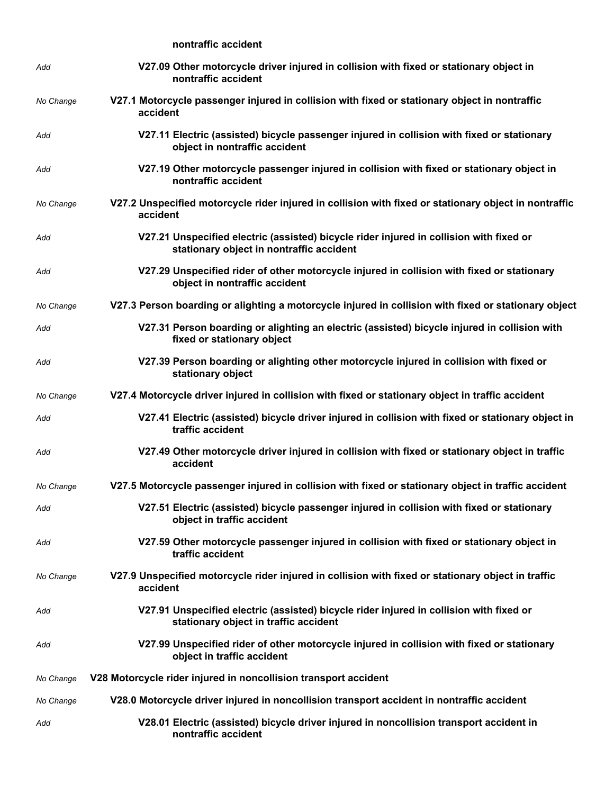## **nontraffic accident**

| Add       | V27.09 Other motorcycle driver injured in collision with fixed or stationary object in<br>nontraffic accident                       |
|-----------|-------------------------------------------------------------------------------------------------------------------------------------|
| No Change | V27.1 Motorcycle passenger injured in collision with fixed or stationary object in nontraffic<br>accident                           |
| Add       | V27.11 Electric (assisted) bicycle passenger injured in collision with fixed or stationary<br>object in nontraffic accident         |
| Add       | V27.19 Other motorcycle passenger injured in collision with fixed or stationary object in<br>nontraffic accident                    |
| No Change | V27.2 Unspecified motorcycle rider injured in collision with fixed or stationary object in nontraffic<br>accident                   |
| Add       | V27.21 Unspecified electric (assisted) bicycle rider injured in collision with fixed or<br>stationary object in nontraffic accident |
| Add       | V27.29 Unspecified rider of other motorcycle injured in collision with fixed or stationary<br>object in nontraffic accident         |
| No Change | V27.3 Person boarding or alighting a motorcycle injured in collision with fixed or stationary object                                |
| Add       | V27.31 Person boarding or alighting an electric (assisted) bicycle injured in collision with<br>fixed or stationary object          |
| Add       | V27.39 Person boarding or alighting other motorcycle injured in collision with fixed or<br>stationary object                        |
| No Change | V27.4 Motorcycle driver injured in collision with fixed or stationary object in traffic accident                                    |
| Add       | V27.41 Electric (assisted) bicycle driver injured in collision with fixed or stationary object in<br>traffic accident               |
| Add       | V27.49 Other motorcycle driver injured in collision with fixed or stationary object in traffic<br>accident                          |
| No Change | V27.5 Motorcycle passenger injured in collision with fixed or stationary object in traffic accident                                 |
| Add       | V27.51 Electric (assisted) bicycle passenger injured in collision with fixed or stationary<br>object in traffic accident            |
| Add       | V27.59 Other motorcycle passenger injured in collision with fixed or stationary object in<br>traffic accident                       |
| No Change | V27.9 Unspecified motorcycle rider injured in collision with fixed or stationary object in traffic<br>accident                      |
| Add       | V27.91 Unspecified electric (assisted) bicycle rider injured in collision with fixed or<br>stationary object in traffic accident    |
| Add       | V27.99 Unspecified rider of other motorcycle injured in collision with fixed or stationary<br>object in traffic accident            |
| No Change | V28 Motorcycle rider injured in noncollision transport accident                                                                     |
| No Change | V28.0 Motorcycle driver injured in noncollision transport accident in nontraffic accident                                           |
| Add       | V28.01 Electric (assisted) bicycle driver injured in noncollision transport accident in<br>nontraffic accident                      |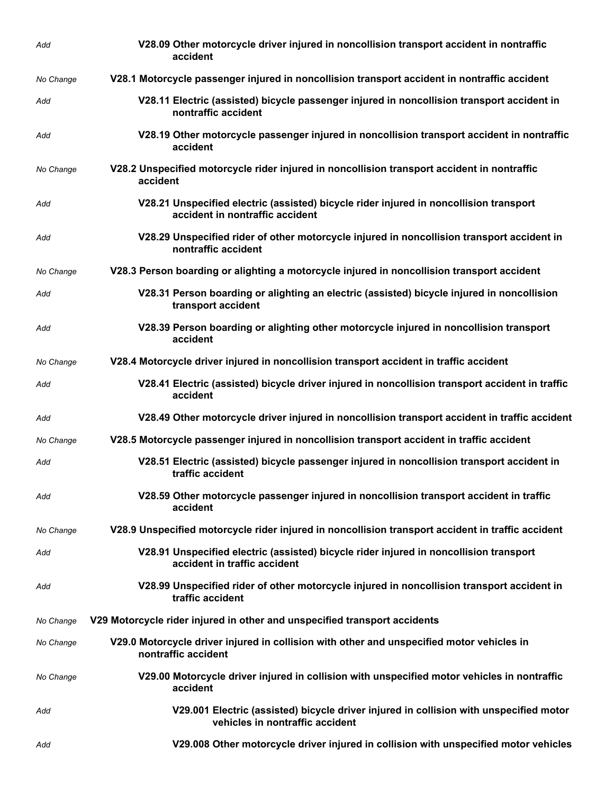| Add       | V28.09 Other motorcycle driver injured in noncollision transport accident in nontraffic<br>accident                       |
|-----------|---------------------------------------------------------------------------------------------------------------------------|
| No Change | V28.1 Motorcycle passenger injured in noncollision transport accident in nontraffic accident                              |
| Add       | V28.11 Electric (assisted) bicycle passenger injured in noncollision transport accident in<br>nontraffic accident         |
| Add       | V28.19 Other motorcycle passenger injured in noncollision transport accident in nontraffic<br>accident                    |
| No Change | V28.2 Unspecified motorcycle rider injured in noncollision transport accident in nontraffic<br>accident                   |
| Add       | V28.21 Unspecified electric (assisted) bicycle rider injured in noncollision transport<br>accident in nontraffic accident |
| Add       | V28.29 Unspecified rider of other motorcycle injured in noncollision transport accident in<br>nontraffic accident         |
| No Change | V28.3 Person boarding or alighting a motorcycle injured in noncollision transport accident                                |
| Add       | V28.31 Person boarding or alighting an electric (assisted) bicycle injured in noncollision<br>transport accident          |
| Add       | V28.39 Person boarding or alighting other motorcycle injured in noncollision transport<br>accident                        |
| No Change | V28.4 Motorcycle driver injured in noncollision transport accident in traffic accident                                    |
| Add       | V28.41 Electric (assisted) bicycle driver injured in noncollision transport accident in traffic<br>accident               |
| Add       | V28.49 Other motorcycle driver injured in noncollision transport accident in traffic accident                             |
| No Change | V28.5 Motorcycle passenger injured in noncollision transport accident in traffic accident                                 |
| Add       | V28.51 Electric (assisted) bicycle passenger injured in noncollision transport accident in<br>traffic accident            |
| Add       | V28.59 Other motorcycle passenger injured in noncollision transport accident in traffic<br>accident                       |
| No Change | V28.9 Unspecified motorcycle rider injured in noncollision transport accident in traffic accident                         |
| Add       | V28.91 Unspecified electric (assisted) bicycle rider injured in noncollision transport<br>accident in traffic accident    |
| Add       | V28.99 Unspecified rider of other motorcycle injured in noncollision transport accident in<br>traffic accident            |
| No Change | V29 Motorcycle rider injured in other and unspecified transport accidents                                                 |
| No Change | V29.0 Motorcycle driver injured in collision with other and unspecified motor vehicles in<br>nontraffic accident          |
| No Change | V29.00 Motorcycle driver injured in collision with unspecified motor vehicles in nontraffic<br>accident                   |
| Add       | V29.001 Electric (assisted) bicycle driver injured in collision with unspecified motor<br>vehicles in nontraffic accident |
| Add       | V29.008 Other motorcycle driver injured in collision with unspecified motor vehicles                                      |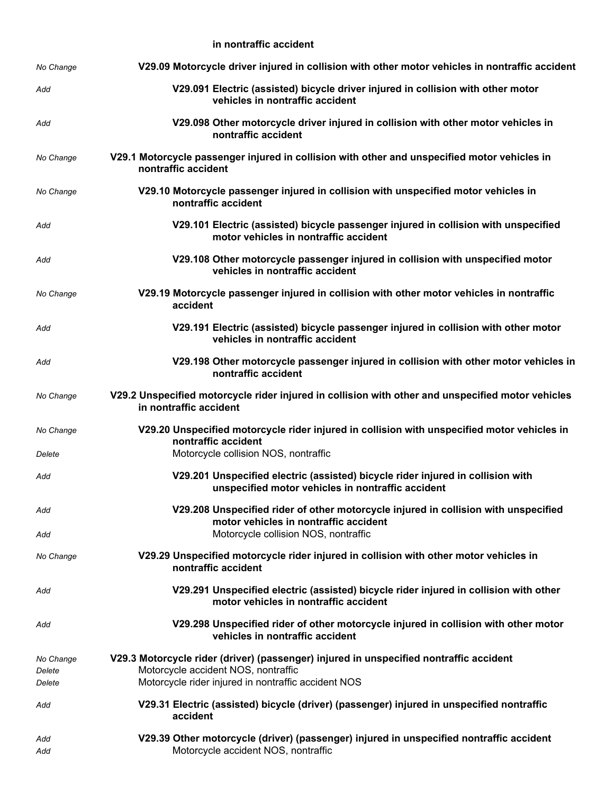**in nontraffic accident**

| No Change                     | V29.09 Motorcycle driver injured in collision with other motor vehicles in nontraffic accident                                                                                       |
|-------------------------------|--------------------------------------------------------------------------------------------------------------------------------------------------------------------------------------|
| Add                           | V29.091 Electric (assisted) bicycle driver injured in collision with other motor<br>vehicles in nontraffic accident                                                                  |
| Add                           | V29.098 Other motorcycle driver injured in collision with other motor vehicles in<br>nontraffic accident                                                                             |
| No Change                     | V29.1 Motorcycle passenger injured in collision with other and unspecified motor vehicles in<br>nontraffic accident                                                                  |
| No Change                     | V29.10 Motorcycle passenger injured in collision with unspecified motor vehicles in<br>nontraffic accident                                                                           |
| Add                           | V29.101 Electric (assisted) bicycle passenger injured in collision with unspecified<br>motor vehicles in nontraffic accident                                                         |
| Add                           | V29.108 Other motorcycle passenger injured in collision with unspecified motor<br>vehicles in nontraffic accident                                                                    |
| No Change                     | V29.19 Motorcycle passenger injured in collision with other motor vehicles in nontraffic<br>accident                                                                                 |
| Add                           | V29.191 Electric (assisted) bicycle passenger injured in collision with other motor<br>vehicles in nontraffic accident                                                               |
| Add                           | V29.198 Other motorcycle passenger injured in collision with other motor vehicles in<br>nontraffic accident                                                                          |
| No Change                     | V29.2 Unspecified motorcycle rider injured in collision with other and unspecified motor vehicles<br>in nontraffic accident                                                          |
| No Change<br>Delete           | V29.20 Unspecified motorcycle rider injured in collision with unspecified motor vehicles in<br>nontraffic accident<br>Motorcycle collision NOS, nontraffic                           |
| Add                           | V29.201 Unspecified electric (assisted) bicycle rider injured in collision with<br>unspecified motor vehicles in nontraffic accident                                                 |
| Add                           | V29.208 Unspecified rider of other motorcycle injured in collision with unspecified<br>motor vehicles in nontraffic accident                                                         |
| Add<br>No Change              | Motorcycle collision NOS, nontraffic<br>V29.29 Unspecified motorcycle rider injured in collision with other motor vehicles in<br>nontraffic accident                                 |
| Add                           | V29.291 Unspecified electric (assisted) bicycle rider injured in collision with other<br>motor vehicles in nontraffic accident                                                       |
| Add                           | V29.298 Unspecified rider of other motorcycle injured in collision with other motor<br>vehicles in nontraffic accident                                                               |
| No Change<br>Delete<br>Delete | V29.3 Motorcycle rider (driver) (passenger) injured in unspecified nontraffic accident<br>Motorcycle accident NOS, nontraffic<br>Motorcycle rider injured in nontraffic accident NOS |
| Add                           | V29.31 Electric (assisted) bicycle (driver) (passenger) injured in unspecified nontraffic<br>accident                                                                                |
| Add<br>Add                    | V29.39 Other motorcycle (driver) (passenger) injured in unspecified nontraffic accident<br>Motorcycle accident NOS, nontraffic                                                       |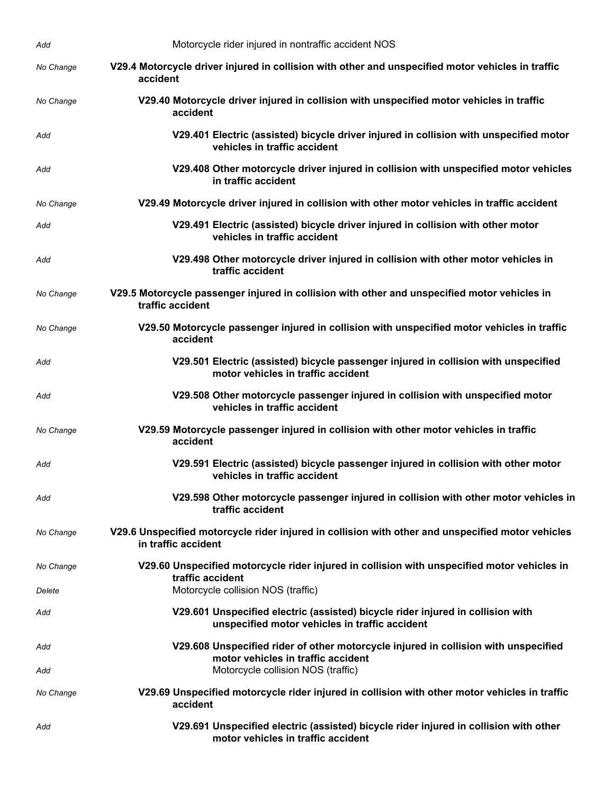| Add        | Motorcycle rider injured in nontraffic accident NOS                                                                                                             |
|------------|-----------------------------------------------------------------------------------------------------------------------------------------------------------------|
| No Change  | V29.4 Motorcycle driver injured in collision with other and unspecified motor vehicles in traffic<br>accident                                                   |
| No Change  | V29.40 Motorcycle driver injured in collision with unspecified motor vehicles in traffic<br>accident                                                            |
| Add        | V29.401 Electric (assisted) bicycle driver injured in collision with unspecified motor<br>vehicles in traffic accident                                          |
| Add        | V29.408 Other motorcycle driver injured in collision with unspecified motor vehicles<br>in traffic accident                                                     |
| No Change  | V29.49 Motorcycle driver injured in collision with other motor vehicles in traffic accident                                                                     |
| Add        | V29.491 Electric (assisted) bicycle driver injured in collision with other motor<br>vehicles in traffic accident                                                |
| Add        | V29.498 Other motorcycle driver injured in collision with other motor vehicles in<br>traffic accident                                                           |
| No Change  | V29.5 Motorcycle passenger injured in collision with other and unspecified motor vehicles in<br>traffic accident                                                |
| No Change  | V29.50 Motorcycle passenger injured in collision with unspecified motor vehicles in traffic<br>accident                                                         |
| Add        | V29.501 Electric (assisted) bicycle passenger injured in collision with unspecified<br>motor vehicles in traffic accident                                       |
| Add        | V29.508 Other motorcycle passenger injured in collision with unspecified motor<br>vehicles in traffic accident                                                  |
| No Change  | V29.59 Motorcycle passenger injured in collision with other motor vehicles in traffic<br>accident                                                               |
| Add        | V29.591 Electric (assisted) bicycle passenger injured in collision with other motor<br>vehicles in traffic accident                                             |
| Add        | V29.598 Other motorcycle passenger injured in collision with other motor vehicles in<br>traffic accident                                                        |
| No Change  | V29.6 Unspecified motorcycle rider injured in collision with other and unspecified motor vehicles<br>in traffic accident                                        |
| No Change  | V29.60 Unspecified motorcycle rider injured in collision with unspecified motor vehicles in<br>traffic accident                                                 |
| Delete     | Motorcycle collision NOS (traffic)                                                                                                                              |
| Add        | V29.601 Unspecified electric (assisted) bicycle rider injured in collision with<br>unspecified motor vehicles in traffic accident                               |
| Add<br>Add | V29.608 Unspecified rider of other motorcycle injured in collision with unspecified<br>motor vehicles in traffic accident<br>Motorcycle collision NOS (traffic) |
|            |                                                                                                                                                                 |
| No Change  | V29.69 Unspecified motorcycle rider injured in collision with other motor vehicles in traffic<br>accident                                                       |
| Add        | V29.691 Unspecified electric (assisted) bicycle rider injured in collision with other<br>motor vehicles in traffic accident                                     |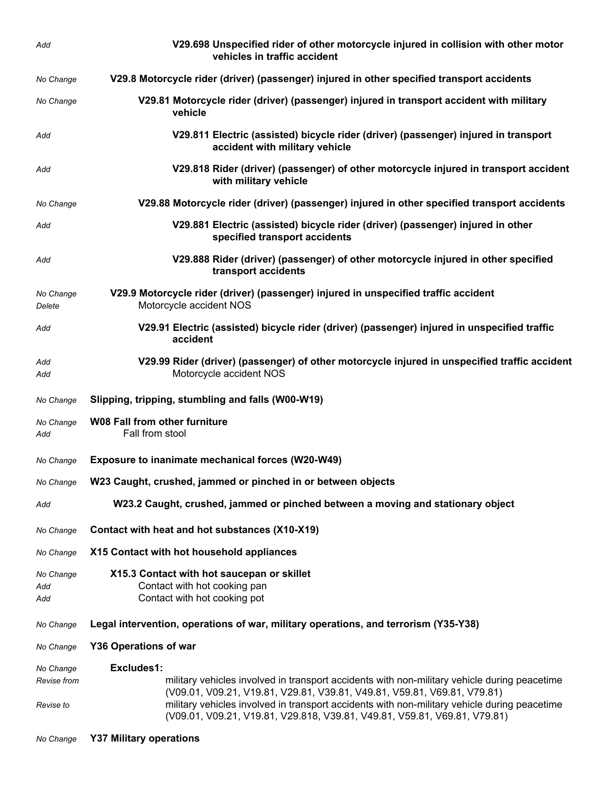| Add                      | V29.698 Unspecified rider of other motorcycle injured in collision with other motor<br>vehicles in traffic accident                                                                                                                                                                                                                                   |
|--------------------------|-------------------------------------------------------------------------------------------------------------------------------------------------------------------------------------------------------------------------------------------------------------------------------------------------------------------------------------------------------|
| No Change                | V29.8 Motorcycle rider (driver) (passenger) injured in other specified transport accidents                                                                                                                                                                                                                                                            |
| No Change                | V29.81 Motorcycle rider (driver) (passenger) injured in transport accident with military<br>vehicle                                                                                                                                                                                                                                                   |
| Add                      | V29.811 Electric (assisted) bicycle rider (driver) (passenger) injured in transport<br>accident with military vehicle                                                                                                                                                                                                                                 |
| Add                      | V29.818 Rider (driver) (passenger) of other motorcycle injured in transport accident<br>with military vehicle                                                                                                                                                                                                                                         |
| No Change                | V29.88 Motorcycle rider (driver) (passenger) injured in other specified transport accidents                                                                                                                                                                                                                                                           |
| Add                      | V29.881 Electric (assisted) bicycle rider (driver) (passenger) injured in other<br>specified transport accidents                                                                                                                                                                                                                                      |
| Add                      | V29.888 Rider (driver) (passenger) of other motorcycle injured in other specified<br>transport accidents                                                                                                                                                                                                                                              |
| No Change<br>Delete      | V29.9 Motorcycle rider (driver) (passenger) injured in unspecified traffic accident<br>Motorcycle accident NOS                                                                                                                                                                                                                                        |
| Add                      | V29.91 Electric (assisted) bicycle rider (driver) (passenger) injured in unspecified traffic<br>accident                                                                                                                                                                                                                                              |
| Add<br>Add               | V29.99 Rider (driver) (passenger) of other motorcycle injured in unspecified traffic accident<br>Motorcycle accident NOS                                                                                                                                                                                                                              |
| No Change                | Slipping, tripping, stumbling and falls (W00-W19)                                                                                                                                                                                                                                                                                                     |
| No Change<br>Add         | <b>W08 Fall from other furniture</b><br>Fall from stool                                                                                                                                                                                                                                                                                               |
| No Change                | Exposure to inanimate mechanical forces (W20-W49)                                                                                                                                                                                                                                                                                                     |
| No Change                | W23 Caught, crushed, jammed or pinched in or between objects                                                                                                                                                                                                                                                                                          |
| Add                      | W23.2 Caught, crushed, jammed or pinched between a moving and stationary object                                                                                                                                                                                                                                                                       |
| No Change                | Contact with heat and hot substances (X10-X19)                                                                                                                                                                                                                                                                                                        |
| No Change                | X15 Contact with hot household appliances                                                                                                                                                                                                                                                                                                             |
| No Change<br>Add<br>Add  | X15.3 Contact with hot saucepan or skillet<br>Contact with hot cooking pan<br>Contact with hot cooking pot                                                                                                                                                                                                                                            |
| No Change                | Legal intervention, operations of war, military operations, and terrorism (Y35-Y38)                                                                                                                                                                                                                                                                   |
| No Change                | <b>Y36 Operations of war</b>                                                                                                                                                                                                                                                                                                                          |
| No Change                | Excludes1:                                                                                                                                                                                                                                                                                                                                            |
| Revise from<br>Revise to | military vehicles involved in transport accidents with non-military vehicle during peacetime<br>(V09.01, V09.21, V19.81, V29.81, V39.81, V49.81, V59.81, V69.81, V79.81)<br>military vehicles involved in transport accidents with non-military vehicle during peacetime<br>(V09.01, V09.21, V19.81, V29.818, V39.81, V49.81, V59.81, V69.81, V79.81) |
|                          |                                                                                                                                                                                                                                                                                                                                                       |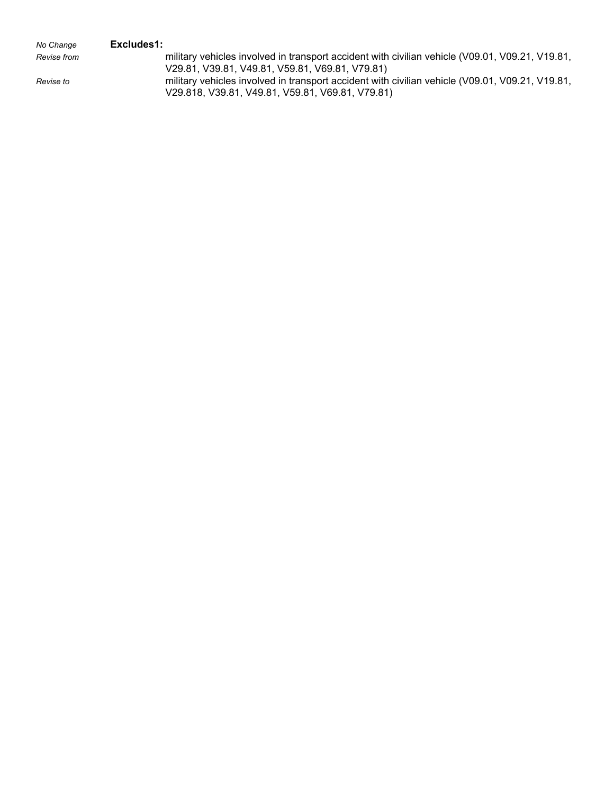## *No Change* **Excludes1:**

*Revise from* military vehicles involved in transport accident with civilian vehicle (V09.01, V09.21, V19.81, V29.81, V39.81, V49.81, V59.81, V69.81, V79.81) *Revise to* military vehicles involved in transport accident with civilian vehicle (V09.01, V09.21, V19.81, V29.818, V39.81, V49.81, V59.81, V69.81, V79.81)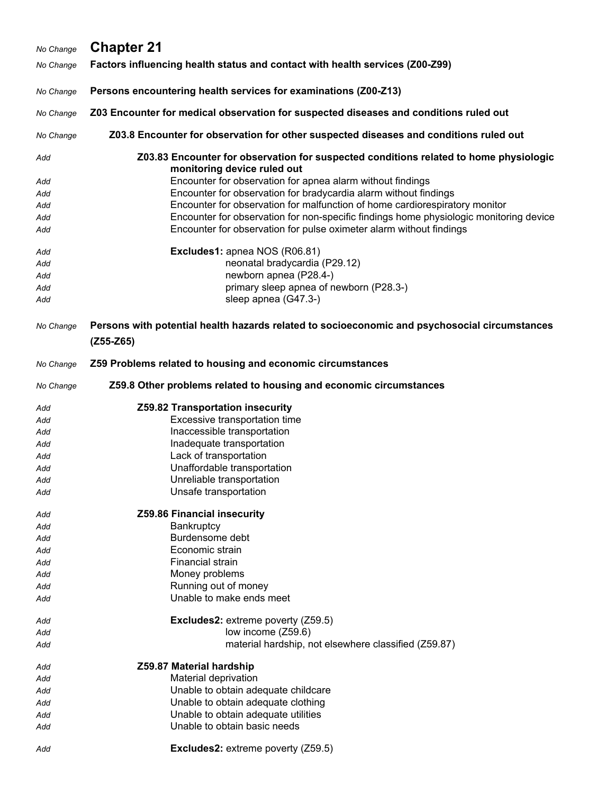| No Change | <b>Chapter 21</b>                                                                                                    |
|-----------|----------------------------------------------------------------------------------------------------------------------|
| No Change | Factors influencing health status and contact with health services (Z00-Z99)                                         |
| No Change | Persons encountering health services for examinations (Z00-Z13)                                                      |
| No Change | Z03 Encounter for medical observation for suspected diseases and conditions ruled out                                |
| No Change | Z03.8 Encounter for observation for other suspected diseases and conditions ruled out                                |
|           |                                                                                                                      |
| Add       | Z03.83 Encounter for observation for suspected conditions related to home physiologic<br>monitoring device ruled out |
| Add       | Encounter for observation for apnea alarm without findings                                                           |
| Add       | Encounter for observation for bradycardia alarm without findings                                                     |
| Add       | Encounter for observation for malfunction of home cardiorespiratory monitor                                          |
| Add       | Encounter for observation for non-specific findings home physiologic monitoring device                               |
| Add       | Encounter for observation for pulse oximeter alarm without findings                                                  |
| Add       | Excludes1: apnea NOS (R06.81)                                                                                        |
| Add       | neonatal bradycardia (P29.12)                                                                                        |
| Add       | newborn apnea (P28.4-)                                                                                               |
| Add       | primary sleep apnea of newborn (P28.3-)                                                                              |
| Add       | sleep apnea (G47.3-)                                                                                                 |
| No Change | Persons with potential health hazards related to socioeconomic and psychosocial circumstances<br>$(Z55-Z65)$         |
| No Change | Z59 Problems related to housing and economic circumstances                                                           |
| No Change | Z59.8 Other problems related to housing and economic circumstances                                                   |
| Add       | Z59.82 Transportation insecurity                                                                                     |
| Add       | Excessive transportation time                                                                                        |
| Add       | Inaccessible transportation                                                                                          |
| Add       | Inadequate transportation                                                                                            |
| Add       | Lack of transportation                                                                                               |
| Add       | Unaffordable transportation                                                                                          |
| Add       | Unreliable transportation<br>Unsafe transportation                                                                   |
| Add       |                                                                                                                      |
| Add       | Z59.86 Financial insecurity                                                                                          |
| Add       | Bankruptcy                                                                                                           |
| Add       | Burdensome debt                                                                                                      |
| Add       | Economic strain                                                                                                      |
| Add       | Financial strain                                                                                                     |
| Add       | Money problems<br>Running out of money                                                                               |
| Add       | Unable to make ends meet                                                                                             |
| Add       |                                                                                                                      |
| Add       | <b>Excludes2:</b> extreme poverty (Z59.5)                                                                            |
| Add       | low income (Z59.6)                                                                                                   |
| Add       | material hardship, not elsewhere classified (Z59.87)                                                                 |
| Add       | Z59.87 Material hardship                                                                                             |
| Add       | Material deprivation                                                                                                 |
| Add       | Unable to obtain adequate childcare                                                                                  |
| Add       | Unable to obtain adequate clothing                                                                                   |
| Add       | Unable to obtain adequate utilities                                                                                  |
| Add       | Unable to obtain basic needs                                                                                         |
| Add       | <b>Excludes2:</b> extreme poverty (Z59.5)                                                                            |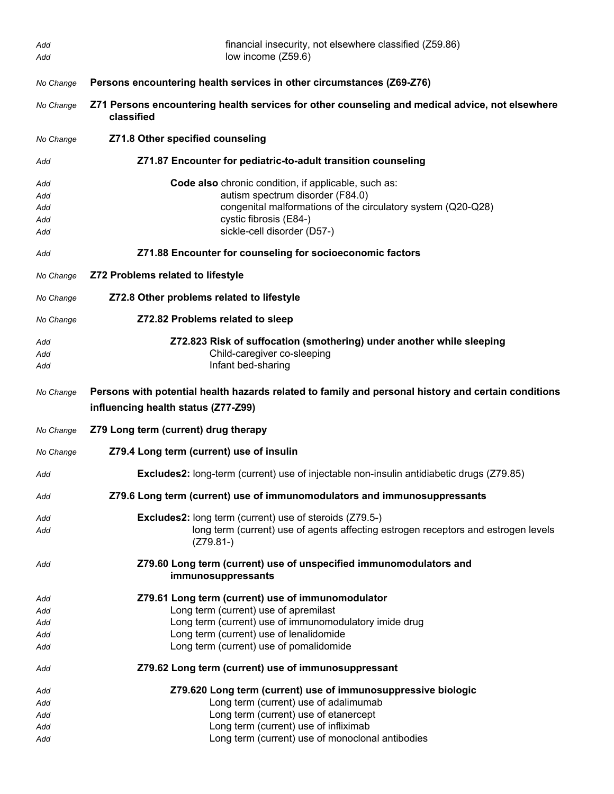| Add<br>Add                      | financial insecurity, not elsewhere classified (Z59.86)<br>low income (Z59.6)                                                                                                                                                                |
|---------------------------------|----------------------------------------------------------------------------------------------------------------------------------------------------------------------------------------------------------------------------------------------|
| No Change                       | Persons encountering health services in other circumstances (Z69-Z76)                                                                                                                                                                        |
| No Change                       | Z71 Persons encountering health services for other counseling and medical advice, not elsewhere<br>classified                                                                                                                                |
| No Change                       | Z71.8 Other specified counseling                                                                                                                                                                                                             |
| Add                             | Z71.87 Encounter for pediatric-to-adult transition counseling                                                                                                                                                                                |
| Add<br>Add<br>Add<br>Add<br>Add | <b>Code also</b> chronic condition, if applicable, such as:<br>autism spectrum disorder (F84.0)<br>congenital malformations of the circulatory system (Q20-Q28)<br>cystic fibrosis (E84-)<br>sickle-cell disorder (D57-)                     |
| Add                             | Z71.88 Encounter for counseling for socioeconomic factors                                                                                                                                                                                    |
| No Change                       | Z72 Problems related to lifestyle                                                                                                                                                                                                            |
| No Change                       | Z72.8 Other problems related to lifestyle                                                                                                                                                                                                    |
| No Change                       | Z72.82 Problems related to sleep                                                                                                                                                                                                             |
| Add<br>Add<br>Add               | Z72.823 Risk of suffocation (smothering) under another while sleeping<br>Child-caregiver co-sleeping<br>Infant bed-sharing                                                                                                                   |
| No Change                       | Persons with potential health hazards related to family and personal history and certain conditions<br>influencing health status (Z77-Z99)                                                                                                   |
| No Change                       | Z79 Long term (current) drug therapy                                                                                                                                                                                                         |
| No Change                       | Z79.4 Long term (current) use of insulin                                                                                                                                                                                                     |
| Add                             | <b>Excludes2:</b> long-term (current) use of injectable non-insulin antidiabetic drugs (Z79.85)                                                                                                                                              |
| Add                             | Z79.6 Long term (current) use of immunomodulators and immunosuppressants                                                                                                                                                                     |
| Add<br>Add                      | Excludes2: long term (current) use of steroids (Z79.5-)<br>long term (current) use of agents affecting estrogen receptors and estrogen levels<br>$(Z79.81-)$                                                                                 |
| Add                             | Z79.60 Long term (current) use of unspecified immunomodulators and<br>immunosuppressants                                                                                                                                                     |
| Add<br>Add<br>Add<br>Add<br>Add | Z79.61 Long term (current) use of immunomodulator<br>Long term (current) use of apremilast<br>Long term (current) use of immunomodulatory imide drug<br>Long term (current) use of lenalidomide<br>Long term (current) use of pomalidomide   |
| Add                             | Z79.62 Long term (current) use of immunosuppressant                                                                                                                                                                                          |
| Add<br>Add<br>Add<br>Add<br>Add | Z79.620 Long term (current) use of immunosuppressive biologic<br>Long term (current) use of adalimumab<br>Long term (current) use of etanercept<br>Long term (current) use of infliximab<br>Long term (current) use of monoclonal antibodies |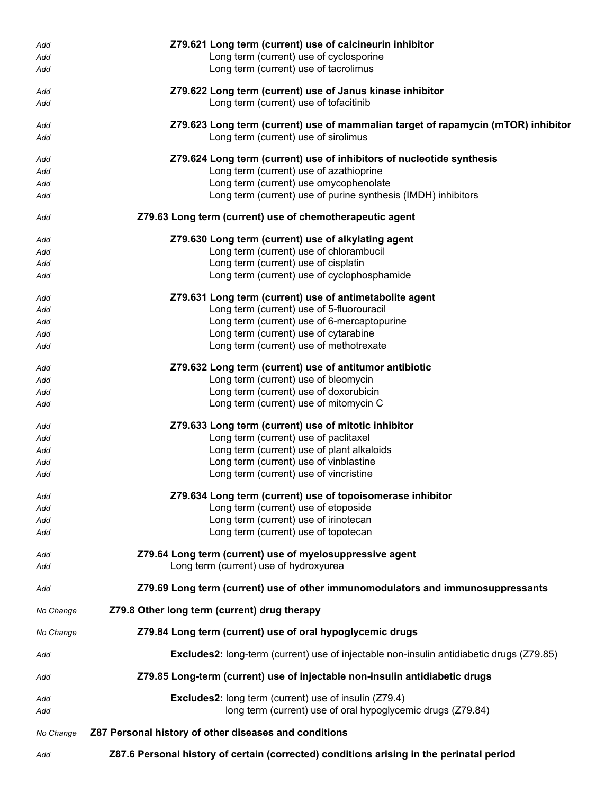| Add        | Z79.621 Long term (current) use of calcineurin inhibitor                                                                    |
|------------|-----------------------------------------------------------------------------------------------------------------------------|
| Add        | Long term (current) use of cyclosporine                                                                                     |
| Add        | Long term (current) use of tacrolimus                                                                                       |
|            |                                                                                                                             |
| Add        | Z79.622 Long term (current) use of Janus kinase inhibitor                                                                   |
| Add        | Long term (current) use of tofacitinib                                                                                      |
| Add        | Z79.623 Long term (current) use of mammalian target of rapamycin (mTOR) inhibitor                                           |
| Add        | Long term (current) use of sirolimus                                                                                        |
|            |                                                                                                                             |
| Add        | Z79.624 Long term (current) use of inhibitors of nucleotide synthesis                                                       |
| Add        | Long term (current) use of azathioprine                                                                                     |
| Add        | Long term (current) use omycophenolate                                                                                      |
| Add        | Long term (current) use of purine synthesis (IMDH) inhibitors                                                               |
| Add        | Z79.63 Long term (current) use of chemotherapeutic agent                                                                    |
| Add        | Z79.630 Long term (current) use of alkylating agent                                                                         |
| Add        | Long term (current) use of chlorambucil                                                                                     |
| Add        | Long term (current) use of cisplatin                                                                                        |
| Add        | Long term (current) use of cyclophosphamide                                                                                 |
|            |                                                                                                                             |
| Add<br>Add | Z79.631 Long term (current) use of antimetabolite agent<br>Long term (current) use of 5-fluorouracil                        |
| Add        | Long term (current) use of 6-mercaptopurine                                                                                 |
| Add        | Long term (current) use of cytarabine                                                                                       |
| Add        | Long term (current) use of methotrexate                                                                                     |
|            |                                                                                                                             |
| Add        | Z79.632 Long term (current) use of antitumor antibiotic                                                                     |
| Add        | Long term (current) use of bleomycin                                                                                        |
| Add        | Long term (current) use of doxorubicin                                                                                      |
| Add        | Long term (current) use of mitomycin C                                                                                      |
| Add        | Z79.633 Long term (current) use of mitotic inhibitor                                                                        |
| Add        | Long term (current) use of paclitaxel                                                                                       |
| Add        | Long term (current) use of plant alkaloids                                                                                  |
| Add        | Long term (current) use of vinblastine                                                                                      |
| Add        | Long term (current) use of vincristine                                                                                      |
|            |                                                                                                                             |
| Add        | Z79.634 Long term (current) use of topoisomerase inhibitor                                                                  |
| Add        | Long term (current) use of etoposide<br>Long term (current) use of irinotecan                                               |
| Add<br>Add | Long term (current) use of topotecan                                                                                        |
|            |                                                                                                                             |
| Add        | Z79.64 Long term (current) use of myelosuppressive agent                                                                    |
| Add        | Long term (current) use of hydroxyurea                                                                                      |
| Add        | Z79.69 Long term (current) use of other immunomodulators and immunosuppressants                                             |
| No Change  | Z79.8 Other long term (current) drug therapy                                                                                |
| No Change  | Z79.84 Long term (current) use of oral hypoglycemic drugs                                                                   |
| Add        | <b>Excludes2:</b> long-term (current) use of injectable non-insulin antidiabetic drugs (Z79.85)                             |
| Add        | Z79.85 Long-term (current) use of injectable non-insulin antidiabetic drugs                                                 |
| Add<br>Add | <b>Excludes2:</b> long term (current) use of insulin (Z79.4)<br>long term (current) use of oral hypoglycemic drugs (Z79.84) |
|            |                                                                                                                             |
| No Change  | Z87 Personal history of other diseases and conditions                                                                       |
| Add        | Z87.6 Personal history of certain (corrected) conditions arising in the perinatal period                                    |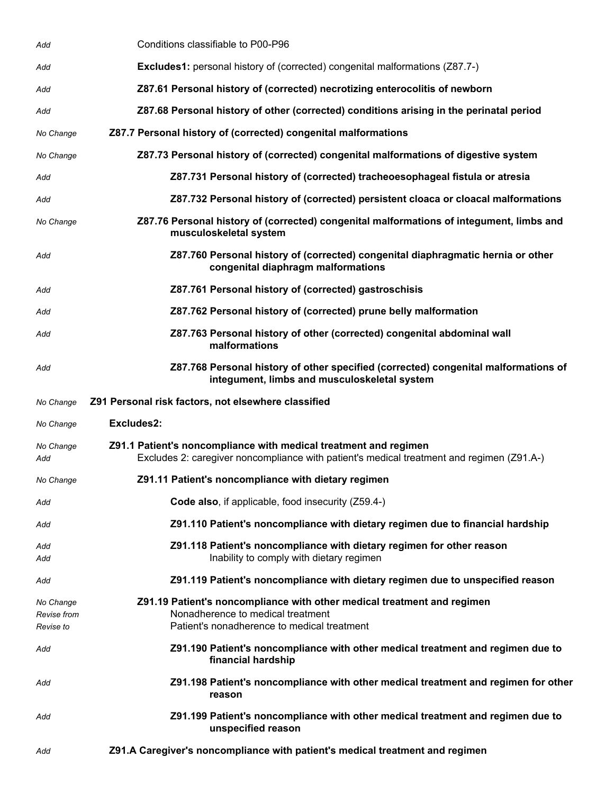| Add                                   | Conditions classifiable to P00-P96                                                                                                                            |
|---------------------------------------|---------------------------------------------------------------------------------------------------------------------------------------------------------------|
| Add                                   | <b>Excludes1:</b> personal history of (corrected) congenital malformations (Z87.7-)                                                                           |
| Add                                   | Z87.61 Personal history of (corrected) necrotizing enterocolitis of newborn                                                                                   |
| Add                                   | Z87.68 Personal history of other (corrected) conditions arising in the perinatal period                                                                       |
| No Change                             | Z87.7 Personal history of (corrected) congenital malformations                                                                                                |
| No Change                             | Z87.73 Personal history of (corrected) congenital malformations of digestive system                                                                           |
| Add                                   | Z87.731 Personal history of (corrected) tracheoesophageal fistula or atresia                                                                                  |
| Add                                   | Z87.732 Personal history of (corrected) persistent cloaca or cloacal malformations                                                                            |
| No Change                             | Z87.76 Personal history of (corrected) congenital malformations of integument, limbs and<br>musculoskeletal system                                            |
| Add                                   | Z87.760 Personal history of (corrected) congenital diaphragmatic hernia or other<br>congenital diaphragm malformations                                        |
| Add                                   | Z87.761 Personal history of (corrected) gastroschisis                                                                                                         |
| Add                                   | Z87.762 Personal history of (corrected) prune belly malformation                                                                                              |
| Add                                   | Z87.763 Personal history of other (corrected) congenital abdominal wall<br>malformations                                                                      |
| Add                                   | Z87.768 Personal history of other specified (corrected) congenital malformations of<br>integument, limbs and musculoskeletal system                           |
| No Change                             | Z91 Personal risk factors, not elsewhere classified                                                                                                           |
| No Change                             | Excludes2:                                                                                                                                                    |
| No Change<br>Add                      | Z91.1 Patient's noncompliance with medical treatment and regimen<br>Excludes 2: caregiver noncompliance with patient's medical treatment and regimen (Z91.A-) |
| No Change                             | Z91.11 Patient's noncompliance with dietary regimen                                                                                                           |
| Add                                   | Code also, if applicable, food insecurity (Z59.4-)                                                                                                            |
| Add                                   | Z91.110 Patient's noncompliance with dietary regimen due to financial hardship                                                                                |
| Add<br>Add                            | Z91.118 Patient's noncompliance with dietary regimen for other reason<br>Inability to comply with dietary regimen                                             |
| Add                                   | Z91.119 Patient's noncompliance with dietary regimen due to unspecified reason                                                                                |
| No Change<br>Revise from<br>Revise to | Z91.19 Patient's noncompliance with other medical treatment and regimen<br>Nonadherence to medical treatment<br>Patient's nonadherence to medical treatment   |
| Add                                   | Z91.190 Patient's noncompliance with other medical treatment and regimen due to<br>financial hardship                                                         |
| Add                                   | Z91.198 Patient's noncompliance with other medical treatment and regimen for other<br>reason                                                                  |
| Add                                   | Z91.199 Patient's noncompliance with other medical treatment and regimen due to<br>unspecified reason                                                         |
| Add                                   | Z91.A Caregiver's noncompliance with patient's medical treatment and regimen                                                                                  |